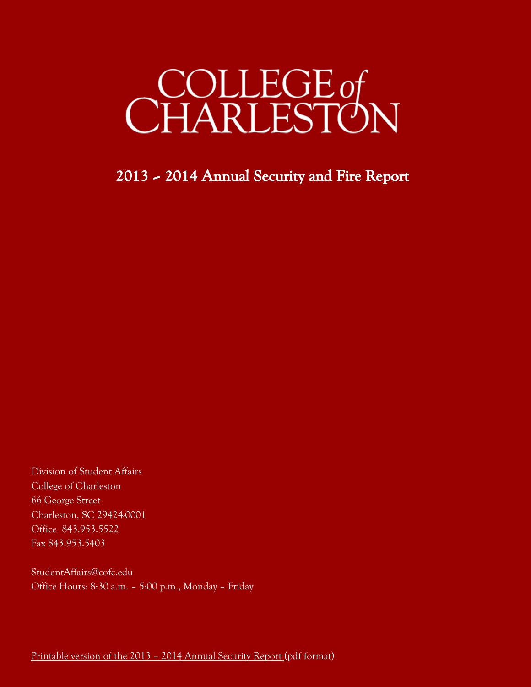# **2013 Annual Security and Fire Report**

2013 – 2014 Annual Security and Fire Report

Division of Student Affairs College of Charleston 66 George Street Charleston, SC 29424-0001 Office 843.953.5522 Fax 843.953.5403

[StudentAffairs@cofc.edu](mailto:StudentAffairs@cofc.edu) Office Hours: 8:30 a.m. – 5:00 p.m., Monday – Friday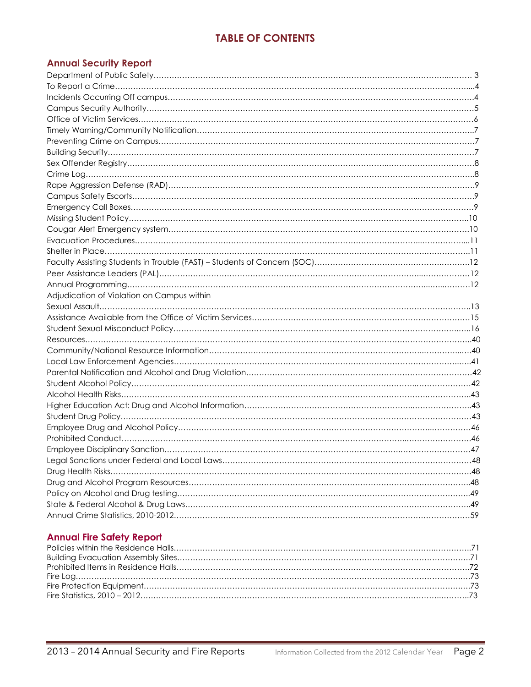# **TABLE OF CONTENTS**

# **Annual Security Report**

| Adjudication of Violation on Campus within |  |
|--------------------------------------------|--|
|                                            |  |
|                                            |  |
|                                            |  |
|                                            |  |
|                                            |  |
|                                            |  |
|                                            |  |
|                                            |  |
|                                            |  |
|                                            |  |
|                                            |  |
|                                            |  |
|                                            |  |
|                                            |  |
|                                            |  |
|                                            |  |
|                                            |  |
|                                            |  |
|                                            |  |
|                                            |  |
|                                            |  |

# **Annual Fire Safety Report**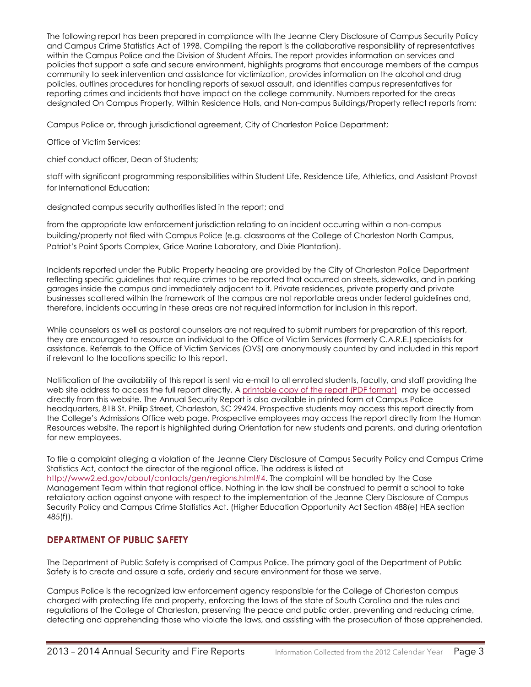The following report has been prepared in compliance with the Jeanne Clery Disclosure of Campus Security Policy and Campus Crime Statistics Act of 1998. Compiling the report is the collaborative responsibility of representatives within the Campus Police and the Division of Student Affairs. The report provides information on services and policies that support a safe and secure environment, highlights programs that encourage members of the campus community to seek intervention and assistance for victimization, provides information on the alcohol and drug policies, outlines procedures for handling reports of sexual assault, and identifies campus representatives for reporting crimes and incidents that have impact on the college community. Numbers reported for the areas designated On Campus Property, Within Residence Halls, and Non-campus Buildings/Property reflect reports from:

Campus Police or, through jurisdictional agreement, City of Charleston Police Department;

Office of Victim Services;

chief conduct officer, Dean of Students;

staff with significant programming responsibilities within Student Life, Residence Life, Athletics, and Assistant Provost for International Education;

designated campus security authorities listed in the report; and

from the appropriate law enforcement jurisdiction relating to an incident occurring within a non-campus building/property not filed with Campus Police (e.g. classrooms at the College of Charleston North Campus, Patriot's Point Sports Complex, Grice Marine Laboratory, and Dixie Plantation).

Incidents reported under the Public Property heading are provided by the City of Charleston Police Department reflecting specific guidelines that require crimes to be reported that occurred on streets, sidewalks, and in parking garages inside the campus and immediately adjacent to it. Private residences, private property and private businesses scattered within the framework of the campus are not reportable areas under federal guidelines and, therefore, incidents occurring in these areas are not required information for inclusion in this report.

While counselors as well as pastoral counselors are not required to submit numbers for preparation of this report, they are encouraged to resource an individual to the Office of Victim Services (formerly C.A.R.E.) specialists for assistance. Referrals to the Office of Victim Services (OVS) are anonymously counted by and included in this report if relevant to the locations specific to this report.

Notification of the availability of this report is sent via e-mail to all enrolled students, faculty, and staff providing the web site address to access the full report directly. A [printable copy of the report \(PDF format\)](http://studentaffairs.cofc.edu/annual-security/index.php) may be accessed directly from this website. The Annual Security Report is also available in printed form at Campus Police headquarters, 81B St. Philip Street, Charleston, SC 29424. Prospective students may access this report directly from the College's Admissions Office web page. Prospective employees may access the report directly from the Human Resources website. The report is highlighted during Orientation for new students and parents, and during orientation for new employees.

To file a complaint alleging a violation of the Jeanne Clery Disclosure of Campus Security Policy and Campus Crime Statistics Act, contact the director of the regional office. The address is listed at [http://www2.ed.gov/about/contacts/gen/regions.html#4.](http://www2.ed.gov/about/contacts/gen/regions.html#4) The complaint will be handled by the Case Management Team within that regional office. Nothing in the law shall be construed to permit a school to take retaliatory action against anyone with respect to the implementation of the Jeanne Clery Disclosure of Campus Security Policy and Campus Crime Statistics Act. (Higher Education Opportunity Act Section 488(e) HEA section 485(f)).

# **DEPARTMENT OF PUBLIC SAFETY**

The Department of Public Safety is comprised of Campus Police. The primary goal of the Department of Public Safety is to create and assure a safe, orderly and secure environment for those we serve.

Campus Police is the recognized law enforcement agency responsible for the College of Charleston campus charged with protecting life and property, enforcing the laws of the state of South Carolina and the rules and regulations of the College of Charleston, preserving the peace and public order, preventing and reducing crime, detecting and apprehending those who violate the laws, and assisting with the prosecution of those apprehended.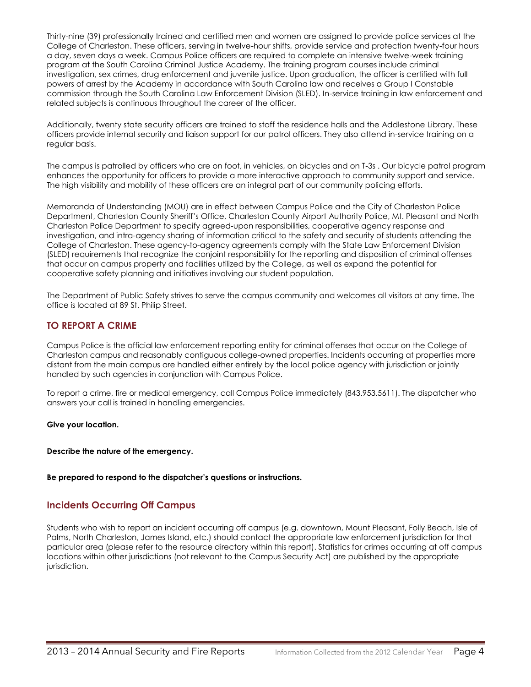Thirty-nine (39) professionally trained and certified men and women are assigned to provide police services at the College of Charleston. These officers, serving in twelve-hour shifts, provide service and protection twenty-four hours a day, seven days a week. Campus Police officers are required to complete an intensive twelve-week training program at the South Carolina Criminal Justice Academy. The training program courses include criminal investigation, sex crimes, drug enforcement and juvenile justice. Upon graduation, the officer is certified with full powers of arrest by the Academy in accordance with South Carolina law and receives a Group I Constable commission through the South Carolina Law Enforcement Division (SLED). In-service training in law enforcement and related subjects is continuous throughout the career of the officer.

Additionally, twenty state security officers are trained to staff the residence halls and the Addlestone Library. These officers provide internal security and liaison support for our patrol officers. They also attend in-service training on a regular basis.

The campus is patrolled by officers who are on foot, in vehicles, on bicycles and on T-3s . Our bicycle patrol program enhances the opportunity for officers to provide a more interactive approach to community support and service. The high visibility and mobility of these officers are an integral part of our community policing efforts.

Memoranda of Understanding (MOU) are in effect between Campus Police and the City of Charleston Police Department, Charleston County Sheriff's Office, Charleston County Airport Authority Police, Mt. Pleasant and North Charleston Police Department to specify agreed-upon responsibilities, cooperative agency response and investigation, and intra-agency sharing of information critical to the safety and security of students attending the College of Charleston. These agency-to-agency agreements comply with the State Law Enforcement Division (SLED) requirements that recognize the conjoint responsibility for the reporting and disposition of criminal offenses that occur on campus property and facilities utilized by the College, as well as expand the potential for cooperative safety planning and initiatives involving our student population.

The Department of Public Safety strives to serve the campus community and welcomes all visitors at any time. The office is located at 89 St. Philip Street.

# **TO REPORT A CRIME**

Campus Police is the official law enforcement reporting entity for criminal offenses that occur on the College of Charleston campus and reasonably contiguous college-owned properties. Incidents occurring at properties more distant from the main campus are handled either entirely by the local police agency with jurisdiction or jointly handled by such agencies in conjunction with Campus Police.

To report a crime, fire or medical emergency, call Campus Police immediately (843.953.5611). The dispatcher who answers your call is trained in handling emergencies.

## **Give your location.**

## **Describe the nature of the emergency.**

## **Be prepared to respond to the dispatcher's questions or instructions.**

# **Incidents Occurring Off Campus**

Students who wish to report an incident occurring off campus (e.g. downtown, Mount Pleasant, Folly Beach, Isle of Palms, North Charleston, James Island, etc.) should contact the appropriate law enforcement jurisdiction for that particular area (please refer to the resource directory within this report). Statistics for crimes occurring at off campus locations within other jurisdictions (not relevant to the Campus Security Act) are published by the appropriate jurisdiction.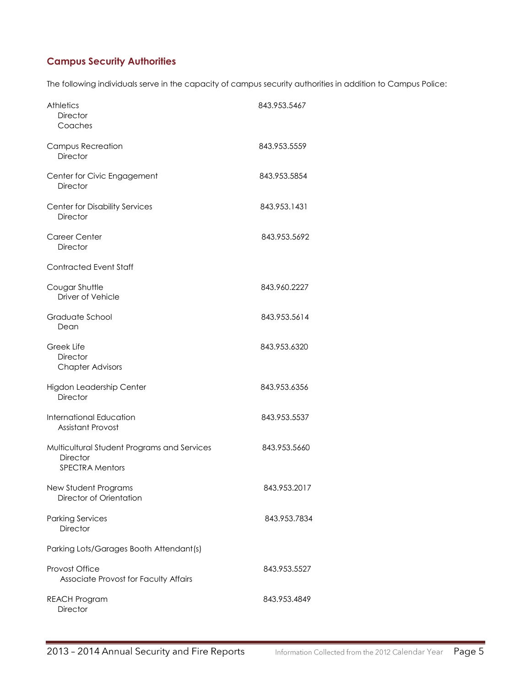# **Campus Security Authorities**

The following individuals serve in the capacity of campus security authorities in addition to Campus Police:

| <b>Athletics</b><br><b>Director</b><br>Coaches                                           | 843.953.5467 |
|------------------------------------------------------------------------------------------|--------------|
| Campus Recreation<br><b>Director</b>                                                     | 843.953.5559 |
| Center for Civic Engagement<br><b>Director</b>                                           | 843.953.5854 |
| <b>Center for Disability Services</b><br><b>Director</b>                                 | 843.953.1431 |
| <b>Career Center</b><br><b>Director</b>                                                  | 843.953.5692 |
| <b>Contracted Event Staff</b>                                                            |              |
| Cougar Shuttle<br>Driver of Vehicle                                                      | 843.960.2227 |
| Graduate School<br>Dean                                                                  | 843.953.5614 |
| Greek Life<br><b>Director</b><br><b>Chapter Advisors</b>                                 | 843.953.6320 |
| Higdon Leadership Center<br><b>Director</b>                                              | 843.953.6356 |
| International Education<br><b>Assistant Provost</b>                                      | 843.953.5537 |
| Multicultural Student Programs and Services<br><b>Director</b><br><b>SPECTRA Mentors</b> | 843.953.5660 |
| New Student Programs<br>Director of Orientation                                          | 843.953.2017 |
| <b>Parking Services</b><br><b>Director</b>                                               | 843.953.7834 |
| Parking Lots/Garages Booth Attendant(s)                                                  |              |
| <b>Provost Office</b><br>Associate Provost for Faculty Affairs                           | 843.953.5527 |
| <b>REACH Program</b><br>Director                                                         | 843.953.4849 |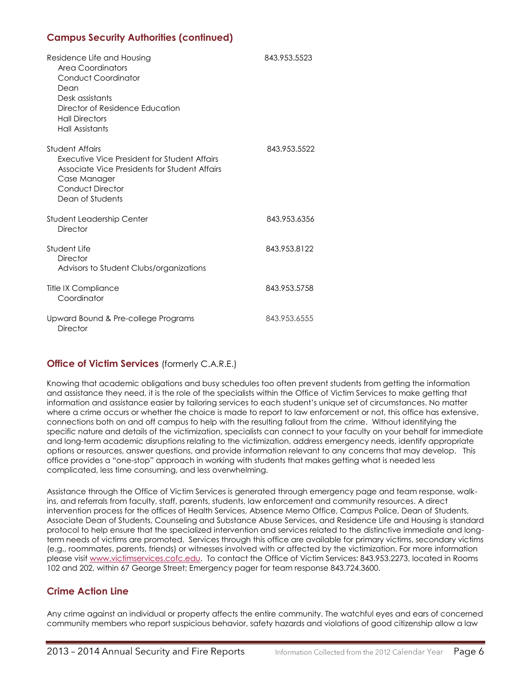# **Campus Security Authorities (continued)**

| Residence Life and Housing<br>Area Coordinators<br>Conduct Coordinator<br>Dean<br>Desk assistants<br>Director of Residence Education<br><b>Hall Directors</b><br>Hall Assistants       | 843.953.5523 |
|----------------------------------------------------------------------------------------------------------------------------------------------------------------------------------------|--------------|
| <b>Student Affairs</b><br>Executive Vice President for Student Affairs<br>Associate Vice Presidents for Student Affairs<br>Case Manager<br><b>Conduct Director</b><br>Dean of Students | 843.953.5522 |
| Student Leadership Center<br><b>Director</b>                                                                                                                                           | 843.953.6356 |
| Student Life<br>Director<br>Advisors to Student Clubs/organizations                                                                                                                    | 843.953.8122 |
| Title IX Compliance<br>Coordinator                                                                                                                                                     | 843.953.5758 |
| Upward Bound & Pre-college Programs<br><b>Director</b>                                                                                                                                 | 843.953.6555 |

# **Office of Victim Services** (formerly C.A.R.E.)

Knowing that academic obligations and busy schedules too often prevent students from getting the information and assistance they need, it is the role of the specialists within the Office of Victim Services to make getting that information and assistance easier by tailoring services to each student's unique set of circumstances. No matter where a crime occurs or whether the choice is made to report to law enforcement or not, this office has extensive, connections both on and off campus to help with the resulting fallout from the crime. Without identifying the specific nature and details of the victimization, specialists can connect to your faculty on your behalf for immediate and long-term academic disruptions relating to the victimization, address emergency needs, identify appropriate options or resources, answer questions, and provide information relevant to any concerns that may develop. This office provides a "one-stop" approach in working with students that makes getting what is needed less complicated, less time consuming, and less overwhelming.

Assistance through the Office of Victim Services is generated through emergency page and team response, walkins, and referrals from faculty, staff, parents, students, law enforcement and community resources. A direct intervention process for the offices of Health Services, Absence Memo Office, Campus Police, Dean of Students, Associate Dean of Students, Counseling and Substance Abuse Services, and Residence Life and Housing is standard protocol to help ensure that the specialized intervention and services related to the distinctive immediate and longterm needs of victims are promoted. Services through this office are available for primary victims, secondary victims (e.g., roommates, parents, friends) or witnesses involved with or affected by the victimization. For more information please visi[t www.victimservices.cofc.edu.](http://www.victimservices.cofc.edu/) To contact the Office of Victim Services: 843.953.2273, located in Rooms 102 and 202, within 67 George Street; Emergency pager for team response 843.724.3600.

# **Crime Action Line**

Any crime against an individual or property affects the entire community. The watchful eyes and ears of concerned community members who report suspicious behavior, safety hazards and violations of good citizenship allow a law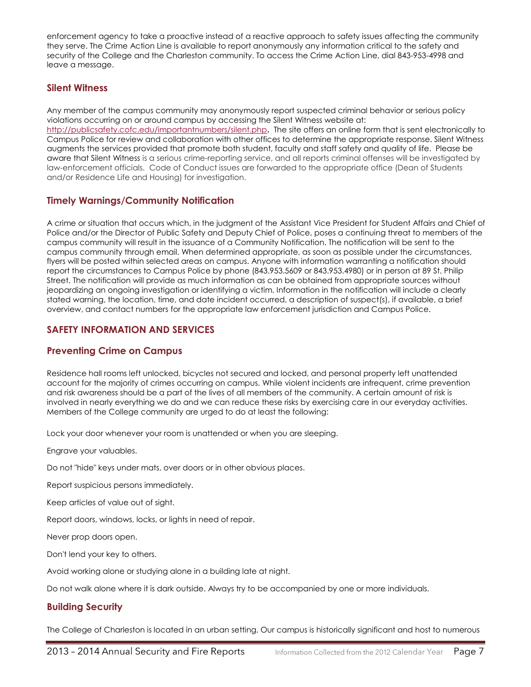enforcement agency to take a proactive instead of a reactive approach to safety issues affecting the community they serve. The Crime Action Line is available to report anonymously any information critical to the safety and security of the College and the Charleston community. To access the Crime Action Line, dial 843-953-4998 and leave a message.

# **Silent Witness**

Any member of the campus community may anonymously report suspected criminal behavior or serious policy violations occurring on or around campus by accessing the Silent Witness website at: <http://publicsafety.cofc.edu/importantnumbers/silent.php>**.** The site offers an online form that is sent electronically to Campus Police for review and collaboration with other offices to determine the appropriate response. Silent Witness augments the services provided that promote both student, faculty and staff safety and quality of life. Please be aware that Silent Witness is a serious crime-reporting service, and all reports criminal offenses will be investigated by law-enforcement officials. Code of Conduct issues are forwarded to the appropriate office (Dean of Students and/or Residence Life and Housing) for investigation.

# **Timely Warnings/Community Notification**

A crime or situation that occurs which, in the judgment of the Assistant Vice President for Student Affairs and Chief of Police and/or the Director of Public Safety and Deputy Chief of Police, poses a continuing threat to members of the campus community will result in the issuance of a Community Notification. The notification will be sent to the campus community through email. When determined appropriate, as soon as possible under the circumstances, flyers will be posted within selected areas on campus. Anyone with information warranting a notification should report the circumstances to Campus Police by phone (843.953.5609 or 843.953.4980) or in person at 89 St. Philip Street. The notification will provide as much information as can be obtained from appropriate sources without jeopardizing an ongoing investigation or identifying a victim. Information in the notification will include a clearly stated warning, the location, time, and date incident occurred, a description of suspect(s), if available, a brief overview, and contact numbers for the appropriate law enforcement jurisdiction and Campus Police.

# **SAFETY INFORMATION AND SERVICES**

# **Preventing Crime on Campus**

Residence hall rooms left unlocked, bicycles not secured and locked, and personal property left unattended account for the majority of crimes occurring on campus. While violent incidents are infrequent, crime prevention and risk awareness should be a part of the lives of all members of the community. A certain amount of risk is involved in nearly everything we do and we can reduce these risks by exercising care in our everyday activities. Members of the College community are urged to do at least the following:

Lock your door whenever your room is unattended or when you are sleeping.

Engrave your valuables.

Do not "hide" keys under mats, over doors or in other obvious places.

Report suspicious persons immediately.

Keep articles of value out of sight.

Report doors, windows, locks, or lights in need of repair.

Never prop doors open.

Don't lend your key to others.

Avoid working alone or studying alone in a building late at night.

Do not walk alone where it is dark outside. Always try to be accompanied by one or more individuals.

# **Building Security**

The College of Charleston is located in an urban setting. Our campus is historically significant and host to numerous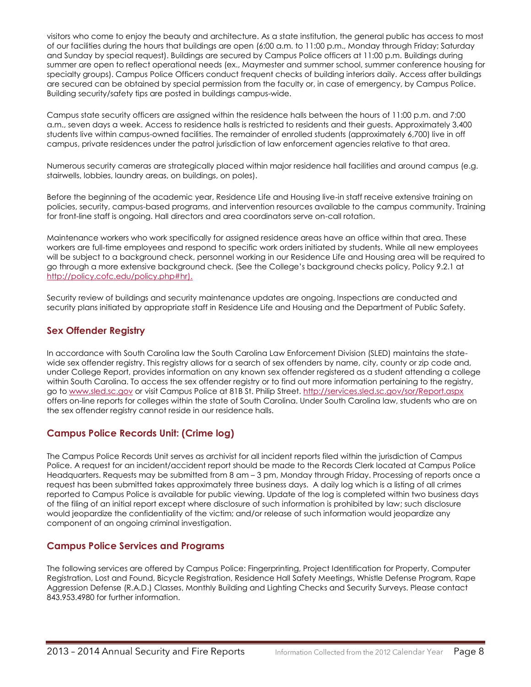visitors who come to enjoy the beauty and architecture. As a state institution, the general public has access to most of our facilities during the hours that buildings are open (6:00 a.m. to 11:00 p.m., Monday through Friday; Saturday and Sunday by special request). Buildings are secured by Campus Police officers at 11:00 p.m. Buildings during summer are open to reflect operational needs (ex., Maymester and summer school, summer conference housing for specialty groups). Campus Police Officers conduct frequent checks of building interiors daily. Access after buildings are secured can be obtained by special permission from the faculty or, in case of emergency, by Campus Police. Building security/safety tips are posted in buildings campus-wide.

Campus state security officers are assigned within the residence halls between the hours of 11:00 p.m. and 7:00 a.m., seven days a week. Access to residence halls is restricted to residents and their guests. Approximately 3,400 students live within campus-owned facilities. The remainder of enrolled students (approximately 6,700) live in off campus, private residences under the patrol jurisdiction of law enforcement agencies relative to that area.

Numerous security cameras are strategically placed within major residence hall facilities and around campus (e.g. stairwells, lobbies, laundry areas, on buildings, on poles).

Before the beginning of the academic year, Residence Life and Housing live-in staff receive extensive training on policies, security, campus-based programs, and intervention resources available to the campus community. Training for front-line staff is ongoing. Hall directors and area coordinators serve on-call rotation.

Maintenance workers who work specifically for assigned residence areas have an office within that area. These workers are full-time employees and respond to specific work orders initiated by students. While all new employees will be subject to a background check, personnel working in our Residence Life and Housing area will be required to go through a more extensive background check. (See the College's background checks policy, Policy 9.2.1 at [http://policy.cofc.edu/policy.php#hr\)](http://policy.cofc.edu/policy.php#hr).

Security review of buildings and security maintenance updates are ongoing. Inspections are conducted and security plans initiated by appropriate staff in Residence Life and Housing and the Department of Public Safety.

# **Sex Offender Registry**

In accordance with South Carolina law the South Carolina Law Enforcement Division (SLED) maintains the statewide sex offender registry. This registry allows for a search of sex offenders by name, city, county or zip code and, under College Report, provides information on any known sex offender registered as a student attending a college within South Carolina. To access the sex offender registry or to find out more information pertaining to the registry, go to [www.sled.sc.gov](http://www.sled.sc.gov/) or visit Campus Police at 81B St. Philip Street[. http://services.sled.sc.gov/sor/Report.aspx](http://services.sled.sc.gov/sor/Report.aspx)  offers on-line reports for colleges within the state of South Carolina. Under South Carolina law, students who are on the sex offender registry cannot reside in our residence halls.

# **Campus Police Records Unit: (Crime log)**

The Campus Police Records Unit serves as archivist for all incident reports filed within the jurisdiction of Campus Police. A request for an incident/accident report should be made to the Records Clerk located at Campus Police Headquarters. Requests may be submitted from 8 am – 3 pm, Monday through Friday. Processing of reports once a request has been submitted takes approximately three business days. A daily log which is a listing of all crimes reported to Campus Police is available for public viewing. Update of the log is completed within two business days of the filing of an initial report except where disclosure of such information is prohibited by law; such disclosure would jeopardize the confidentiality of the victim; and/or release of such information would jeopardize any component of an ongoing criminal investigation.

# **Campus Police Services and Programs**

The following services are offered by Campus Police: Fingerprinting, Project Identification for Property, Computer Registration, Lost and Found, Bicycle Registration, Residence Hall Safety Meetings, Whistle Defense Program, Rape Aggression Defense (R.A.D.) Classes, Monthly Building and Lighting Checks and Security Surveys. Please contact 843.953.4980 for further information.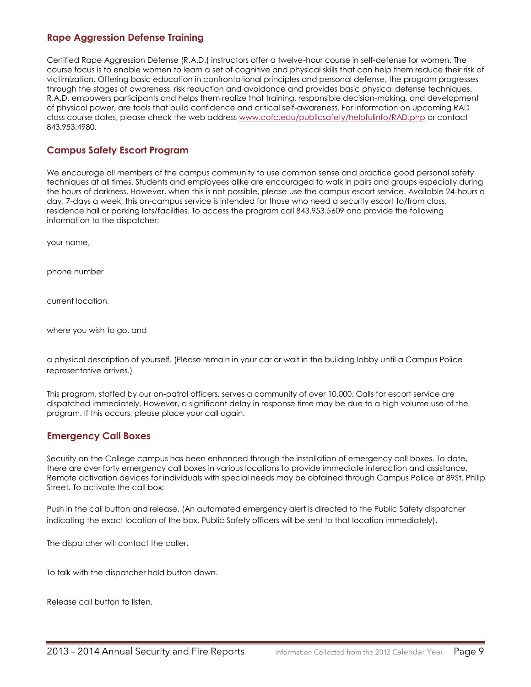# **Rape Aggression Defense Training**

Certified Rape Aggression Defense (R.A.D.) instructors offer a twelve-hour course in self-defense for women. The course focus is to enable women to learn a set of cognitive and physical skills that can help them reduce their risk of victimization. Offering basic education in confrontational principles and personal defense, the program progresses through the stages of awareness, risk reduction and avoidance and provides basic physical defense techniques. R.A.D. empowers participants and helps them realize that training, responsible decision-making, and development of physical power, are tools that build confidence and critical self-awareness. For information on upcoming RAD class course dates, please check the web address [www.cofc.edu/publicsafety/helpfulinfo/RAD.php](http://www.cofc.edu/publicsafety/helpfulinfo/RAD.php) or contact 843.953.4980.

# **Campus Safety Escort Program**

We encourage all members of the campus community to use common sense and practice good personal safety techniques at all times. Students and employees alike are encouraged to walk in pairs and groups especially during the hours of darkness. However, when this is not possible, please use the campus escort service. Available 24-hours a day, 7-days a week, this on-campus service is intended for those who need a security escort to/from class, residence hall or parking lots/facilities. To access the program call 843.953.5609 and provide the following information to the dispatcher:

your name,

phone number

current location,

where you wish to go, and

a physical description of yourself. (Please remain in your car or wait in the building lobby until a Campus Police representative arrives.)

This program, staffed by our on-patrol officers, serves a community of over 10,000. Calls for escort service are dispatched immediately. However, a significant delay in response time may be due to a high volume use of the program. If this occurs, please place your call again.

# **Emergency Call Boxes**

Security on the College campus has been enhanced through the installation of emergency call boxes. To date, there are over forty emergency call boxes in various locations to provide immediate interaction and assistance. Remote activation devices for individuals with special needs may be obtained through Campus Police at 89St. Philip Street. To activate the call box:

Push in the call button and release. (An automated emergency alert is directed to the Public Safety dispatcher indicating the exact location of the box. Public Safety officers will be sent to that location immediately).

The dispatcher will contact the caller.

To talk with the dispatcher hold button down.

Release call button to listen.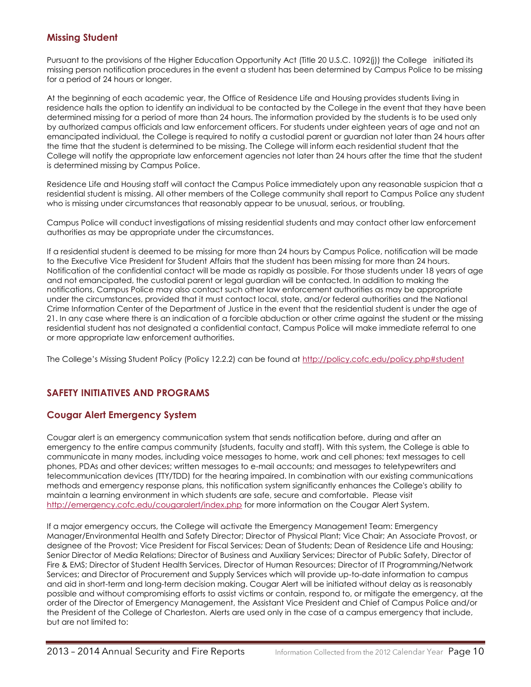# **Missing Student**

Pursuant to the provisions of the Higher Education Opportunity Act (Title 20 U.S.C. 1092(j)) the College initiated its missing person notification procedures in the event a student has been determined by Campus Police to be missing for a period of 24 hours or longer.

At the beginning of each academic year, the Office of Residence Life and Housing provides students living in residence halls the option to identify an individual to be contacted by the College in the event that they have been determined missing for a period of more than 24 hours. The information provided by the students is to be used only by authorized campus officials and law enforcement officers. For students under eighteen years of age and not an emancipated individual, the College is required to notify a custodial parent or guardian not later than 24 hours after the time that the student is determined to be missing. The College will inform each residential student that the College will notify the appropriate law enforcement agencies not later than 24 hours after the time that the student is determined missing by Campus Police.

Residence Life and Housing staff will contact the Campus Police immediately upon any reasonable suspicion that a residential student is missing. All other members of the College community shall report to Campus Police any student who is missing under circumstances that reasonably appear to be unusual, serious, or troubling.

Campus Police will conduct investigations of missing residential students and may contact other law enforcement authorities as may be appropriate under the circumstances.

If a residential student is deemed to be missing for more than 24 hours by Campus Police, notification will be made to the Executive Vice President for Student Affairs that the student has been missing for more than 24 hours. Notification of the confidential contact will be made as rapidly as possible. For those students under 18 years of age and not emancipated, the custodial parent or legal guardian will be contacted. In addition to making the notifications, Campus Police may also contact such other law enforcement authorities as may be appropriate under the circumstances, provided that it must contact local, state, and/or federal authorities and the National Crime Information Center of the Department of Justice in the event that the residential student is under the age of 21. In any case where there is an indication of a forcible abduction or other crime against the student or the missing residential student has not designated a confidential contact, Campus Police will make immediate referral to one or more appropriate law enforcement authorities.

The College's Missing Student Policy (Policy 12.2.2) can be found at <http://policy.cofc.edu/policy.php#student>

# **SAFETY INITIATIVES AND PROGRAMS**

# **Cougar Alert Emergency System**

Cougar alert is an emergency communication system that sends notification before, during and after an emergency to the entire campus community (students, faculty and staff). With this system, the College is able to communicate in many modes, including voice messages to home, work and cell phones; text messages to cell phones, PDAs and other devices; written messages to e-mail accounts; and messages to teletypewriters and telecommunication devices (TTY/TDD) for the hearing impaired. In combination with our existing communications methods and emergency response plans, this notification system significantly enhances the College's ability to maintain a learning environment in which students are safe, secure and comfortable. Please visit <http://emergency.cofc.edu/cougaralert/index.php> for more information on the Cougar Alert System.

If a major emergency occurs, the College will activate the Emergency Management Team: Emergency Manager/Environmental Health and Safety Director; Director of Physical Plant; Vice Chair; An Associate Provost, or designee of the Provost; Vice President for Fiscal Services; Dean of Students; Dean of Residence Life and Housing; Senior Director of Media Relations; Director of Business and Auxiliary Services; Director of Public Safety, Director of Fire & EMS; Director of Student Health Services, Director of Human Resources; Director of IT Programming/Network Services; and Director of Procurement and Supply Services which will provide up-to-date information to campus and aid in short-term and long-term decision making. Cougar Alert will be initiated without delay as is reasonably possible and without compromising efforts to assist victims or contain, respond to, or mitigate the emergency, at the order of the Director of Emergency Management, the Assistant Vice President and Chief of Campus Police and/or the President of the College of Charleston. Alerts are used only in the case of a campus emergency that include, but are not limited to: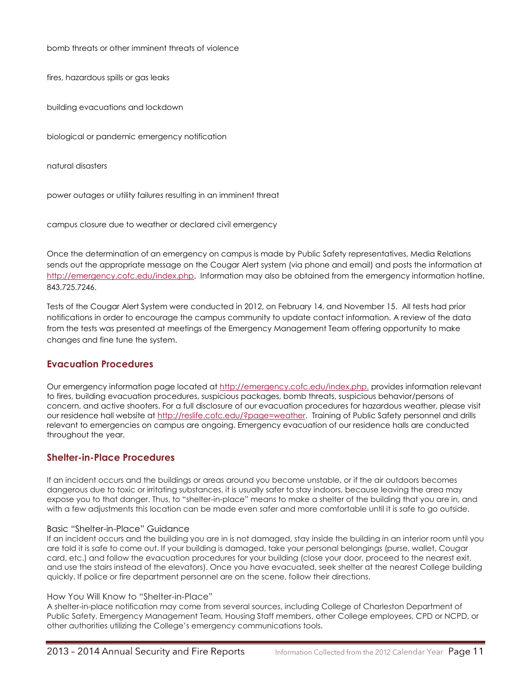bomb threats or other imminent threats of violence

fires, hazardous spills or gas leaks

building evacuations and lockdown

biological or pandemic emergency notification

natural disasters

power outages or utility failures resulting in an imminent threat

campus closure due to weather or declared civil emergency

Once the determination of an emergency on campus is made by Public Safety representatives, Media Relations sends out the appropriate message on the Cougar Alert system (via phone and email) and posts the information at [http://emergency.cofc.edu/index.php.](http://emergency.cofc.edu/index.php) Information may also be obtained from the emergency information hotline, 843.725.7246.

Tests of the Cougar Alert System were conducted in 2012, on February 14, and November 15. All tests had prior notifications in order to encourage the campus community to update contact information. A review of the data from the tests was presented at meetings of the Emergency Management Team offering opportunity to make changes and fine tune the system.

# **Evacuation Procedures**

Our emergency information page located at [http://emergency.cofc.edu/index.php.](http://emergency.cofc.edu/index.php) provides information relevant to fires, building evacuation procedures, suspicious packages, bomb threats, suspicious behavior/persons of concern, and active shooters. For a full disclosure of our evacuation procedures for hazardous weather, please visit our residence hall website a[t http://reslife.cofc.edu/?page=weather.](http://reslife.cofc.edu/?page=weather) Training of Public Safety personnel and drills relevant to emergencies on campus are ongoing. Emergency evacuation of our residence halls are conducted throughout the year.

# **Shelter-in-Place Procedures**

If an incident occurs and the buildings or areas around you become unstable, or if the air outdoors becomes dangerous due to toxic or irritating substances, it is usually safer to stay indoors, because leaving the area may expose you to that danger. Thus, to "shelter-in-place" means to make a shelter of the building that you are in, and with a few adjustments this location can be made even safer and more comfortable until it is safe to go outside.

## Basic "Shelter-in-Place" Guidance

If an incident occurs and the building you are in is not damaged, stay inside the building in an interior room until you are told it is safe to come out. If your building is damaged, take your personal belongings (purse, wallet, Cougar card, etc.) and follow the evacuation procedures for your building (close your door, proceed to the nearest exit, and use the stairs instead of the elevators). Once you have evacuated, seek shelter at the nearest College building quickly. If police or fire department personnel are on the scene, follow their directions.

## How You Will Know to "Shelter-in-Place"

A shelter-in-place notification may come from several sources, including College of Charleston Department of Public Safety, Emergency Management Team, Housing Staff members, other College employees, CPD or NCPD, or other authorities utilizing the College's emergency communications tools.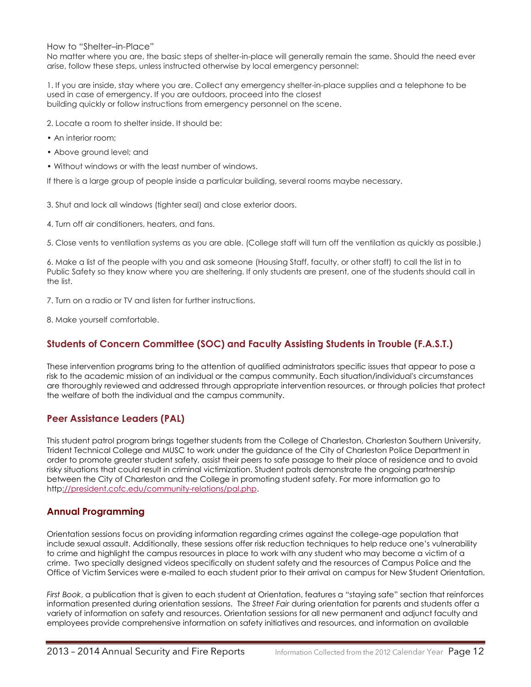## How to "Shelter–in-Place"

No matter where you are, the basic steps of shelter-in-place will generally remain the same. Should the need ever arise, follow these steps, unless instructed otherwise by local emergency personnel:

1. If you are inside, stay where you are. Collect any emergency shelter-in-place supplies and a telephone to be used in case of emergency. If you are outdoors, proceed into the closest building quickly or follow instructions from emergency personnel on the scene.

2. Locate a room to shelter inside. It should be:

- An interior room;
- Above ground level; and
- Without windows or with the least number of windows.

If there is a large group of people inside a particular building, several rooms maybe necessary.

3. Shut and lock all windows (tighter seal) and close exterior doors.

4. Turn off air conditioners, heaters, and fans.

5. Close vents to ventilation systems as you are able. (College staff will turn off the ventilation as quickly as possible.)

6. Make a list of the people with you and ask someone (Housing Staff, faculty, or other staff) to call the list in to Public Safety so they know where you are sheltering. If only students are present, one of the students should call in the list.

7. Turn on a radio or TV and listen for further instructions.

8. Make yourself comfortable.

# **Students of Concern Committee (SOC) and Faculty Assisting Students in Trouble (F.A.S.T.)**

These intervention programs bring to the attention of qualified administrators specific issues that appear to pose a risk to the academic mission of an individual or the campus community. Each situation/individual's circumstances are thoroughly reviewed and addressed through appropriate intervention resources, or through policies that protect the welfare of both the individual and the campus community.

# **Peer Assistance Leaders (PAL)**

This student patrol program brings together students from the College of Charleston, Charleston Southern University, Trident Technical College and MUSC to work under the guidance of the City of Charleston Police Department in order to promote greater student safety, assist their peers to safe passage to their place of residence and to avoid risky situations that could result in criminal victimization. Student patrols demonstrate the ongoing partnership between the City of Charleston and the College in promoting student safety. For more information go to htt[p://president.cofc.edu/community-relations/pal.php.](http://president.cofc.edu/community-relations/pal.php)

# **Annual Programming**

Orientation sessions focus on providing information regarding crimes against the college-age population that include sexual assault. Additionally, these sessions offer risk reduction techniques to help reduce one's vulnerability to crime and highlight the campus resources in place to work with any student who may become a victim of a crime. Two specially designed videos specifically on student safety and the resources of Campus Police and the Office of Victim Services were e-mailed to each student prior to their arrival on campus for New Student Orientation.

*First Book*, a publication that is given to each student at Orientation, features a "staying safe" section that reinforces information presented during orientation sessions. The *Street Fair* during orientation for parents and students offer a variety of information on safety and resources. Orientation sessions for all new permanent and adjunct faculty and employees provide comprehensive information on safety initiatives and resources, and information on available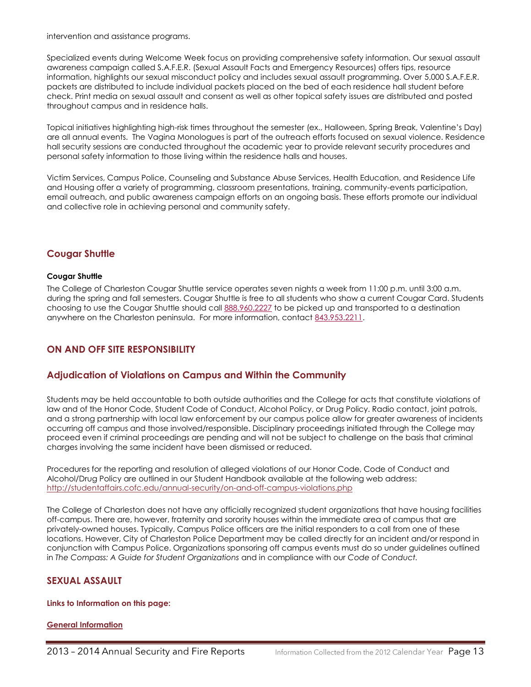intervention and assistance programs.

Specialized events during Welcome Week focus on providing comprehensive safety information. Our sexual assault awareness campaign called S.A.F.E.R. (Sexual Assault Facts and Emergency Resources) offers tips, resource information, highlights our sexual misconduct policy and includes sexual assault programming. Over 5,000 S.A.F.E.R. packets are distributed to include individual packets placed on the bed of each residence hall student before check. Print media on sexual assault and consent as well as other topical safety issues are distributed and posted throughout campus and in residence halls.

Topical initiatives highlighting high-risk times throughout the semester (ex., Halloween, Spring Break, Valentine's Day) are all annual events. The Vagina Monologues is part of the outreach efforts focused on sexual violence. Residence hall security sessions are conducted throughout the academic year to provide relevant security procedures and personal safety information to those living within the residence halls and houses.

Victim Services, Campus Police, Counseling and Substance Abuse Services, Health Education, and Residence Life and Housing offer a variety of programming, classroom presentations, training, community-events participation, email outreach, and public awareness campaign efforts on an ongoing basis. These efforts promote our individual and collective role in achieving personal and community safety.

# **Cougar Shuttle**

## **Cougar Shuttle**

The College of Charleston Cougar Shuttle service operates seven nights a week from 11:00 p.m. until 3:00 a.m. during the spring and fall semesters. Cougar Shuttle is free to all students who show a current Cougar Card. Students choosing to use the Cougar Shuttle should call [888.960.2227](tel:888.960.2227) to be picked up and transported to a destination anywhere on the Charleston peninsula. For more information, contact [843.953.2211.](tel:843.953.2211)

# **ON AND OFF SITE RESPONSIBILITY**

# **Adjudication of Violations on Campus and Within the Community**

Students may be held accountable to both outside authorities and the College for acts that constitute violations of law and of the Honor Code, Student Code of Conduct, Alcohol Policy, or Drug Policy. Radio contact, joint patrols, and a strong partnership with local law enforcement by our campus police allow for greater awareness of incidents occurring off campus and those involved/responsible. Disciplinary proceedings initiated through the College may proceed even if criminal proceedings are pending and will not be subject to challenge on the basis that criminal charges involving the same incident have been dismissed or reduced.

Procedures for the reporting and resolution of alleged violations of our Honor Code, Code of Conduct and Alcohol/Drug Policy are outlined in our Student Handbook available at the following web address: <http://studentaffairs.cofc.edu/annual-security/on-and-off-campus-violations.php>

The College of Charleston does not have any officially recognized student organizations that have housing facilities off-campus. There are, however, fraternity and sorority houses within the immediate area of campus that are privately-owned houses. Typically, Campus Police officers are the initial responders to a call from one of these locations. However, City of Charleston Police Department may be called directly for an incident and/or respond in conjunction with Campus Police. Organizations sponsoring off campus events must do so under guidelines outlined in *The Compass: A Guide for Student Organizations* and in compliance with our *Code of Conduct.* 

# **SEXUAL ASSAULT**

## **Links to Information on this page:**

## **[General Information](http://studentaffairs.cofc.edu/general_info/annual_security/sexual_assault.html#general)**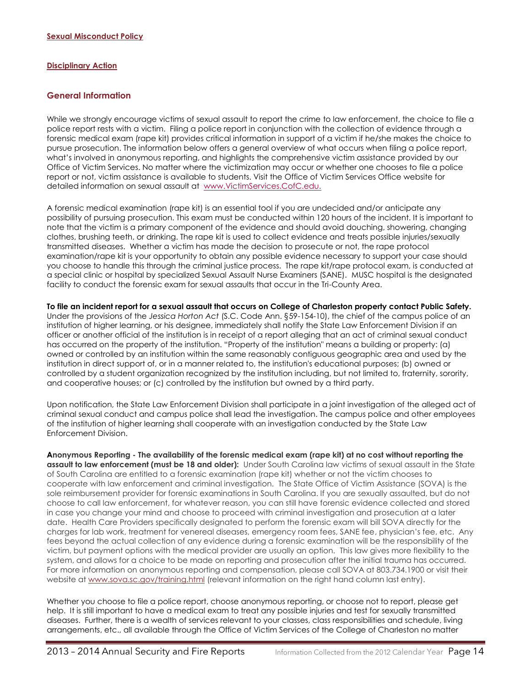## **[Disciplinary Action](http://studentaffairs.cofc.edu/general_info/annual_security/sexual_assault.html#disciplinary)**

# **General Information**

While we strongly encourage victims of sexual assault to report the crime to law enforcement, the choice to file a police report rests with a victim. Filing a police report in conjunction with the collection of evidence through a forensic medical exam (rape kit) provides critical information in support of a victim if he/she makes the choice to pursue prosecution. The information below offers a general overview of what occurs when filing a police report, what's involved in anonymous reporting, and highlights the comprehensive victim assistance provided by our Office of Victim Services. No matter where the victimization may occur or whether one chooses to file a police report or not, victim assistance is available to students. Visit the Office of Victim Services Office website for detailed information on sexual assault at www.VictimServices.CofC.edu.

A forensic medical examination (rape kit) is an essential tool if you are undecided and/or anticipate any possibility of pursuing prosecution. This exam must be conducted within 120 hours of the incident. It is important to note that the victim is a primary component of the evidence and should avoid douching, showering, changing clothes, brushing teeth, or drinking. The rape kit is used to collect evidence and treats possible injuries/sexually transmitted diseases. Whether a victim has made the decision to prosecute or not, the rape protocol examination/rape kit is your opportunity to obtain any possible evidence necessary to support your case should you choose to handle this through the criminal justice process. The rape kit/rape protocol exam, is conducted at a special clinic or hospital by specialized Sexual Assault Nurse Examiners (SANE). MUSC hospital is the designated facility to conduct the forensic exam for sexual assaults that occur in the Tri-County Area.

**To file an incident report for a sexual assault that occurs on College of Charleston property contact Public Safety.** Under the provisions of the *Jessica Horton Act* (S.C. Code Ann. §59-154-10), the chief of the campus police of an institution of higher learning, or his designee, immediately shall notify the State Law Enforcement Division if an officer or another official of the institution is in receipt of a report alleging that an act of criminal sexual conduct has occurred on the property of the institution. "Property of the institution" means a building or property: (a) owned or controlled by an institution within the same reasonably contiguous geographic area and used by the institution in direct support of, or in a manner related to, the institution's educational purposes; (b) owned or controlled by a student organization recognized by the institution including, but not limited to, fraternity, sorority, and cooperative houses; or (c) controlled by the institution but owned by a third party.

Upon notification, the State Law Enforcement Division shall participate in a joint investigation of the alleged act of criminal sexual conduct and campus police shall lead the investigation. The campus police and other employees of the institution of higher learning shall cooperate with an investigation conducted by the State Law Enforcement Division.

**Anonymous Reporting - The availability of the forensic medical exam (rape kit) at no cost without reporting the assault to law enforcement (must be 18 and older):** Under South Carolina law victims of sexual assault in the State of South Carolina are entitled to a forensic examination (rape kit) whether or not the victim chooses to cooperate with law enforcement and criminal investigation. The State Office of Victim Assistance (SOVA) is the sole reimbursement provider for forensic examinations in South Carolina. If you are sexually assaulted, but do not choose to call law enforcement, for whatever reason, you can still have forensic evidence collected and stored in case you change your mind and choose to proceed with criminal investigation and prosecution at a later date. Health Care Providers specifically designated to perform the forensic exam will bill SOVA directly for the charges for lab work, treatment for venereal diseases, emergency room fees, SANE fee, physician's fee, etc. Any fees beyond the actual collection of any evidence during a forensic examination will be the responsibility of the victim, but payment options with the medical provider are usually an option. This law gives more flexibility to the system, and allows for a choice to be made on reporting and prosecution after the initial trauma has occurred. For more information on anonymous reporting and compensation, please call SOVA at 803.734.1900 or visit their website at [www.sova.sc.gov/training.html](http://www.sova.sc.gov/training.html) (relevant information on the right hand column last entry).

Whether you choose to file a police report, choose anonymous reporting, or choose not to report, please get help. It is still important to have a medical exam to treat any possible injuries and test for sexually transmitted diseases. Further, there is a wealth of services relevant to your classes, class responsibilities and schedule, living arrangements, etc., all available through the Office of Victim Services of the College of Charleston no matter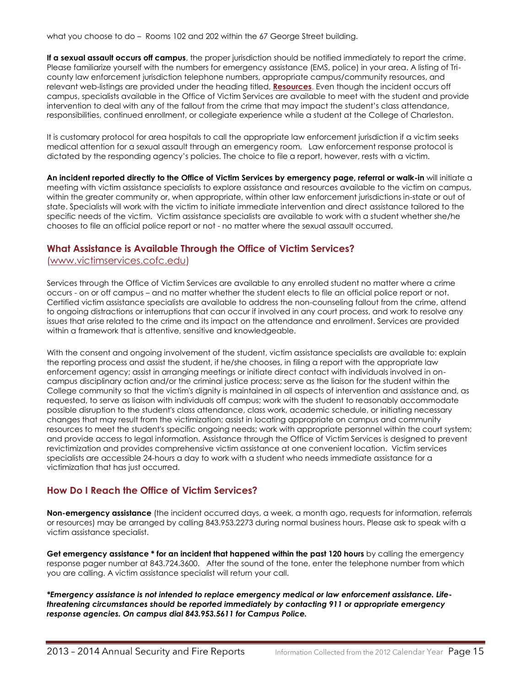what you choose to do – Rooms 102 and 202 within the 67 George Street building.

**If a sexual assault occurs off campus**, the proper jurisdiction should be notified immediately to report the crime. Please familiarize yourself with the numbers for emergency assistance (EMS, police) in your area. A listing of Tricounty law enforcement jurisdiction telephone numbers, appropriate campus/community resources, and relevant web-listings are provided under the heading titled, **Resources**. Even though the incident occurs off campus, specialists available in the Office of Victim Services are available to meet with the student and provide intervention to deal with any of the fallout from the crime that may impact the student's class attendance, responsibilities, continued enrollment, or collegiate experience while a student at the College of Charleston.

It is customary protocol for area hospitals to call the appropriate law enforcement jurisdiction if a victim seeks medical attention for a sexual assault through an emergency room. Law enforcement response protocol is dictated by the responding agency's policies. The choice to file a report, however, rests with a victim.

**An incident reported directly to the Office of Victim Services by emergency page, referral or walk-in** will initiate a meeting with victim assistance specialists to explore assistance and resources available to the victim on campus, within the greater community or, when appropriate, within other law enforcement jurisdictions in-state or out of state. Specialists will work with the victim to initiate immediate intervention and direct assistance tailored to the specific needs of the victim. Victim assistance specialists are available to work with a student whether she/he chooses to file an official police report or not - no matter where the sexual assault occurred.

# **What Assistance is Available Through the Office of Victim Services?**

## [\(www.victimservices.](http://www.victimservices/)cofc.edu)

Services through the Office of Victim Services are available to any enrolled student no matter where a crime occurs - on or off campus – and no matter whether the student elects to file an official police report or not. Certified victim assistance specialists are available to address the non-counseling fallout from the crime, attend to ongoing distractions or interruptions that can occur if involved in any court process, and work to resolve any issues that arise related to the crime and its impact on the attendance and enrollment. Services are provided within a framework that is attentive, sensitive and knowledgeable.

With the consent and ongoing involvement of the student, victim assistance specialists are available to: explain the reporting process and assist the student, if he/she chooses, in filing a report with the appropriate law enforcement agency; assist in arranging meetings or initiate direct contact with individuals involved in oncampus disciplinary action and/or the criminal justice process; serve as the liaison for the student within the College community so that the victim's dignity is maintained in all aspects of intervention and assistance and, as requested, to serve as liaison with individuals off campus; work with the student to reasonably accommodate possible disruption to the student's class attendance, class work, academic schedule, or initiating necessary changes that may result from the victimization; assist in locating appropriate on campus and community resources to meet the student's specific ongoing needs; work with appropriate personnel within the court system; and provide access to legal information. Assistance through the Office of Victim Services is designed to prevent revictimization and provides comprehensive victim assistance at one convenient location. Victim services specialists are accessible 24-hours a day to work with a student who needs immediate assistance for a victimization that has just occurred.

# **How Do I Reach the Office of Victim Services?**

**Non-emergency assistance** (the incident occurred days, a week, a month ago, requests for information, referrals or resources) may be arranged by calling 843.953.2273 during normal business hours. Please ask to speak with a victim assistance specialist.

**Get emergency assistance \* for an incident that happened within the past 120 hours** by calling the emergency response pager number at 843.724.3600. After the sound of the tone, enter the telephone number from which you are calling. A victim assistance specialist will return your call.

*\*Emergency assistance is not intended to replace emergency medical or law enforcement assistance. Lifethreatening circumstances should be reported immediately by contacting 911 or appropriate emergency response agencies. On campus dial 843.953.5611 for Campus Police.*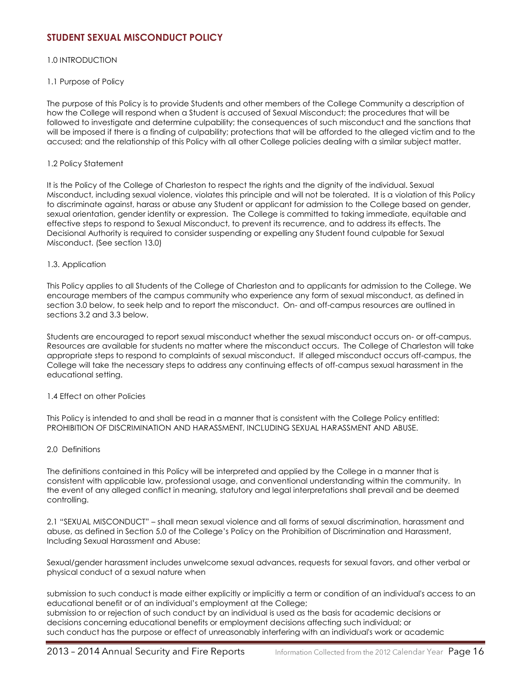# **STUDENT SEXUAL MISCONDUCT POLICY**

#### 1.0 INTRODUCTION

#### 1.1 Purpose of Policy

The purpose of this Policy is to provide Students and other members of the College Community a description of how the College will respond when a Student is accused of Sexual Misconduct; the procedures that will be followed to investigate and determine culpability; the consequences of such misconduct and the sanctions that will be imposed if there is a finding of culpability; protections that will be afforded to the alleged victim and to the accused; and the relationship of this Policy with all other College policies dealing with a similar subject matter.

#### 1.2 Policy Statement

It is the Policy of the College of Charleston to respect the rights and the dignity of the individual. Sexual Misconduct, including sexual violence, violates this principle and will not be tolerated. It is a violation of this Policy to discriminate against, harass or abuse any Student or applicant for admission to the College based on gender, sexual orientation, gender identity or expression. The College is committed to taking immediate, equitable and effective steps to respond to Sexual Misconduct, to prevent its recurrence, and to address its effects. The Decisional Authority is required to consider suspending or expelling any Student found culpable for Sexual Misconduct. (See section 13.0)

#### 1.3. Application

This Policy applies to all Students of the College of Charleston and to applicants for admission to the College. We encourage members of the campus community who experience any form of sexual misconduct, as defined in section 3.0 below, to seek help and to report the misconduct. On- and off-campus resources are outlined in sections 3.2 and 3.3 below.

Students are encouraged to report sexual misconduct whether the sexual misconduct occurs on- or off-campus. Resources are available for students no matter where the misconduct occurs. The College of Charleston will take appropriate steps to respond to complaints of sexual misconduct. If alleged misconduct occurs off-campus, the College will take the necessary steps to address any continuing effects of off-campus sexual harassment in the educational setting.

#### 1.4 Effect on other Policies

This Policy is intended to and shall be read in a manner that is consistent with the College Policy entitled: PROHIBITION OF DISCRIMINATION AND HARASSMENT, INCLUDING SEXUAL HARASSMENT AND ABUSE.

#### 2.0 Definitions

The definitions contained in this Policy will be interpreted and applied by the College in a manner that is consistent with applicable law, professional usage, and conventional understanding within the community. In the event of any alleged conflict in meaning, statutory and legal interpretations shall prevail and be deemed controlling.

2.1 "SEXUAL MISCONDUCT" – shall mean sexual violence and all forms of sexual discrimination, harassment and abuse, as defined in Section 5.0 of the College's Policy on the Prohibition of Discrimination and Harassment, Including Sexual Harassment and Abuse:

Sexual/gender harassment includes unwelcome sexual advances, requests for sexual favors, and other verbal or physical conduct of a sexual nature when

submission to such conduct is made either explicitly or implicitly a term or condition of an individual's access to an educational benefit or of an individual's employment at the College; submission to or rejection of such conduct by an individual is used as the basis for academic decisions or decisions concerning educational benefits or employment decisions affecting such individual; or such conduct has the purpose or effect of unreasonably interfering with an individual's work or academic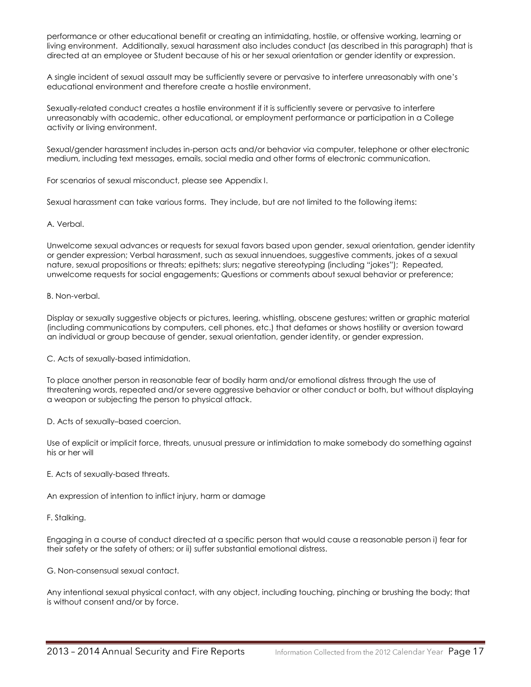performance or other educational benefit or creating an intimidating, hostile, or offensive working, learning or living environment. Additionally, sexual harassment also includes conduct (as described in this paragraph) that is directed at an employee or Student because of his or her sexual orientation or gender identity or expression.

A single incident of sexual assault may be sufficiently severe or pervasive to interfere unreasonably with one's educational environment and therefore create a hostile environment.

Sexually-related conduct creates a hostile environment if it is sufficiently severe or pervasive to interfere unreasonably with academic, other educational, or employment performance or participation in a College activity or living environment.

Sexual/gender harassment includes in-person acts and/or behavior via computer, telephone or other electronic medium, including text messages, emails, social media and other forms of electronic communication.

For scenarios of sexual misconduct, please see Appendix I.

Sexual harassment can take various forms. They include, but are not limited to the following items:

#### A. Verbal.

Unwelcome sexual advances or requests for sexual favors based upon gender, sexual orientation, gender identity or gender expression; Verbal harassment, such as sexual innuendoes, suggestive comments, jokes of a sexual nature, sexual propositions or threats; epithets; slurs; negative stereotyping (including "jokes"); Repeated, unwelcome requests for social engagements; Questions or comments about sexual behavior or preference;

#### B. Non-verbal.

Display or sexually suggestive objects or pictures, leering, whistling, obscene gestures; written or graphic material (including communications by computers, cell phones, etc.) that defames or shows hostility or aversion toward an individual or group because of gender, sexual orientation, gender identity, or gender expression.

C. Acts of sexually-based intimidation.

To place another person in reasonable fear of bodily harm and/or emotional distress through the use of threatening words, repeated and/or severe aggressive behavior or other conduct or both, but without displaying a weapon or subjecting the person to physical attack.

D. Acts of sexually–based coercion.

Use of explicit or implicit force, threats, unusual pressure or intimidation to make somebody do something against his or her will

E. Acts of sexually-based threats.

An expression of intention to inflict injury, harm or damage

F. Stalking.

Engaging in a course of conduct directed at a specific person that would cause a reasonable person i) fear for their safety or the safety of others; or ii) suffer substantial emotional distress.

G. Non-consensual sexual contact.

Any intentional sexual physical contact, with any object, including touching, pinching or brushing the body; that is without consent and/or by force.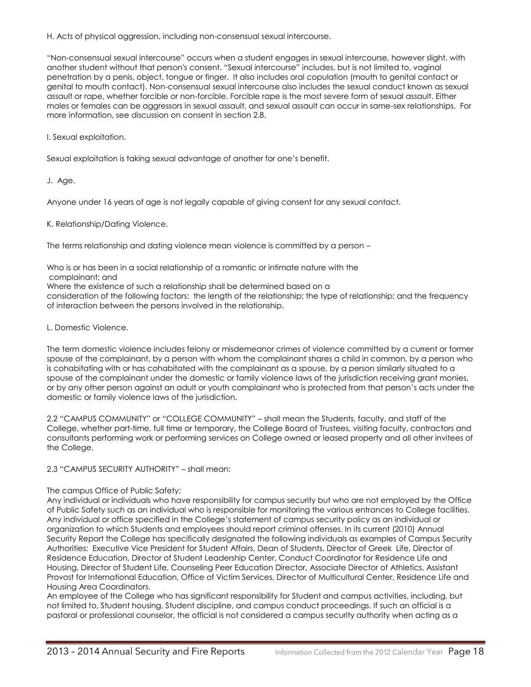H. Acts of physical aggression, including non-consensual sexual intercourse.

"Non-consensual sexual intercourse" occurs when a student engages in sexual intercourse, however slight, with another student without that person's consent. "Sexual intercourse" includes, but is not limited to, vaginal penetration by a penis, object, tongue or finger. It also includes oral copulation (mouth to genital contact or genital to mouth contact). Non-consensual sexual intercourse also includes the sexual conduct known as sexual assault or rape, whether forcible or non-forcible. Forcible rape is the most severe form of sexual assault. Either males or females can be aggressors in sexual assault, and sexual assault can occur in same-sex relationships. For more information, see discussion on consent in section 2.8.

I. Sexual exploitation.

Sexual exploitation is taking sexual advantage of another for one's benefit.

J. Age.

Anyone under 16 years of age is not legally capable of giving consent for any sexual contact.

K. Relationship/Dating Violence.

The terms relationship and dating violence mean violence is committed by a person –

Who is or has been in a social relationship of a romantic or intimate nature with the complainant; and Where the existence of such a relationship shall be determined based on a consideration of the following factors: the length of the relationship; the type of relationship; and the frequency of interaction between the persons involved in the relationship.

L. Domestic Violence.

The term domestic violence includes felony or misdemeanor crimes of violence committed by a current or former spouse of the complainant, by a person with whom the complainant shares a child in common, by a person who is cohabitating with or has cohabitated with the complainant as a spouse, by a person similarly situated to a spouse of the complainant under the domestic or family violence laws of the jurisdiction receiving grant monies, or by any other person against an adult or youth complainant who is protected from that person's acts under the domestic or family violence laws of the jurisdiction.

2.2 "CAMPUS COMMUNITY" or "COLLEGE COMMUNITY" – shall mean the Students, faculty, and staff of the College, whether part-time, full time or temporary, the College Board of Trustees, visiting faculty, contractors and consultants performing work or performing services on College owned or leased property and all other invitees of the College.

2.3 "CAMPUS SECURITY AUTHORITY" – shall mean:

## The campus Office of Public Safety;

Any individual or individuals who have responsibility for campus security but who are not employed by the Office of Public Safety such as an individual who is responsible for monitoring the various entrances to College facilities. Any individual or office specified in the College's statement of campus security policy as an individual or organization to which Students and employees should report criminal offenses. In its current (2010) Annual Security Report the College has specifically designated the following individuals as examples of Campus Security Authorities: Executive Vice President for Student Affairs, Dean of Students, Director of Greek Life, Director of Residence Education, Director of Student Leadership Center, Conduct Coordinator for Residence Life and Housing, Director of Student Life, Counseling Peer Education Director, Associate Director of Athletics, Assistant Provost for International Education, Office of Victim Services, Director of Multicultural Center, Residence Life and Housing Area Coordinators.

An employee of the College who has significant responsibility for Student and campus activities, including, but not limited to, Student housing, Student discipline, and campus conduct proceedings. If such an official is a pastoral or professional counselor, the official is not considered a campus security authority when acting as a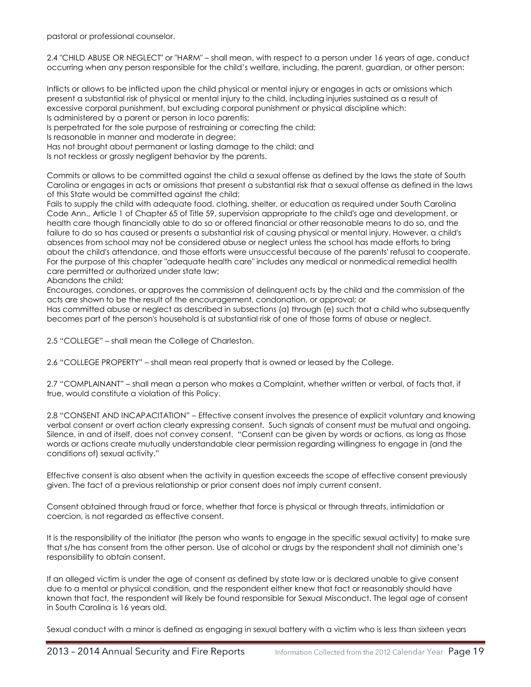pastoral or professional counselor.

2.4 "CHILD ABUSE OR NEGLECT" or "HARM" – shall mean, with respect to a person under 16 years of age, conduct occurring when any person responsible for the child's welfare, including, the parent, guardian, or other person:

Inflicts or allows to be inflicted upon the child physical or mental injury or engages in acts or omissions which present a substantial risk of physical or mental injury to the child, including injuries sustained as a result of excessive corporal punishment, but excluding corporal punishment or physical discipline which: Is administered by a parent or person in loco parentis;

Is perpetrated for the sole purpose of restraining or correcting the child;

Is reasonable in manner and moderate in degree;

Has not brought about permanent or lasting damage to the child; and

Is not reckless or grossly negligent behavior by the parents.

Commits or allows to be committed against the child a sexual offense as defined by the laws the state of South Carolina or engages in acts or omissions that present a substantial risk that a sexual offense as defined in the laws of this State would be committed against the child;

Fails to supply the child with adequate food, clothing, shelter, or education as required under South Carolina Code Ann., Article 1 of Chapter 65 of Title 59, supervision appropriate to the child's age and development, or health care though financially able to do so or offered financial or other reasonable means to do so, and the failure to do so has caused or presents a substantial risk of causing physical or mental injury. However, a child's absences from school may not be considered abuse or neglect unless the school has made efforts to bring about the child's attendance, and those efforts were unsuccessful because of the parents' refusal to cooperate. For the purpose of this chapter "adequate health care" includes any medical or nonmedical remedial health care permitted or authorized under state law;

Abandons the child;

Encourages, condones, or approves the commission of delinquent acts by the child and the commission of the acts are shown to be the result of the encouragement, condonation, or approval; or

Has committed abuse or neglect as described in subsections (a) through (e) such that a child who subsequently becomes part of the person's household is at substantial risk of one of those forms of abuse or neglect.

2.5 "COLLEGE" – shall mean the College of Charleston.

2.6 "COLLEGE PROPERTY" – shall mean real property that is owned or leased by the College.

2.7 "COMPLAINANT" – shall mean a person who makes a Complaint, whether written or verbal, of facts that, if true, would constitute a violation of this Policy.

2.8 "CONSENT AND INCAPACITATION" – Effective consent involves the presence of explicit voluntary and knowing verbal consent or overt action clearly expressing consent. Such signals of consent must be mutual and ongoing. Silence, in and of itself, does not convey consent. "Consent can be given by words or actions, as long as those words or actions create mutually understandable clear permission regarding willingness to engage in (and the conditions of) sexual activity."

Effective consent is also absent when the activity in question exceeds the scope of effective consent previously given. The fact of a previous relationship or prior consent does not imply current consent.

Consent obtained through fraud or force, whether that force is physical or through threats, intimidation or coercion, is not regarded as effective consent.

It is the responsibility of the initiator (the person who wants to engage in the specific sexual activity) to make sure that s/he has consent from the other person. Use of alcohol or drugs by the respondent shall not diminish one's responsibility to obtain consent.

If an alleged victim is under the age of consent as defined by state law or is declared unable to give consent due to a mental or physical condition, and the respondent either knew that fact or reasonably should have known that fact, the respondent will likely be found responsible for Sexual Misconduct. The legal age of consent in South Carolina is 16 years old.

Sexual conduct with a minor is defined as engaging in sexual battery with a victim who is less than sixteen years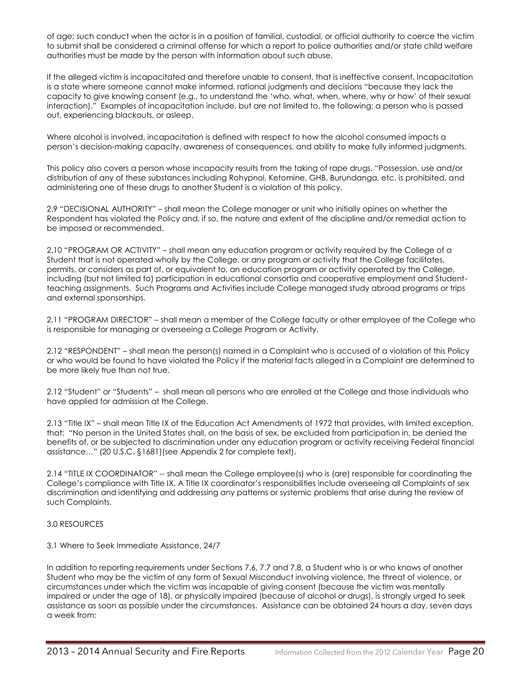of age; such conduct when the actor is in a position of familial, custodial, or official authority to coerce the victim to submit shall be considered a criminal offense for which a report to police authorities and/or state child welfare authorities must be made by the person with information about such abuse.

If the alleged victim is incapacitated and therefore unable to consent, that is ineffective consent. Incapacitation is a state where someone cannot make informed, rational judgments and decisions "because they lack the capacity to give knowing consent (e.g., to understand the 'who, what, when, where, why or how' of their sexual interaction)." Examples of incapacitation include, but are not limited to, the following: a person who is passed out, experiencing blackouts, or asleep.

Where alcohol is involved, incapacitation is defined with respect to how the alcohol consumed impacts a person's decision-making capacity, awareness of consequences, and ability to make fully informed judgments.

This policy also covers a person whose incapacity results from the taking of rape drugs. "Possession, use and/or distribution of any of these substances including Rohypnol, Ketomine, GHB, Burundanga, etc. is prohibited, and administering one of these drugs to another Student is a violation of this policy.

2.9 "DECISIONAL AUTHORITY" – shall mean the College manager or unit who initially opines on whether the Respondent has violated the Policy and, if so, the nature and extent of the discipline and/or remedial action to be imposed or recommended.

2.10 "PROGRAM OR ACTIVITY" – shall mean any education program or activity required by the College of a Student that is not operated wholly by the College, or any program or activity that the College facilitates, permits, or considers as part of, or equivalent to, an education program or activity operated by the College, including (but not limited to) participation in educational consortia and cooperative employment and Studentteaching assignments. Such Programs and Activities include College managed study abroad programs or trips and external sponsorships.

2.11 "PROGRAM DIRECTOR" – shall mean a member of the College faculty or other employee of the College who is responsible for managing or overseeing a College Program or Activity.

2.12 "RESPONDENT" – shall mean the person(s) named in a Complaint who is accused of a violation of this Policy or who would be found to have violated the Policy if the material facts alleged in a Complaint are determined to be more likely true than not true.

2.12 "Student" or "Students" – shall mean all persons who are enrolled at the College and those individuals who have applied for admission at the College.

2.13 "Title IX" – shall mean Title IX of the Education Act Amendments of 1972 that provides, with limited exception, that: "No person in the United States shall, on the basis of sex, be excluded from participation in, be denied the benefits of, or be subjected to discrimination under any education program or activity receiving Federal financial assistance…" (20 U.S.C. §1681)(see Appendix 2 for complete text).

2.14 "TITLE IX COORDINATOR" -- shall mean the College employee(s) who is (are) responsible for coordinating the College's compliance with Title IX. A Title IX coordinator's responsibilities include overseeing all Complaints of sex discrimination and identifying and addressing any patterns or systemic problems that arise during the review of such Complaints.

## 3.0 RESOURCES

3.1 Where to Seek Immediate Assistance, 24/7

In addition to reporting requirements under Sections 7.6, 7.7 and 7.8, a Student who is or who knows of another Student who may be the victim of any form of Sexual Misconduct involving violence, the threat of violence, or circumstances under which the victim was incapable of giving consent (because the victim was mentally impaired or under the age of 18), or physically impaired (because of alcohol or drugs), is strongly urged to seek assistance as soon as possible under the circumstances. Assistance can be obtained 24 hours a day, seven days a week from: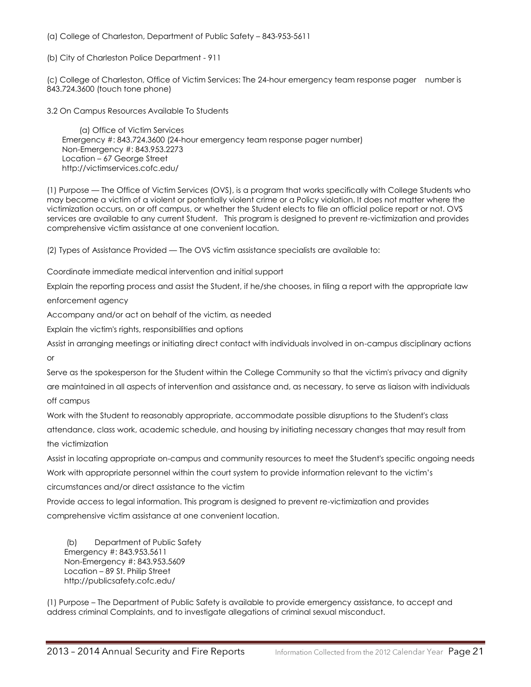(a) College of Charleston, Department of Public Safety – 843-953-5611

(b) City of Charleston Police Department - 911

(c) College of Charleston, Office of Victim Services: The 24-hour emergency team response pager number is 843.724.3600 (touch tone phone)

3.2 On Campus Resources Available To Students

 (a) Office of Victim Services Emergency #: 843.724.3600 (24-hour emergency team response pager number) Non-Emergency #: 843.953.2273 Location – 67 George Street http://victimservices.cofc.edu/

(1) Purpose — The Office of Victim Services (OVS), is a program that works specifically with College Students who may become a victim of a violent or potentially violent crime or a Policy violation. It does not matter where the victimization occurs, on or off campus, or whether the Student elects to file an official police report or not. OVS services are available to any current Student. This program is designed to prevent re-victimization and provides comprehensive victim assistance at one convenient location.

(2) Types of Assistance Provided — The OVS victim assistance specialists are available to:

Coordinate immediate medical intervention and initial support

Explain the reporting process and assist the Student, if he/she chooses, in filing a report with the appropriate law enforcement agency

Accompany and/or act on behalf of the victim, as needed

Explain the victim's rights, responsibilities and options

Assist in arranging meetings or initiating direct contact with individuals involved in on-campus disciplinary actions or

Serve as the spokesperson for the Student within the College Community so that the victim's privacy and dignity are maintained in all aspects of intervention and assistance and, as necessary, to serve as liaison with individuals off campus

Work with the Student to reasonably appropriate, accommodate possible disruptions to the Student's class attendance, class work, academic schedule, and housing by initiating necessary changes that may result from the victimization

Assist in locating appropriate on-campus and community resources to meet the Student's specific ongoing needs Work with appropriate personnel within the court system to provide information relevant to the victim's

circumstances and/or direct assistance to the victim

Provide access to legal information. This program is designed to prevent re-victimization and provides comprehensive victim assistance at one convenient location.

 (b) Department of Public Safety Emergency #: 843.953.5611 Non-Emergency #: 843.953.5609 Location – 89 St. Philip Street http://publicsafety.cofc.edu/

(1) Purpose – The Department of Public Safety is available to provide emergency assistance, to accept and address criminal Complaints, and to investigate allegations of criminal sexual misconduct.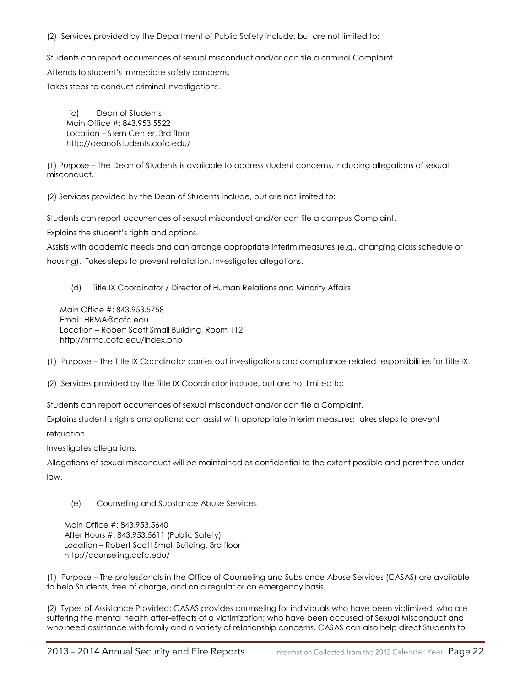(2) Services provided by the Department of Public Safety include, but are not limited to:

Students can report occurrences of sexual misconduct and/or can file a criminal Complaint.

Attends to student's immediate safety concerns.

Takes steps to conduct criminal investigations.

 (c) Dean of Students Main Office #: 843.953.5522 Location – Stern Center, 3rd floor http://deanofstudents.cofc.edu/

(1) Purpose – The Dean of Students is available to address student concerns, including allegations of sexual misconduct.

(2) Services provided by the Dean of Students include, but are not limited to:

Students can report occurrences of sexual misconduct and/or can file a campus Complaint.

Explains the student's rights and options.

Assists with academic needs and can arrange appropriate interim measures (e.g., changing class schedule or housing). Takes steps to prevent retaliation. Investigates allegations.

(d) Title IX Coordinator / Director of Human Relations and Minority Affairs

 Main Office #: 843.953.5758 Email: HRMA@cofc.edu Location – Robert Scott Small Building, Room 112 http://hrma.cofc.edu/index.php

(1) Purpose – The Title IX Coordinator carries out investigations and compliance-related responsibilities for Title IX.

(2) Services provided by the Title IX Coordinator include, but are not limited to:

Students can report occurrences of sexual misconduct and/or can file a Complaint.

Explains student's rights and options; can assist with appropriate interim measures; takes steps to prevent retaliation.

Investigates allegations.

Allegations of sexual misconduct will be maintained as confidential to the extent possible and permitted under law.

(e) Counseling and Substance Abuse Services

 Main Office #: 843.953.5640 After Hours #: 843.953.5611 (Public Safety) Location – Robert Scott Small Building, 3rd floor http://counseling.cofc.edu/

(1) Purpose – The professionals in the Office of Counseling and Substance Abuse Services (CASAS) are available to help Students, free of charge, and on a regular or an emergency basis.

(2) Types of Assistance Provided: CASAS provides counseling for individuals who have been victimized; who are suffering the mental health after-effects of a victimization; who have been accused of Sexual Misconduct and who need assistance with family and a variety of relationship concerns. CASAS can also help direct Students to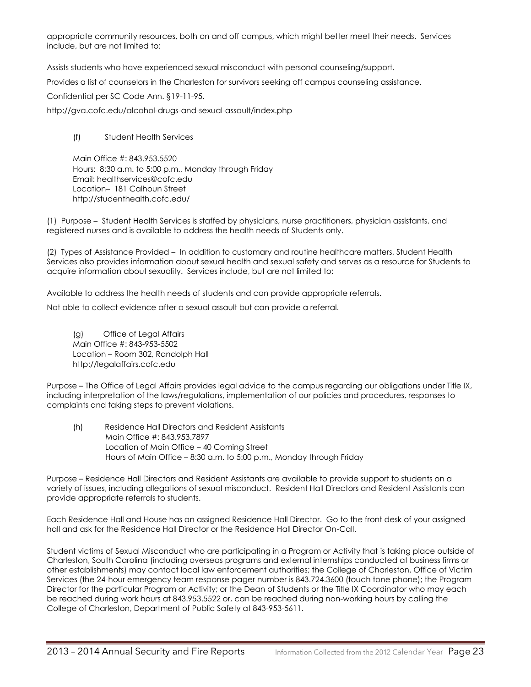appropriate community resources, both on and off campus, which might better meet their needs. Services include, but are not limited to:

Assists students who have experienced sexual misconduct with personal counseling/support.

Provides a list of counselors in the Charleston for survivors seeking off campus counseling assistance.

Confidential per SC Code Ann. §19-11-95.

http://gva.cofc.edu/alcohol-drugs-and-sexual-assault/index.php

(f) Student Health Services

 Main Office #: 843.953.5520 Hours: 8:30 a.m. to 5:00 p.m., Monday through Friday Email: healthservices@cofc.edu Location– 181 Calhoun Street http://studenthealth.cofc.edu/

(1) Purpose – Student Health Services is staffed by physicians, nurse practitioners, physician assistants, and registered nurses and is available to address the health needs of Students only.

(2) Types of Assistance Provided – In addition to customary and routine healthcare matters, Student Health Services also provides information about sexual health and sexual safety and serves as a resource for Students to acquire information about sexuality. Services include, but are not limited to:

Available to address the health needs of students and can provide appropriate referrals.

Not able to collect evidence after a sexual assault but can provide a referral.

 (g) Office of Legal Affairs Main Office #: 843-953-5502 Location – Room 302, Randolph Hall http://legalaffairs.cofc.edu

Purpose – The Office of Legal Affairs provides legal advice to the campus regarding our obligations under Title IX, including interpretation of the laws/regulations, implementation of our policies and procedures, responses to complaints and taking steps to prevent violations.

 (h) Residence Hall Directors and Resident Assistants Main Office #: 843.953.7897 Location of Main Office – 40 Coming Street Hours of Main Office – 8:30 a.m. to 5:00 p.m., Monday through Friday

Purpose – Residence Hall Directors and Resident Assistants are available to provide support to students on a variety of issues, including allegations of sexual misconduct. Resident Hall Directors and Resident Assistants can provide appropriate referrals to students.

Each Residence Hall and House has an assigned Residence Hall Director. Go to the front desk of your assigned hall and ask for the Residence Hall Director or the Residence Hall Director On-Call.

Student victims of Sexual Misconduct who are participating in a Program or Activity that is taking place outside of Charleston, South Carolina (including overseas programs and external internships conducted at business firms or other establishments) may contact local law enforcement authorities; the College of Charleston, Office of Victim Services (the 24-hour emergency team response pager number is 843.724.3600 (touch tone phone); the Program Director for the particular Program or Activity; or the Dean of Students or the Title IX Coordinator who may each be reached during work hours at 843.953.5522 or, can be reached during non-working hours by calling the College of Charleston, Department of Public Safety at 843-953-5611.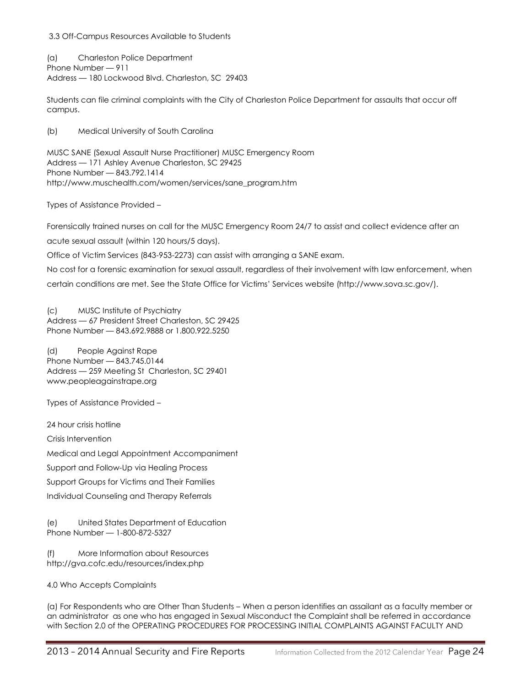## 3.3 Off-Campus Resources Available to Students

(a) Charleston Police Department Phone Number — 911 Address — 180 Lockwood Blvd. Charleston, SC 29403

Students can file criminal complaints with the City of Charleston Police Department for assaults that occur off campus.

(b) Medical University of South Carolina

MUSC SANE (Sexual Assault Nurse Practitioner) MUSC Emergency Room Address — 171 Ashley Avenue Charleston, SC 29425 Phone Number — 843.792.1414 http://www.muschealth.com/women/services/sane\_program.htm

Types of Assistance Provided –

Forensically trained nurses on call for the MUSC Emergency Room 24/7 to assist and collect evidence after an

acute sexual assault (within 120 hours/5 days).

Office of Victim Services (843-953-2273) can assist with arranging a SANE exam.

No cost for a forensic examination for sexual assault, regardless of their involvement with law enforcement, when certain conditions are met. See the State Office for Victims' Services website (http://www.sova.sc.gov/).

(c) MUSC Institute of Psychiatry Address — 67 President Street Charleston, SC 29425 Phone Number — 843.692.9888 or 1.800.922.5250

(d) People Against Rape Phone Number — 843.745.0144 Address — 259 Meeting St Charleston, SC 29401 www.peopleagainstrape.org

Types of Assistance Provided –

24 hour crisis hotline

Crisis Intervention

Medical and Legal Appointment Accompaniment

Support and Follow-Up via Healing Process

Support Groups for Victims and Their Families

Individual Counseling and Therapy Referrals

(e) United States Department of Education Phone Number — 1-800-872-5327

More Information about Resources http://gva.cofc.edu/resources/index.php

4.0 Who Accepts Complaints

(a) For Respondents who are Other Than Students – When a person identifies an assailant as a faculty member or an administrator as one who has engaged in Sexual Misconduct the Complaint shall be referred in accordance with Section 2.0 of the OPERATING PROCEDURES FOR PROCESSING INITIAL COMPLAINTS AGAINST FACULTY AND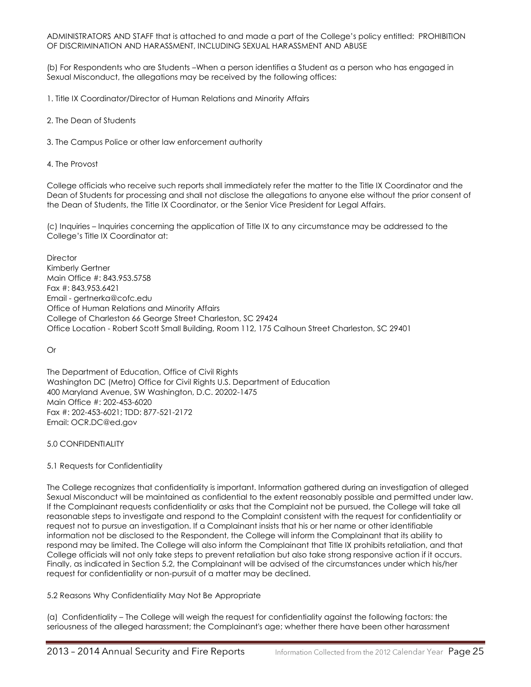ADMINISTRATORS AND STAFF that is attached to and made a part of the College's policy entitled: PROHIBITION OF DISCRIMINATION AND HARASSMENT, INCLUDING SEXUAL HARASSMENT AND ABUSE

(b) For Respondents who are Students –When a person identifies a Student as a person who has engaged in Sexual Misconduct, the allegations may be received by the following offices:

1. Title IX Coordinator/Director of Human Relations and Minority Affairs

2. The Dean of Students

3. The Campus Police or other law enforcement authority

4. The Provost

College officials who receive such reports shall immediately refer the matter to the Title IX Coordinator and the Dean of Students for processing and shall not disclose the allegations to anyone else without the prior consent of the Dean of Students, the Title IX Coordinator, or the Senior Vice President for Legal Affairs.

(c) Inquiries – Inquiries concerning the application of Title IX to any circumstance may be addressed to the College's Title IX Coordinator at:

**Director** Kimberly Gertner Main Office #: 843.953.5758 Fax #: 843.953.6421 Email - gertnerka@cofc.edu Office of Human Relations and Minority Affairs College of Charleston 66 George Street Charleston, SC 29424 Office Location - Robert Scott Small Building, Room 112, 175 Calhoun Street Charleston, SC 29401

Or

The Department of Education, Office of Civil Rights Washington DC (Metro) Office for Civil Rights U.S. Department of Education 400 Maryland Avenue, SW Washington, D.C. 20202-1475 Main Office #: 202-453-6020 Fax #: 202-453-6021; TDD: 877-521-2172 Email: OCR.DC@ed.gov

5.0 CONFIDENTIALITY

# 5.1 Requests for Confidentiality

The College recognizes that confidentiality is important. Information gathered during an investigation of alleged Sexual Misconduct will be maintained as confidential to the extent reasonably possible and permitted under law. If the Complainant requests confidentiality or asks that the Complaint not be pursued, the College will take all reasonable steps to investigate and respond to the Complaint consistent with the request for confidentiality or request not to pursue an investigation. If a Complainant insists that his or her name or other identifiable information not be disclosed to the Respondent, the College will inform the Complainant that its ability to respond may be limited. The College will also inform the Complainant that Title IX prohibits retaliation, and that College officials will not only take steps to prevent retaliation but also take strong responsive action if it occurs. Finally, as indicated in Section 5.2, the Complainant will be advised of the circumstances under which his/her request for confidentiality or non-pursuit of a matter may be declined.

5.2 Reasons Why Confidentiality May Not Be Appropriate

(a) Confidentiality – The College will weigh the request for confidentiality against the following factors: the seriousness of the alleged harassment; the Complainant's age; whether there have been other harassment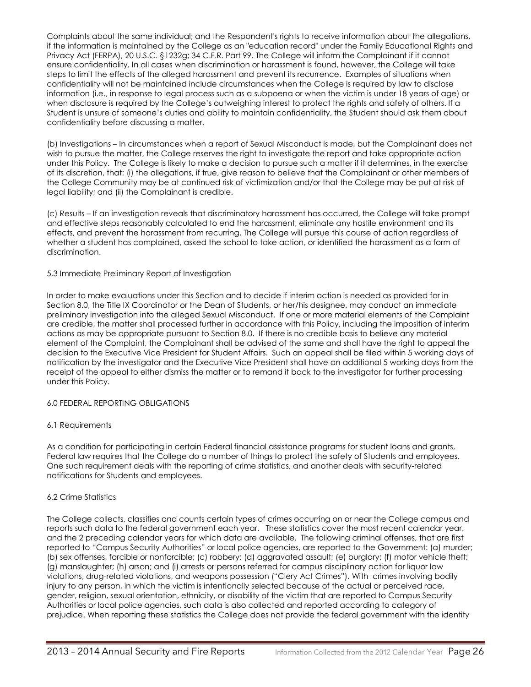Complaints about the same individual; and the Respondent's rights to receive information about the allegations, if the information is maintained by the College as an "education record" under the Family Educational Rights and Privacy Act (FERPA), 20 U.S.C. §1232g; 34 C.F.R. Part 99. The College will inform the Complainant if it cannot ensure confidentiality. In all cases when discrimination or harassment is found, however, the College will take steps to limit the effects of the alleged harassment and prevent its recurrence. Examples of situations when confidentiality will not be maintained include circumstances when the College is required by law to disclose information (i.e., in response to legal process such as a subpoena or when the victim is under 18 years of age) or when disclosure is required by the College's outweighing interest to protect the rights and safety of others. If a Student is unsure of someone's duties and ability to maintain confidentiality, the Student should ask them about confidentiality before discussing a matter.

(b) Investigations – In circumstances when a report of Sexual Misconduct is made, but the Complainant does not wish to pursue the matter, the College reserves the right to investigate the report and take appropriate action under this Policy. The College is likely to make a decision to pursue such a matter if it determines, in the exercise of its discretion, that: (i) the allegations, if true, give reason to believe that the Complainant or other members of the College Community may be at continued risk of victimization and/or that the College may be put at risk of legal liability; and (ii) the Complainant is credible.

(c) Results – If an investigation reveals that discriminatory harassment has occurred, the College will take prompt and effective steps reasonably calculated to end the harassment, eliminate any hostile environment and its effects, and prevent the harassment from recurring. The College will pursue this course of action regardless of whether a student has complained, asked the school to take action, or identified the harassment as a form of discrimination.

## 5.3 Immediate Preliminary Report of Investigation

In order to make evaluations under this Section and to decide if interim action is needed as provided for in Section 8.0, the Title IX Coordinator or the Dean of Students, or her/his designee, may conduct an immediate preliminary investigation into the alleged Sexual Misconduct. If one or more material elements of the Complaint are credible, the matter shall processed further in accordance with this Policy, including the imposition of interim actions as may be appropriate pursuant to Section 8.0. If there is no credible basis to believe any material element of the Complaint, the Complainant shall be advised of the same and shall have the right to appeal the decision to the Executive Vice President for Student Affairs. Such an appeal shall be filed within 5 working days of notification by the investigator and the Executive Vice President shall have an additional 5 working days from the receipt of the appeal to either dismiss the matter or to remand it back to the investigator for further processing under this Policy.

## 6.0 FEDERAL REPORTING OBLIGATIONS

## 6.1 Requirements

As a condition for participating in certain Federal financial assistance programs for student loans and grants, Federal law requires that the College do a number of things to protect the safety of Students and employees. One such requirement deals with the reporting of crime statistics, and another deals with security-related notifications for Students and employees.

## 6.2 Crime Statistics

The College collects, classifies and counts certain types of crimes occurring on or near the College campus and reports such data to the federal government each year. These statistics cover the most recent calendar year, and the 2 preceding calendar years for which data are available. The following criminal offenses, that are first reported to "Campus Security Authorities" or local police agencies, are reported to the Government: (a) murder; (b) sex offenses, forcible or nonforcible; (c) robbery; (d) aggravated assault; (e) burglary; (f) motor vehicle theft; (g) manslaughter; (h) arson; and (i) arrests or persons referred for campus disciplinary action for liquor law violations, drug-related violations, and weapons possession ("Clery Act Crimes"). With crimes involving bodily injury to any person, in which the victim is intentionally selected because of the actual or perceived race, gender, religion, sexual orientation, ethnicity, or disability of the victim that are reported to Campus Security Authorities or local police agencies, such data is also collected and reported according to category of prejudice. When reporting these statistics the College does not provide the federal government with the identity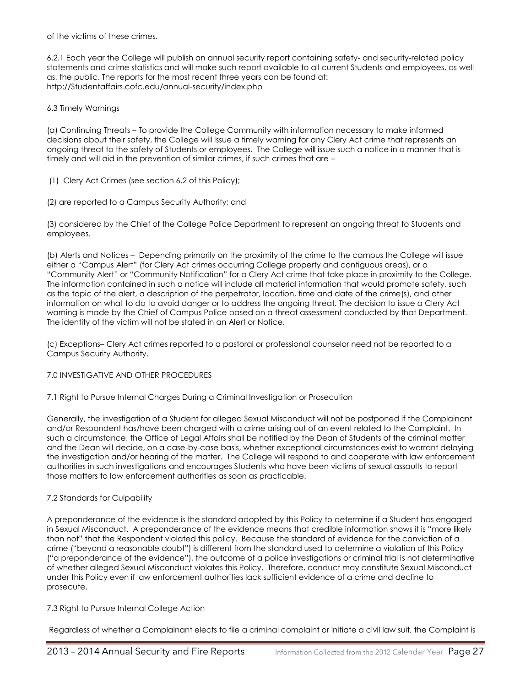of the victims of these crimes.

6.2.1 Each year the College will publish an annual security report containing safety- and security-related policy statements and crime statistics and will make such report available to all current Students and employees, as well as, the public. The reports for the most recent three years can be found at: http://Studentaffairs.cofc.edu/annual-security/index.php

## 6.3 Timely Warnings

(a) Continuing Threats – To provide the College Community with information necessary to make informed decisions about their safety, the College will issue a timely warning for any Clery Act crime that represents an ongoing threat to the safety of Students or employees. The College will issue such a notice in a manner that is timely and will aid in the prevention of similar crimes, if such crimes that are -

(1) Clery Act Crimes (see section 6.2 of this Policy);

(2) are reported to a Campus Security Authority; and

(3) considered by the Chief of the College Police Department to represent an ongoing threat to Students and employees.

(b) Alerts and Notices – Depending primarily on the proximity of the crime to the campus the College will issue either a "Campus Alert" (for Clery Act crimes occurring College property and contiguous areas), or a "Community Alert" or "Community Notification" for a Clery Act crime that take place in proximity to the College. The information contained in such a notice will include all material information that would promote safety, such as the topic of the alert, a description of the perpetrator, location, time and date of the crime(s), and other information on what to do to avoid danger or to address the ongoing threat. The decision to issue a Clery Act warning is made by the Chief of Campus Police based on a threat assessment conducted by that Department. The identity of the victim will not be stated in an Alert or Notice.

(c) Exceptions– Clery Act crimes reported to a pastoral or professional counselor need not be reported to a Campus Security Authority.

## 7.0 INVESTIGATIVE AND OTHER PROCEDURES

## 7.1 Right to Pursue Internal Charges During a Criminal Investigation or Prosecution

Generally, the investigation of a Student for alleged Sexual Misconduct will not be postponed if the Complainant and/or Respondent has/have been charged with a crime arising out of an event related to the Complaint. In such a circumstance, the Office of Legal Affairs shall be notified by the Dean of Students of the criminal matter and the Dean will decide, on a case-by-case basis, whether exceptional circumstances exist to warrant delaying the investigation and/or hearing of the matter. The College will respond to and cooperate with law enforcement authorities in such investigations and encourages Students who have been victims of sexual assaults to report those matters to law enforcement authorities as soon as practicable.

## 7.2 Standards for Culpability

A preponderance of the evidence is the standard adopted by this Policy to determine if a Student has engaged in Sexual Misconduct. A preponderance of the evidence means that credible information shows it is "more likely than not" that the Respondent violated this policy. Because the standard of evidence for the conviction of a crime ("beyond a reasonable doubt") is different from the standard used to determine a violation of this Policy ("a preponderance of the evidence"), the outcome of a police investigations or criminal trial is not determinative of whether alleged Sexual Misconduct violates this Policy. Therefore, conduct may constitute Sexual Misconduct under this Policy even if law enforcement authorities lack sufficient evidence of a crime and decline to prosecute.

# 7.3 Right to Pursue Internal College Action

Regardless of whether a Complainant elects to file a criminal complaint or initiate a civil law suit, the Complaint is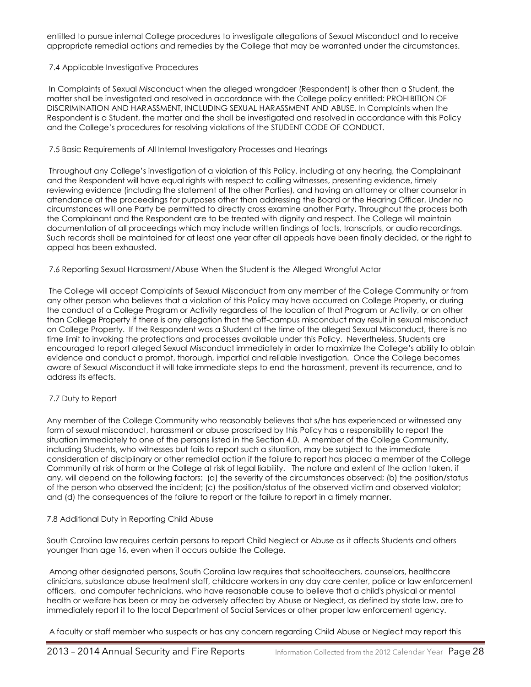entitled to pursue internal College procedures to investigate allegations of Sexual Misconduct and to receive appropriate remedial actions and remedies by the College that may be warranted under the circumstances.

## 7.4 Applicable Investigative Procedures

In Complaints of Sexual Misconduct when the alleged wrongdoer (Respondent) is other than a Student, the matter shall be investigated and resolved in accordance with the College policy entitled: PROHIBITION OF DISCRIMINATION AND HARASSMENT, INCLUDING SEXUAL HARASSMENT AND ABUSE. In Complaints when the Respondent is a Student, the matter and the shall be investigated and resolved in accordance with this Policy and the College's procedures for resolving violations of the STUDENT CODE OF CONDUCT.

## 7.5 Basic Requirements of All Internal Investigatory Processes and Hearings

Throughout any College's investigation of a violation of this Policy, including at any hearing, the Complainant and the Respondent will have equal rights with respect to calling witnesses, presenting evidence, timely reviewing evidence (including the statement of the other Parties), and having an attorney or other counselor in attendance at the proceedings for purposes other than addressing the Board or the Hearing Officer. Under no circumstances will one Party be permitted to directly cross examine another Party. Throughout the process both the Complainant and the Respondent are to be treated with dignity and respect. The College will maintain documentation of all proceedings which may include written findings of facts, transcripts, or audio recordings. Such records shall be maintained for at least one year after all appeals have been finally decided, or the right to appeal has been exhausted.

## 7.6 Reporting Sexual Harassment/Abuse When the Student is the Alleged Wrongful Actor

The College will accept Complaints of Sexual Misconduct from any member of the College Community or from any other person who believes that a violation of this Policy may have occurred on College Property, or during the conduct of a College Program or Activity regardless of the location of that Program or Activity, or on other than College Property if there is any allegation that the off-campus misconduct may result in sexual misconduct on College Property. If the Respondent was a Student at the time of the alleged Sexual Misconduct, there is no time limit to invoking the protections and processes available under this Policy. Nevertheless, Students are encouraged to report alleged Sexual Misconduct immediately in order to maximize the College's ability to obtain evidence and conduct a prompt, thorough, impartial and reliable investigation. Once the College becomes aware of Sexual Misconduct it will take immediate steps to end the harassment, prevent its recurrence, and to address its effects.

# 7.7 Duty to Report

Any member of the College Community who reasonably believes that s/he has experienced or witnessed any form of sexual misconduct, harassment or abuse proscribed by this Policy has a responsibility to report the situation immediately to one of the persons listed in the Section 4.0. A member of the College Community, including Students, who witnesses but fails to report such a situation, may be subject to the immediate consideration of disciplinary or other remedial action if the failure to report has placed a member of the College Community at risk of harm or the College at risk of legal liability. The nature and extent of the action taken, if any, will depend on the following factors: (a) the severity of the circumstances observed; (b) the position/status of the person who observed the incident; (c) the position/status of the observed victim and observed violator; and (d) the consequences of the failure to report or the failure to report in a timely manner.

## 7.8 Additional Duty in Reporting Child Abuse

South Carolina law requires certain persons to report Child Neglect or Abuse as it affects Students and others younger than age 16, even when it occurs outside the College.

Among other designated persons, South Carolina law requires that schoolteachers, counselors, healthcare clinicians, substance abuse treatment staff, childcare workers in any day care center, police or law enforcement officers, and computer technicians, who have reasonable cause to believe that a child's physical or mental health or welfare has been or may be adversely affected by Abuse or Neglect, as defined by state law, are to immediately report it to the local Department of Social Services or other proper law enforcement agency.

A faculty or staff member who suspects or has any concern regarding Child Abuse or Neglect may report this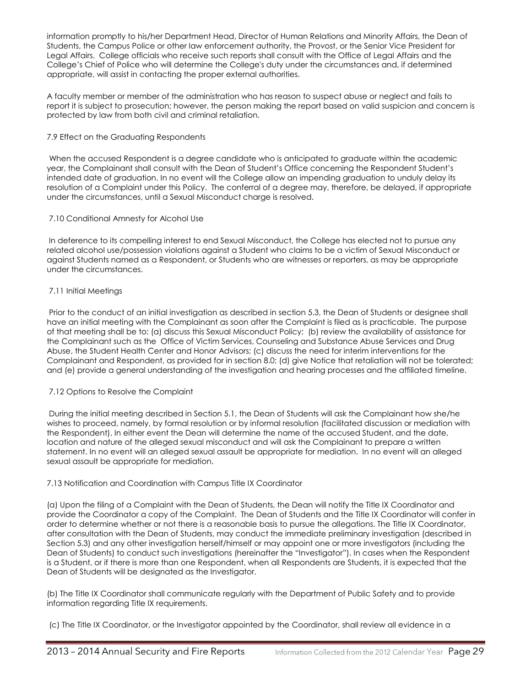information promptly to his/her Department Head, Director of Human Relations and Minority Affairs, the Dean of Students, the Campus Police or other law enforcement authority, the Provost, or the Senior Vice President for Legal Affairs. College officials who receive such reports shall consult with the Office of Legal Affairs and the College's Chief of Police who will determine the College's duty under the circumstances and, if determined appropriate, will assist in contacting the proper external authorities.

A faculty member or member of the administration who has reason to suspect abuse or neglect and fails to report it is subject to prosecution; however, the person making the report based on valid suspicion and concern is protected by law from both civil and criminal retaliation.

## 7.9 Effect on the Graduating Respondents

When the accused Respondent is a degree candidate who is anticipated to graduate within the academic year, the Complainant shall consult with the Dean of Student's Office concerning the Respondent Student's intended date of graduation. In no event will the College allow an impending graduation to unduly delay its resolution of a Complaint under this Policy. The conferral of a degree may, therefore, be delayed, if appropriate under the circumstances, until a Sexual Misconduct charge is resolved.

## 7.10 Conditional Amnesty for Alcohol Use

In deference to its compelling interest to end Sexual Misconduct, the College has elected not to pursue any related alcohol use/possession violations against a Student who claims to be a victim of Sexual Misconduct or against Students named as a Respondent, or Students who are witnesses or reporters, as may be appropriate under the circumstances.

# 7.11 Initial Meetings

Prior to the conduct of an initial investigation as described in section 5.3, the Dean of Students or designee shall have an initial meeting with the Complainant as soon after the Complaint is filed as is practicable. The purpose of that meeting shall be to: (a) discuss this Sexual Misconduct Policy; (b) review the availability of assistance for the Complainant such as the Office of Victim Services, Counseling and Substance Abuse Services and Drug Abuse, the Student Health Center and Honor Advisors; (c) discuss the need for interim interventions for the Complainant and Respondent, as provided for in section 8.0; (d) give Notice that retaliation will not be tolerated; and (e) provide a general understanding of the investigation and hearing processes and the affiliated timeline.

## 7.12 Options to Resolve the Complaint

During the initial meeting described in Section 5.1, the Dean of Students will ask the Complainant how she/he wishes to proceed, namely, by formal resolution or by informal resolution (facilitated discussion or mediation with the Respondent). In either event the Dean will determine the name of the accused Student, and the date, location and nature of the alleged sexual misconduct and will ask the Complainant to prepare a written statement. In no event will an alleged sexual assault be appropriate for mediation. In no event will an alleged sexual assault be appropriate for mediation.

# 7.13 Notification and Coordination with Campus Title IX Coordinator

(a) Upon the filing of a Complaint with the Dean of Students, the Dean will notify the Title IX Coordinator and provide the Coordinator a copy of the Complaint. The Dean of Students and the Title IX Coordinator will confer in order to determine whether or not there is a reasonable basis to pursue the allegations. The Title IX Coordinator, after consultation with the Dean of Students, may conduct the immediate preliminary investigation (described in Section 5.3) and any other investigation herself/himself or may appoint one or more investigators (including the Dean of Students) to conduct such investigations (hereinafter the "Investigator"). In cases when the Respondent is a Student, or if there is more than one Respondent, when all Respondents are Students, it is expected that the Dean of Students will be designated as the Investigator.

(b) The Title IX Coordinator shall communicate regularly with the Department of Public Safety and to provide information regarding Title IX requirements.

(c) The Title IX Coordinator, or the Investigator appointed by the Coordinator, shall review all evidence in a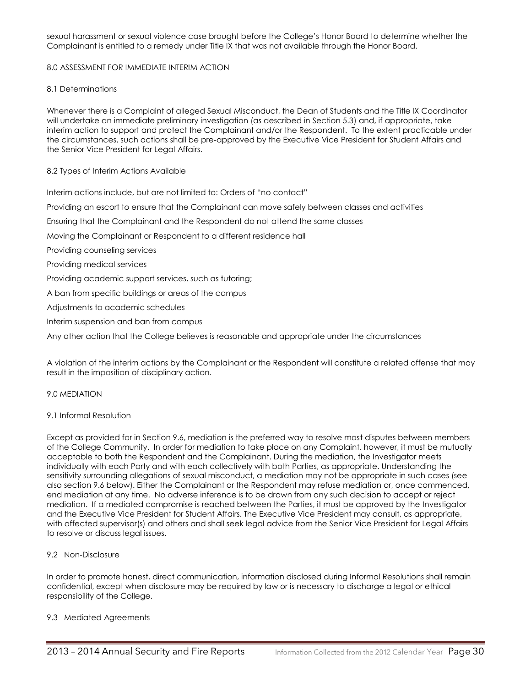sexual harassment or sexual violence case brought before the College's Honor Board to determine whether the Complainant is entitled to a remedy under Title IX that was not available through the Honor Board.

## 8.0 ASSESSMENT FOR IMMEDIATE INTERIM ACTION

## 8.1 Determinations

Whenever there is a Complaint of alleged Sexual Misconduct, the Dean of Students and the Title IX Coordinator will undertake an immediate preliminary investigation (as described in Section 5.3) and, if appropriate, take interim action to support and protect the Complainant and/or the Respondent. To the extent practicable under the circumstances, such actions shall be pre-approved by the Executive Vice President for Student Affairs and the Senior Vice President for Legal Affairs.

8.2 Types of Interim Actions Available

Interim actions include, but are not limited to: Orders of "no contact"

Providing an escort to ensure that the Complainant can move safely between classes and activities

Ensuring that the Complainant and the Respondent do not attend the same classes

Moving the Complainant or Respondent to a different residence hall

Providing counseling services

Providing medical services

Providing academic support services, such as tutoring;

A ban from specific buildings or areas of the campus

Adjustments to academic schedules

Interim suspension and ban from campus

Any other action that the College believes is reasonable and appropriate under the circumstances

A violation of the interim actions by the Complainant or the Respondent will constitute a related offense that may result in the imposition of disciplinary action.

## 9.0 MEDIATION

## 9.1 Informal Resolution

Except as provided for in Section 9.6, mediation is the preferred way to resolve most disputes between members of the College Community. In order for mediation to take place on any Complaint, however, it must be mutually acceptable to both the Respondent and the Complainant. During the mediation, the Investigator meets individually with each Party and with each collectively with both Parties, as appropriate. Understanding the sensitivity surrounding allegations of sexual misconduct, a mediation may not be appropriate in such cases (see also section 9.6 below). Either the Complainant or the Respondent may refuse mediation or, once commenced, end mediation at any time. No adverse inference is to be drawn from any such decision to accept or reject mediation. If a mediated compromise is reached between the Parties, it must be approved by the Investigator and the Executive Vice President for Student Affairs. The Executive Vice President may consult, as appropriate, with affected supervisor(s) and others and shall seek legal advice from the Senior Vice President for Legal Affairs to resolve or discuss legal issues.

## 9.2 Non-Disclosure

In order to promote honest, direct communication, information disclosed during Informal Resolutions shall remain confidential, except when disclosure may be required by law or is necessary to discharge a legal or ethical responsibility of the College.

# 9.3 Mediated Agreements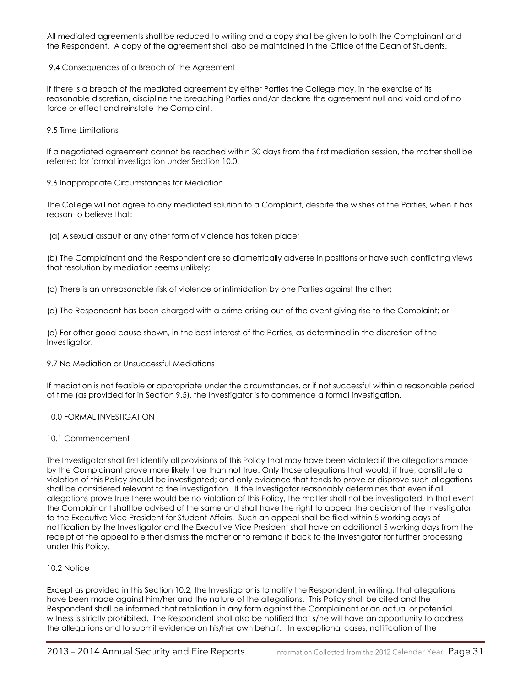All mediated agreements shall be reduced to writing and a copy shall be given to both the Complainant and the Respondent. A copy of the agreement shall also be maintained in the Office of the Dean of Students.

## 9.4 Consequences of a Breach of the Agreement

If there is a breach of the mediated agreement by either Parties the College may, in the exercise of its reasonable discretion, discipline the breaching Parties and/or declare the agreement null and void and of no force or effect and reinstate the Complaint.

## 9.5 Time Limitations

If a negotiated agreement cannot be reached within 30 days from the first mediation session, the matter shall be referred for formal investigation under Section 10.0.

9.6 Inappropriate Circumstances for Mediation

The College will not agree to any mediated solution to a Complaint, despite the wishes of the Parties, when it has reason to believe that:

(a) A sexual assault or any other form of violence has taken place;

(b) The Complainant and the Respondent are so diametrically adverse in positions or have such conflicting views that resolution by mediation seems unlikely;

(c) There is an unreasonable risk of violence or intimidation by one Parties against the other;

(d) The Respondent has been charged with a crime arising out of the event giving rise to the Complaint; or

(e) For other good cause shown, in the best interest of the Parties, as determined in the discretion of the Investigator.

## 9.7 No Mediation or Unsuccessful Mediations

If mediation is not feasible or appropriate under the circumstances, or if not successful within a reasonable period of time (as provided for in Section 9.5), the Investigator is to commence a formal investigation.

## 10.0 FORMAL INVESTIGATION

#### 10.1 Commencement

The Investigator shall first identify all provisions of this Policy that may have been violated if the allegations made by the Complainant prove more likely true than not true. Only those allegations that would, if true, constitute a violation of this Policy should be investigated; and only evidence that tends to prove or disprove such allegations shall be considered relevant to the investigation. If the Investigator reasonably determines that even if all allegations prove true there would be no violation of this Policy, the matter shall not be investigated. In that event the Complainant shall be advised of the same and shall have the right to appeal the decision of the Investigator to the Executive Vice President for Student Affairs. Such an appeal shall be filed within 5 working days of notification by the Investigator and the Executive Vice President shall have an additional 5 working days from the receipt of the appeal to either dismiss the matter or to remand it back to the Investigator for further processing under this Policy.

## 10.2 Notice

Except as provided in this Section 10.2, the Investigator is to notify the Respondent, in writing, that allegations have been made against him/her and the nature of the allegations. This Policy shall be cited and the Respondent shall be informed that retaliation in any form against the Complainant or an actual or potential witness is strictly prohibited. The Respondent shall also be notified that s/he will have an opportunity to address the allegations and to submit evidence on his/her own behalf. In exceptional cases, notification of the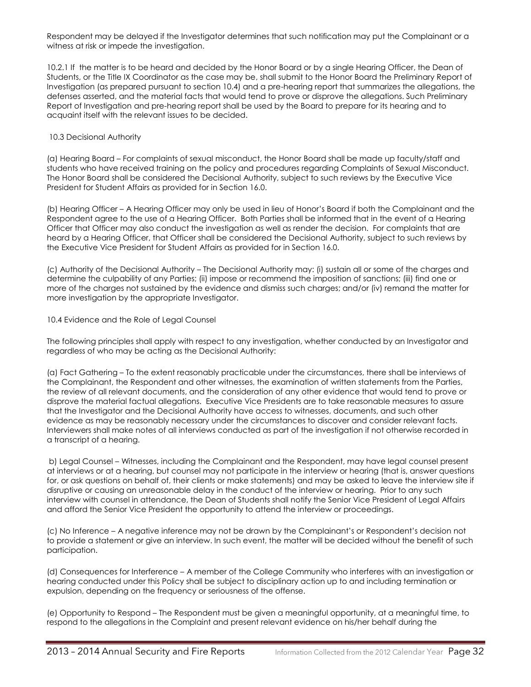Respondent may be delayed if the Investigator determines that such notification may put the Complainant or a witness at risk or impede the investigation.

10.2.1 If the matter is to be heard and decided by the Honor Board or by a single Hearing Officer, the Dean of Students, or the Title IX Coordinator as the case may be, shall submit to the Honor Board the Preliminary Report of Investigation (as prepared pursuant to section 10.4) and a pre-hearing report that summarizes the allegations, the defenses asserted, and the material facts that would tend to prove or disprove the allegations. Such Preliminary Report of Investigation and pre-hearing report shall be used by the Board to prepare for its hearing and to acquaint itself with the relevant issues to be decided.

## 10.3 Decisional Authority

(a) Hearing Board – For complaints of sexual misconduct, the Honor Board shall be made up faculty/staff and students who have received training on the policy and procedures regarding Complaints of Sexual Misconduct. The Honor Board shall be considered the Decisional Authority, subject to such reviews by the Executive Vice President for Student Affairs as provided for in Section 16.0.

(b) Hearing Officer – A Hearing Officer may only be used in lieu of Honor's Board if both the Complainant and the Respondent agree to the use of a Hearing Officer. Both Parties shall be informed that in the event of a Hearing Officer that Officer may also conduct the investigation as well as render the decision. For complaints that are heard by a Hearing Officer, that Officer shall be considered the Decisional Authority, subject to such reviews by the Executive Vice President for Student Affairs as provided for in Section 16.0.

(c) Authority of the Decisional Authority – The Decisional Authority may: (i) sustain all or some of the charges and determine the culpability of any Parties; (ii) impose or recommend the imposition of sanctions; (iii) find one or more of the charges not sustained by the evidence and dismiss such charges; and/or (iv) remand the matter for more investigation by the appropriate Investigator.

## 10.4 Evidence and the Role of Legal Counsel

The following principles shall apply with respect to any investigation, whether conducted by an Investigator and regardless of who may be acting as the Decisional Authority:

(a) Fact Gathering – To the extent reasonably practicable under the circumstances, there shall be interviews of the Complainant, the Respondent and other witnesses, the examination of written statements from the Parties, the review of all relevant documents, and the consideration of any other evidence that would tend to prove or disprove the material factual allegations. Executive Vice Presidents are to take reasonable measures to assure that the Investigator and the Decisional Authority have access to witnesses, documents, and such other evidence as may be reasonably necessary under the circumstances to discover and consider relevant facts. Interviewers shall make notes of all interviews conducted as part of the investigation if not otherwise recorded in a transcript of a hearing.

b) Legal Counsel – Witnesses, including the Complainant and the Respondent, may have legal counsel present at interviews or at a hearing, but counsel may not participate in the interview or hearing (that is, answer questions for, or ask questions on behalf of, their clients or make statements) and may be asked to leave the interview site if disruptive or causing an unreasonable delay in the conduct of the interview or hearing. Prior to any such interview with counsel in attendance, the Dean of Students shall notify the Senior Vice President of Legal Affairs and afford the Senior Vice President the opportunity to attend the interview or proceedings.

(c) No Inference – A negative inference may not be drawn by the Complainant's or Respondent's decision not to provide a statement or give an interview. In such event, the matter will be decided without the benefit of such participation.

(d) Consequences for Interference – A member of the College Community who interferes with an investigation or hearing conducted under this Policy shall be subject to disciplinary action up to and including termination or expulsion, depending on the frequency or seriousness of the offense.

(e) Opportunity to Respond – The Respondent must be given a meaningful opportunity, at a meaningful time, to respond to the allegations in the Complaint and present relevant evidence on his/her behalf during the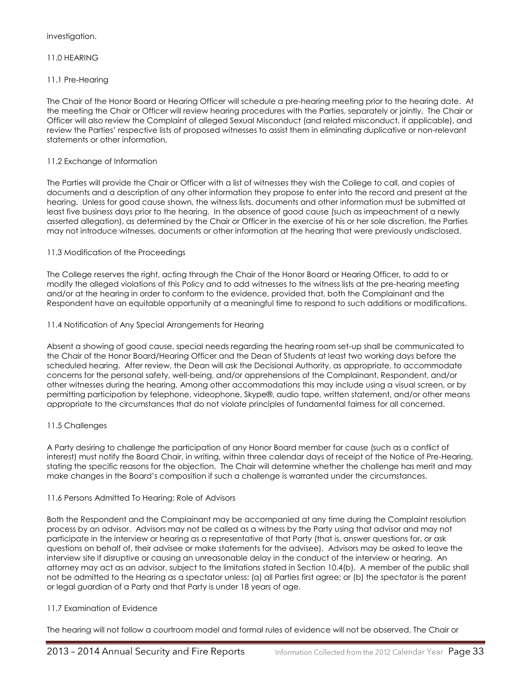## investigation.

## 11.0 HEARING

# 11.1 Pre-Hearing

The Chair of the Honor Board or Hearing Officer will schedule a pre-hearing meeting prior to the hearing date. At the meeting the Chair or Officer will review hearing procedures with the Parties, separately or jointly. The Chair or Officer will also review the Complaint of alleged Sexual Misconduct (and related misconduct, if applicable), and review the Parties' respective lists of proposed witnesses to assist them in eliminating duplicative or non-relevant statements or other information.

## 11.2 Exchange of Information

The Parties will provide the Chair or Officer with a list of witnesses they wish the College to call, and copies of documents and a description of any other information they propose to enter into the record and present at the hearing. Unless for good cause shown, the witness lists, documents and other information must be submitted at least five business days prior to the hearing. In the absence of good cause (such as impeachment of a newly asserted allegation), as determined by the Chair or Officer in the exercise of his or her sole discretion, the Parties may not introduce witnesses, documents or other information at the hearing that were previously undisclosed.

# 11.3 Modification of the Proceedings

The College reserves the right, acting through the Chair of the Honor Board or Hearing Officer, to add to or modify the alleged violations of this Policy and to add witnesses to the witness lists at the pre-hearing meeting and/or at the hearing in order to conform to the evidence, provided that, both the Complainant and the Respondent have an equitable opportunity at a meaningful time to respond to such additions or modifications.

## 11.4 Notification of Any Special Arrangements for Hearing

Absent a showing of good cause, special needs regarding the hearing room set-up shall be communicated to the Chair of the Honor Board/Hearing Officer and the Dean of Students at least two working days before the scheduled hearing. After review, the Dean will ask the Decisional Authority, as appropriate, to accommodate concerns for the personal safety, well-being, and/or apprehensions of the Complainant, Respondent, and/or other witnesses during the hearing. Among other accommodations this may include using a visual screen, or by permitting participation by telephone, videophone, Skype®, audio tape, written statement, and/or other means appropriate to the circumstances that do not violate principles of fundamental fairness for all concerned.

# 11.5 Challenges

A Party desiring to challenge the participation of any Honor Board member for cause (such as a conflict of interest) must notify the Board Chair, in writing, within three calendar days of receipt of the Notice of Pre-Hearing, stating the specific reasons for the objection. The Chair will determine whether the challenge has merit and may make changes in the Board's composition if such a challenge is warranted under the circumstances.

## 11.6 Persons Admitted To Hearing; Role of Advisors

Both the Respondent and the Complainant may be accompanied at any time during the Complaint resolution process by an advisor. Advisors may not be called as a witness by the Party using that advisor and may not participate in the interview or hearing as a representative of that Party (that is, answer questions for, or ask questions on behalf of, their advisee or make statements for the advisee). Advisors may be asked to leave the interview site if disruptive or causing an unreasonable delay in the conduct of the interview or hearing. An attorney may act as an advisor, subject to the limitations stated in Section 10.4(b). A member of the public shall not be admitted to the Hearing as a spectator unless: (a) all Parties first agree; or (b) the spectator is the parent or legal guardian of a Party and that Party is under 18 years of age.

# 11.7 Examination of Evidence

The hearing will not follow a courtroom model and formal rules of evidence will not be observed. The Chair or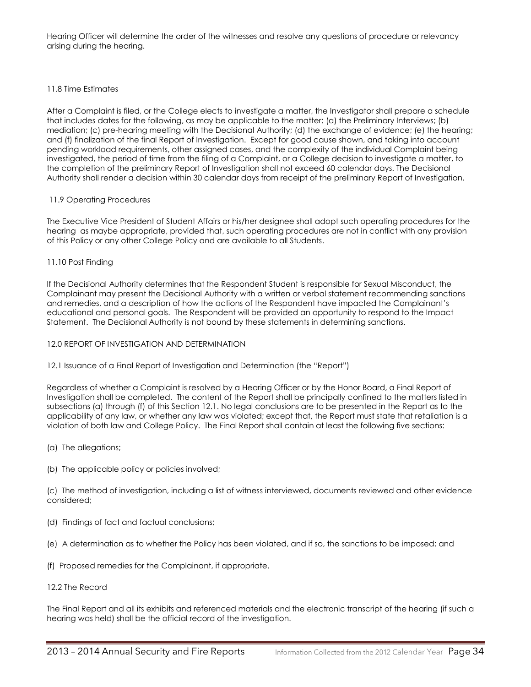Hearing Officer will determine the order of the witnesses and resolve any questions of procedure or relevancy arising during the hearing.

## 11.8 Time Estimates

After a Complaint is filed, or the College elects to investigate a matter, the Investigator shall prepare a schedule that includes dates for the following, as may be applicable to the matter: (a) the Preliminary Interviews; (b) mediation; (c) pre-hearing meeting with the Decisional Authority; (d) the exchange of evidence; (e) the hearing; and (f) finalization of the final Report of Investigation. Except for good cause shown, and taking into account pending workload requirements, other assigned cases, and the complexity of the individual Complaint being investigated, the period of time from the filing of a Complaint, or a College decision to investigate a matter, to the completion of the preliminary Report of Investigation shall not exceed 60 calendar days. The Decisional Authority shall render a decision within 30 calendar days from receipt of the preliminary Report of Investigation.

## 11.9 Operating Procedures

The Executive Vice President of Student Affairs or his/her designee shall adopt such operating procedures for the hearing as maybe appropriate, provided that, such operating procedures are not in conflict with any provision of this Policy or any other College Policy and are available to all Students.

## 11.10 Post Finding

If the Decisional Authority determines that the Respondent Student is responsible for Sexual Misconduct, the Complainant may present the Decisional Authority with a written or verbal statement recommending sanctions and remedies, and a description of how the actions of the Respondent have impacted the Complainant's educational and personal goals. The Respondent will be provided an opportunity to respond to the Impact Statement. The Decisional Authority is not bound by these statements in determining sanctions.

## 12.0 REPORT OF INVESTIGATION AND DETERMINATION

## 12.1 Issuance of a Final Report of Investigation and Determination (the "Report")

Regardless of whether a Complaint is resolved by a Hearing Officer or by the Honor Board, a Final Report of Investigation shall be completed. The content of the Report shall be principally confined to the matters listed in subsections (a) through (f) of this Section 12.1. No legal conclusions are to be presented in the Report as to the applicability of any law, or whether any law was violated; except that, the Report must state that retaliation is a violation of both law and College Policy. The Final Report shall contain at least the following five sections:

- (a) The allegations;
- (b) The applicable policy or policies involved;

(c) The method of investigation, including a list of witness interviewed, documents reviewed and other evidence considered;

- (d) Findings of fact and factual conclusions;
- (e) A determination as to whether the Policy has been violated, and if so, the sanctions to be imposed; and
- (f) Proposed remedies for the Complainant, if appropriate.

## 12.2 The Record

The Final Report and all its exhibits and referenced materials and the electronic transcript of the hearing (if such a hearing was held) shall be the official record of the investigation.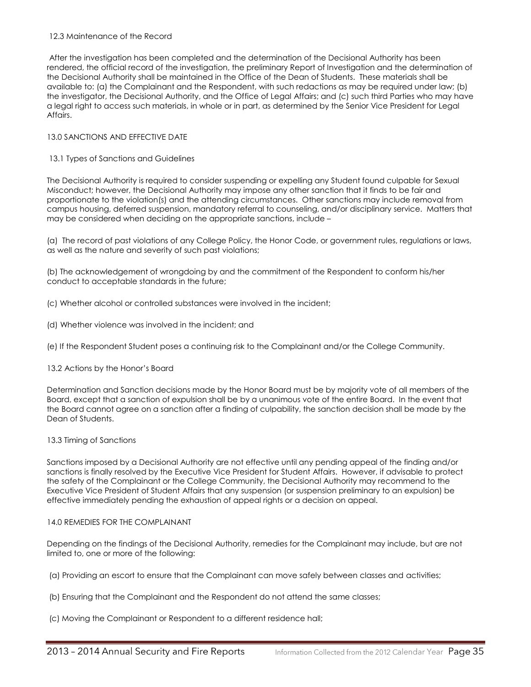## 12.3 Maintenance of the Record

After the investigation has been completed and the determination of the Decisional Authority has been rendered, the official record of the investigation, the preliminary Report of Investigation and the determination of the Decisional Authority shall be maintained in the Office of the Dean of Students. These materials shall be available to: (a) the Complainant and the Respondent, with such redactions as may be required under law; (b) the investigator, the Decisional Authority, and the Office of Legal Affairs; and (c) such third Parties who may have a legal right to access such materials, in whole or in part, as determined by the Senior Vice President for Legal Affairs.

# 13.0 SANCTIONS AND EFFECTIVE DATE

# 13.1 Types of Sanctions and Guidelines

The Decisional Authority is required to consider suspending or expelling any Student found culpable for Sexual Misconduct; however, the Decisional Authority may impose any other sanction that it finds to be fair and proportionate to the violation(s) and the attending circumstances. Other sanctions may include removal from campus housing, deferred suspension, mandatory referral to counseling, and/or disciplinary service. Matters that may be considered when deciding on the appropriate sanctions, include –

(a) The record of past violations of any College Policy, the Honor Code, or government rules, regulations or laws, as well as the nature and severity of such past violations;

(b) The acknowledgement of wrongdoing by and the commitment of the Respondent to conform his/her conduct to acceptable standards in the future;

- (c) Whether alcohol or controlled substances were involved in the incident;
- (d) Whether violence was involved in the incident; and
- (e) If the Respondent Student poses a continuing risk to the Complainant and/or the College Community.

## 13.2 Actions by the Honor's Board

Determination and Sanction decisions made by the Honor Board must be by majority vote of all members of the Board, except that a sanction of expulsion shall be by a unanimous vote of the entire Board. In the event that the Board cannot agree on a sanction after a finding of culpability, the sanction decision shall be made by the Dean of Students.

## 13.3 Timing of Sanctions

Sanctions imposed by a Decisional Authority are not effective until any pending appeal of the finding and/or sanctions is finally resolved by the Executive Vice President for Student Affairs. However, if advisable to protect the safety of the Complainant or the College Community, the Decisional Authority may recommend to the Executive Vice President of Student Affairs that any suspension (or suspension preliminary to an expulsion) be effective immediately pending the exhaustion of appeal rights or a decision on appeal.

## 14.0 REMEDIES FOR THE COMPLAINANT

Depending on the findings of the Decisional Authority, remedies for the Complainant may include, but are not limited to, one or more of the following:

- (a) Providing an escort to ensure that the Complainant can move safely between classes and activities;
- (b) Ensuring that the Complainant and the Respondent do not attend the same classes;
- (c) Moving the Complainant or Respondent to a different residence hall;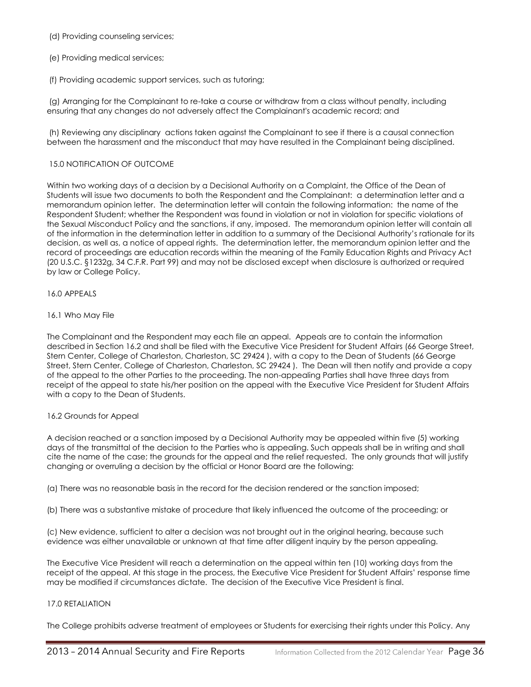(d) Providing counseling services;

(e) Providing medical services;

(f) Providing academic support services, such as tutoring;

(g) Arranging for the Complainant to re-take a course or withdraw from a class without penalty, including ensuring that any changes do not adversely affect the Complainant's academic record; and

(h) Reviewing any disciplinary actions taken against the Complainant to see if there is a causal connection between the harassment and the misconduct that may have resulted in the Complainant being disciplined.

## 15.0 NOTIFICATION OF OUTCOME

Within two working days of a decision by a Decisional Authority on a Complaint, the Office of the Dean of Students will issue two documents to both the Respondent and the Complainant: a determination letter and a memorandum opinion letter. The determination letter will contain the following information: the name of the Respondent Student; whether the Respondent was found in violation or not in violation for specific violations of the Sexual Misconduct Policy and the sanctions, if any, imposed. The memorandum opinion letter will contain all of the information in the determination letter in addition to a summary of the Decisional Authority's rationale for its decision, as well as, a notice of appeal rights. The determination letter, the memorandum opinion letter and the record of proceedings are education records within the meaning of the Family Education Rights and Privacy Act (20 U.S.C. §1232g, 34 C.F.R. Part 99) and may not be disclosed except when disclosure is authorized or required by law or College Policy.

## 16.0 APPEALS

## 16.1 Who May File

The Complainant and the Respondent may each file an appeal. Appeals are to contain the information described in Section 16.2 and shall be filed with the Executive Vice President for Student Affairs (66 George Street, Stern Center, College of Charleston, Charleston, SC 29424 ), with a copy to the Dean of Students (66 George Street, Stern Center, College of Charleston, Charleston, SC 29424 ). The Dean will then notify and provide a copy of the appeal to the other Parties to the proceeding. The non-appealing Parties shall have three days from receipt of the appeal to state his/her position on the appeal with the Executive Vice President for Student Affairs with a copy to the Dean of Students.

## 16.2 Grounds for Appeal

A decision reached or a sanction imposed by a Decisional Authority may be appealed within five (5) working days of the transmittal of the decision to the Parties who is appealing. Such appeals shall be in writing and shall cite the name of the case; the grounds for the appeal and the relief requested. The only grounds that will justify changing or overruling a decision by the official or Honor Board are the following:

(a) There was no reasonable basis in the record for the decision rendered or the sanction imposed;

(b) There was a substantive mistake of procedure that likely influenced the outcome of the proceeding; or

(c) New evidence, sufficient to alter a decision was not brought out in the original hearing, because such evidence was either unavailable or unknown at that time after diligent inquiry by the person appealing.

The Executive Vice President will reach a determination on the appeal within ten (10) working days from the receipt of the appeal. At this stage in the process, the Executive Vice President for Student Affairs' response time may be modified if circumstances dictate. The decision of the Executive Vice President is final.

## 17.0 RETALIATION

The College prohibits adverse treatment of employees or Students for exercising their rights under this Policy. Any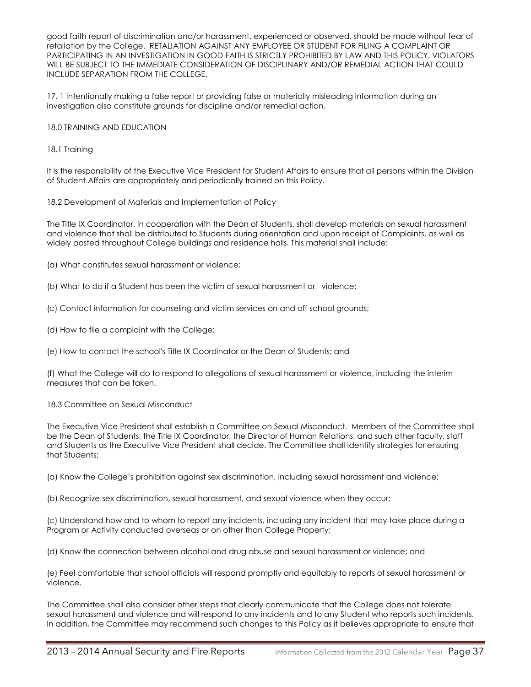good faith report of discrimination and/or harassment, experienced or observed, should be made without fear of retaliation by the College. RETALIATION AGAINST ANY EMPLOYEE OR STUDENT FOR FILING A COMPLAINT OR PARTICIPATING IN AN INVESTIGATION IN GOOD FAITH IS STRICTLY PROHIBITED BY LAW AND THIS POLICY. VIOLATORS WILL BE SUBJECT TO THE IMMEDIATE CONSIDERATION OF DISCIPLINARY AND/OR REMEDIAL ACTION THAT COULD INCLUDE SEPARATION FROM THE COLLEGE.

17. 1 Intentionally making a false report or providing false or materially misleading information during an investigation also constitute grounds for discipline and/or remedial action.

18.0 TRAINING AND EDUCATION

18.1 Training

It is the responsibility of the Executive Vice President for Student Affairs to ensure that all persons within the Division of Student Affairs are appropriately and periodically trained on this Policy.

18.2 Development of Materials and Implementation of Policy

The Title IX Coordinator, in cooperation with the Dean of Students, shall develop materials on sexual harassment and violence that shall be distributed to Students during orientation and upon receipt of Complaints, as well as widely posted throughout College buildings and residence halls. This material shall include:

(a) What constitutes sexual harassment or violence;

- (b) What to do if a Student has been the victim of sexual harassment or violence;
- (c) Contact information for counseling and victim services on and off school grounds;
- (d) How to file a complaint with the College;
- (e) How to contact the school's Title IX Coordinator or the Dean of Students; and

(f) What the College will do to respond to allegations of sexual harassment or violence, including the interim measures that can be taken.

18.3 Committee on Sexual Misconduct

The Executive Vice President shall establish a Committee on Sexual Misconduct. Members of the Committee shall be the Dean of Students, the Title IX Coordinator, the Director of Human Relations, and such other faculty, staff and Students as the Executive Vice President shall decide. The Committee shall identify strategies for ensuring that Students:

(a) Know the College's prohibition against sex discrimination, including sexual harassment and violence;

(b) Recognize sex discrimination, sexual harassment, and sexual violence when they occur;

(c) Understand how and to whom to report any incidents, including any incident that may take place during a Program or Activity conducted overseas or on other than College Property;

(d) Know the connection between alcohol and drug abuse and sexual harassment or violence; and

(e) Feel comfortable that school officials will respond promptly and equitably to reports of sexual harassment or violence.

The Committee shall also consider other steps that clearly communicate that the College does not tolerate sexual harassment and violence and will respond to any incidents and to any Student who reports such incidents. In addition, the Committee may recommend such changes to this Policy as it believes appropriate to ensure that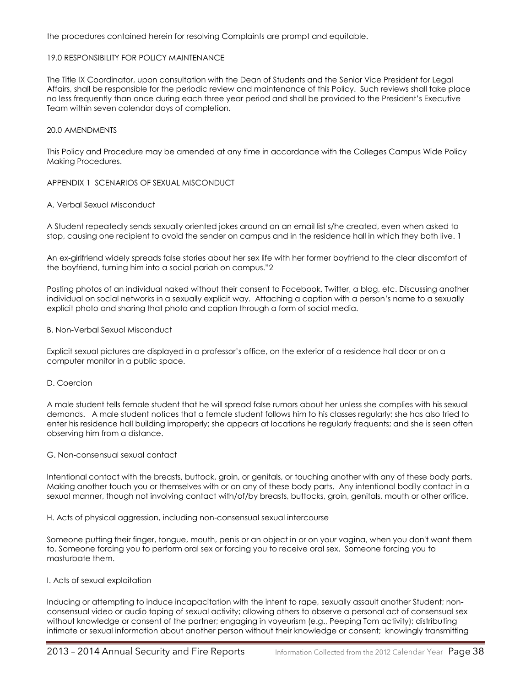the procedures contained herein for resolving Complaints are prompt and equitable.

#### 19.0 RESPONSIBILITY FOR POLICY MAINTENANCE

The Title IX Coordinator, upon consultation with the Dean of Students and the Senior Vice President for Legal Affairs, shall be responsible for the periodic review and maintenance of this Policy. Such reviews shall take place no less frequently than once during each three year period and shall be provided to the President's Executive Team within seven calendar days of completion.

#### 20.0 AMENDMENTS

This Policy and Procedure may be amended at any time in accordance with the Colleges Campus Wide Policy Making Procedures.

APPENDIX 1 SCENARIOS OF SEXUAL MISCONDUCT

#### A. Verbal Sexual Misconduct

A Student repeatedly sends sexually oriented jokes around on an email list s/he created, even when asked to stop, causing one recipient to avoid the sender on campus and in the residence hall in which they both live. 1

An ex-girlfriend widely spreads false stories about her sex life with her former boyfriend to the clear discomfort of the boyfriend, turning him into a social pariah on campus."2

Posting photos of an individual naked without their consent to Facebook, Twitter, a blog, etc. Discussing another individual on social networks in a sexually explicit way. Attaching a caption with a person's name to a sexually explicit photo and sharing that photo and caption through a form of social media.

#### B. Non-Verbal Sexual Misconduct

Explicit sexual pictures are displayed in a professor's office, on the exterior of a residence hall door or on a computer monitor in a public space.

#### D. Coercion

A male student tells female student that he will spread false rumors about her unless she complies with his sexual demands. A male student notices that a female student follows him to his classes regularly; she has also tried to enter his residence hall building improperly; she appears at locations he regularly frequents; and she is seen often observing him from a distance.

#### G. Non-consensual sexual contact

Intentional contact with the breasts, buttock, groin, or genitals, or touching another with any of these body parts. Making another touch you or themselves with or on any of these body parts. Any intentional bodily contact in a sexual manner, though not involving contact with/of/by breasts, buttocks, groin, genitals, mouth or other orifice.

H. Acts of physical aggression, including non-consensual sexual intercourse

Someone putting their finger, tongue, mouth, penis or an object in or on your vagina, when you don't want them to. Someone forcing you to perform oral sex or forcing you to receive oral sex. Someone forcing you to masturbate them.

#### I. Acts of sexual exploitation

Inducing or attempting to induce incapacitation with the intent to rape, sexually assault another Student; nonconsensual video or audio taping of sexual activity; allowing others to observe a personal act of consensual sex without knowledge or consent of the partner; engaging in voyeurism (e.g., Peeping Tom activity); distributing intimate or sexual information about another person without their knowledge or consent; knowingly transmitting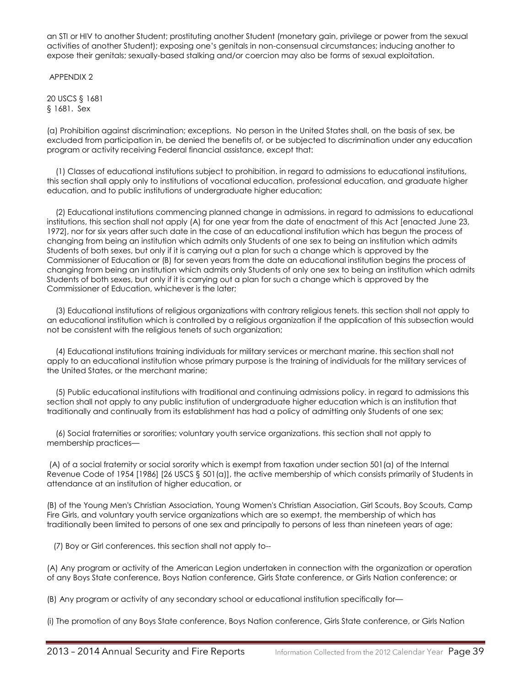an STI or HIV to another Student; prostituting another Student (monetary gain, privilege or power from the sexual activities of another Student); exposing one's genitals in non-consensual circumstances; inducing another to expose their genitals; sexually-based stalking and/or coercion may also be forms of sexual exploitation.

APPENDIX 2

20 USCS § 1681 § 1681. Sex

(a) Prohibition against discrimination; exceptions. No person in the United States shall, on the basis of sex, be excluded from participation in, be denied the benefits of, or be subjected to discrimination under any education program or activity receiving Federal financial assistance, except that:

 (1) Classes of educational institutions subject to prohibition. in regard to admissions to educational institutions, this section shall apply only to institutions of vocational education, professional education, and graduate higher education, and to public institutions of undergraduate higher education;

 (2) Educational institutions commencing planned change in admissions. in regard to admissions to educational institutions, this section shall not apply (A) for one year from the date of enactment of this Act [enacted June 23, 1972], nor for six years after such date in the case of an educational institution which has begun the process of changing from being an institution which admits only Students of one sex to being an institution which admits Students of both sexes, but only if it is carrying out a plan for such a change which is approved by the Commissioner of Education or (B) for seven years from the date an educational institution begins the process of changing from being an institution which admits only Students of only one sex to being an institution which admits Students of both sexes, but only if it is carrying out a plan for such a change which is approved by the Commissioner of Education, whichever is the later;

 (3) Educational institutions of religious organizations with contrary religious tenets. this section shall not apply to an educational institution which is controlled by a religious organization if the application of this subsection would not be consistent with the religious tenets of such organization;

 (4) Educational institutions training individuals for military services or merchant marine. this section shall not apply to an educational institution whose primary purpose is the training of individuals for the military services of the United States, or the merchant marine;

 (5) Public educational institutions with traditional and continuing admissions policy. in regard to admissions this section shall not apply to any public institution of undergraduate higher education which is an institution that traditionally and continually from its establishment has had a policy of admitting only Students of one sex;

 (6) Social fraternities or sororities; voluntary youth service organizations. this section shall not apply to membership practices—

(A) of a social fraternity or social sorority which is exempt from taxation under section 501(a) of the Internal Revenue Code of 1954 [1986] [26 USCS § 501(a)], the active membership of which consists primarily of Students in attendance at an institution of higher education, or

(B) of the Young Men's Christian Association, Young Women's Christian Association, Girl Scouts, Boy Scouts, Camp Fire Girls, and voluntary youth service organizations which are so exempt, the membership of which has traditionally been limited to persons of one sex and principally to persons of less than nineteen years of age;

(7) Boy or Girl conferences. this section shall not apply to--

(A) Any program or activity of the American Legion undertaken in connection with the organization or operation of any Boys State conference, Boys Nation conference, Girls State conference, or Girls Nation conference; or

(B) Any program or activity of any secondary school or educational institution specifically for—

(i) The promotion of any Boys State conference, Boys Nation conference, Girls State conference, or Girls Nation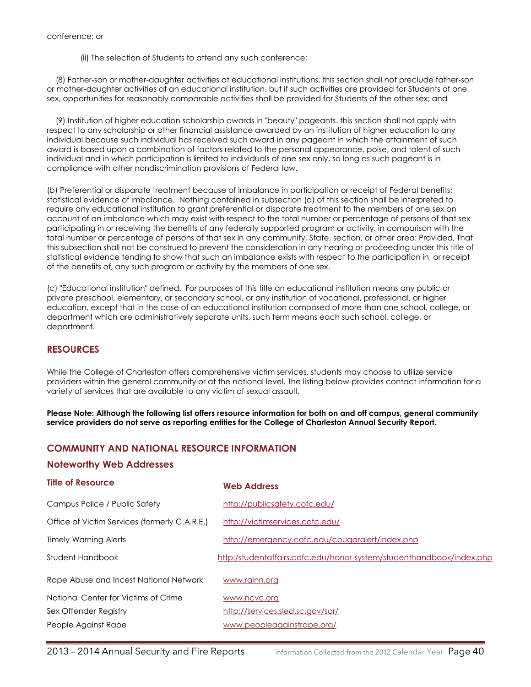(ii) The selection of Students to attend any such conference;

 (8) Father-son or mother-daughter activities at educational institutions. this section shall not preclude father-son or mother-daughter activities at an educational institution, but if such activities are provided for Students of one sex, opportunities for reasonably comparable activities shall be provided for Students of the other sex; and

 (9) Institution of higher education scholarship awards in "beauty" pageants. this section shall not apply with respect to any scholarship or other financial assistance awarded by an institution of higher education to any individual because such individual has received such award in any pageant in which the attainment of such award is based upon a combination of factors related to the personal appearance, poise, and talent of such individual and in which participation is limited to individuals of one sex only, so long as such pageant is in compliance with other nondiscrimination provisions of Federal law.

(b) Preferential or disparate treatment because of imbalance in participation or receipt of Federal benefits; statistical evidence of imbalance. Nothing contained in subsection (a) of this section shall be interpreted to require any educational institution to grant preferential or disparate treatment to the members of one sex on account of an imbalance which may exist with respect to the total number or percentage of persons of that sex participating in or receiving the benefits of any federally supported program or activity, in comparison with the total number or percentage of persons of that sex in any community, State, section, or other area: Provided, That this subsection shall not be construed to prevent the consideration in any hearing or proceeding under this title of statistical evidence tending to show that such an imbalance exists with respect to the participation in, or receipt of the benefits of, any such program or activity by the members of one sex.

(c) "Educational institution" defined. For purposes of this title an educational institution means any public or private preschool, elementary, or secondary school, or any institution of vocational, professional, or higher education, except that in the case of an educational institution composed of more than one school, college, or department which are administratively separate units, such term means each such school, college, or department.

#### **RESOURCES**

While the College of Charleston offers comprehensive victim services, students may choose to utilize service providers within the general community or at the national level. The listing below provides contact information for a variety of services that are available to any victim of sexual assault.

**Please Note: Although the following list offers resource information for both on and off campus, general community service providers do not serve as reporting entities for the College of Charleston Annual Security Report.**

#### **COMMUNITY AND NATIONAL RESOURCE INFORMATION**

#### **Noteworthy Web Addresses**

| <b>Title of Resource</b>                      | <b>Web Address</b>                                                   |
|-----------------------------------------------|----------------------------------------------------------------------|
| Campus Police / Public Safety                 | http://publicsafety.cofc.edu/                                        |
| Office of Victim Services (formerly C.A.R.E.) | http://victimservices.cofc.edu/                                      |
| <b>Timely Warning Alerts</b>                  | http://emergency.cofc.edu/cougaralert/index.php                      |
| Student Handbook                              | http:/studentaffairs.cofc.edu/honor-system/studenthandbook/index.php |
| Rape Abuse and Incest National Network        | www.rainn.org                                                        |
| National Center for Victims of Crime          | www.ncvc.org                                                         |
| Sex Offender Registry                         | http://services.sled.sc.gov/sor/                                     |
| People Against Rape                           | www.peopleagainstrape.org/                                           |

2013 - 2014 Annual Security and Fire Reports

Information Collected from the 2012 Calendar Year Page 40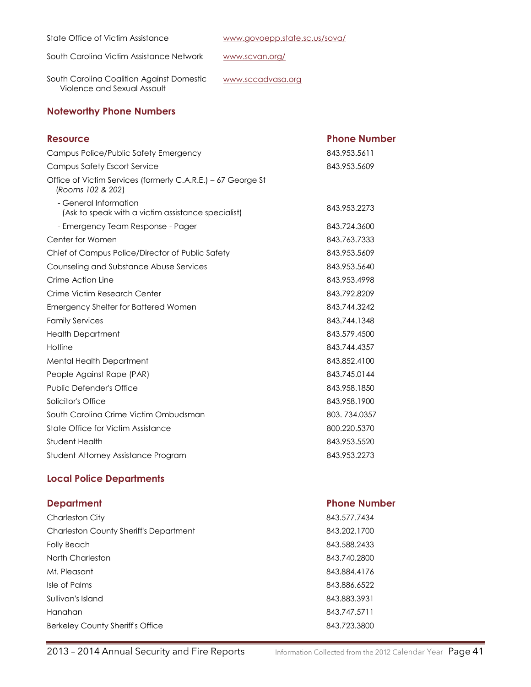| State Office of Victim Assistance                                        | www.govoepp.state.sc.us/sova/ |
|--------------------------------------------------------------------------|-------------------------------|
| South Carolina Victim Assistance Network                                 | www.scvan.org/                |
| South Carolina Coalition Against Domestic<br>Violence and Sexual Assault | www.sccadvasa.org             |

# **Noteworthy Phone Numbers**

| <b>Resource</b>                                                                   | <b>Phone Number</b> |
|-----------------------------------------------------------------------------------|---------------------|
|                                                                                   |                     |
| Campus Police/Public Safety Emergency                                             | 843.953.5611        |
| <b>Campus Safety Escort Service</b>                                               | 843.953.5609        |
| Office of Victim Services (formerly C.A.R.E.) – 67 George St<br>(Rooms 102 & 202) |                     |
| - General Information<br>(Ask to speak with a victim assistance specialist)       | 843.953.2273        |
| - Emergency Team Response - Pager                                                 | 843.724.3600        |
| Center for Women                                                                  | 843.763.7333        |
| Chief of Campus Police/Director of Public Safety                                  | 843.953.5609        |
| Counseling and Substance Abuse Services                                           | 843.953.5640        |
| Crime Action Line                                                                 | 843.953.4998        |
| Crime Victim Research Center                                                      | 843.792.8209        |
| <b>Emergency Shelter for Battered Women</b>                                       | 843.744.3242        |
| <b>Family Services</b>                                                            | 843.744.1348        |
| <b>Health Department</b>                                                          | 843.579.4500        |
| Hotline                                                                           | 843.744.4357        |
| Mental Health Department                                                          | 843.852.4100        |
| People Against Rape (PAR)                                                         | 843.745.0144        |
| <b>Public Defender's Office</b>                                                   | 843.958.1850        |
| Solicitor's Office                                                                | 843.958.1900        |
| South Carolina Crime Victim Ombudsman                                             | 803.734.0357        |
| State Office for Victim Assistance                                                | 800.220.5370        |
| <b>Student Health</b>                                                             | 843.953.5520        |
| Student Attorney Assistance Program                                               | 843.953.2273        |
|                                                                                   |                     |

# **Local Police Departments**

# **Department Phone Number**

| Charleston City                               | 843.577.7434 |
|-----------------------------------------------|--------------|
| <b>Charleston County Sheriff's Department</b> | 843.202.1700 |
| <b>Folly Beach</b>                            | 843.588.2433 |
| North Charleston                              | 843.740.2800 |
| Mt. Pleasant                                  | 843.884.4176 |
| Isle of Palms                                 | 843.886.6522 |
| Sullivan's Island                             | 843.883.3931 |
| Hanahan                                       | 843.747.5711 |
| Berkeley County Sheriff's Office              | 843.723.3800 |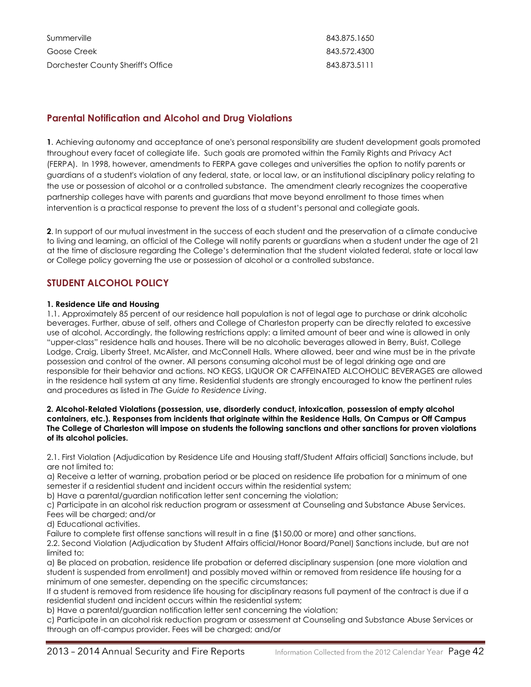Summerville 843.875.1650 Goose Creek 843.572.4300 Dorchester County Sheriff's Office 843.873.5111

# **Parental Notification and Alcohol and Drug Violations**

**1**. Achieving autonomy and acceptance of one's personal responsibility are student development goals promoted throughout every facet of collegiate life. Such goals are promoted within the Family Rights and Privacy Act (FERPA). In 1998, however, amendments to FERPA gave colleges and universities the option to notify parents or guardians of a student's violation of any federal, state, or local law, or an institutional disciplinary policy relating to the use or possession of alcohol or a controlled substance. The amendment clearly recognizes the cooperative partnership colleges have with parents and guardians that move beyond enrollment to those times when intervention is a practical response to prevent the loss of a student's personal and collegiate goals.

**2**. In support of our mutual investment in the success of each student and the preservation of a climate conducive to living and learning, an official of the College will notify parents or guardians when a student under the age of 21 at the time of disclosure regarding the College's determination that the student violated federal, state or local law or College policy governing the use or possession of alcohol or a controlled substance.

# **STUDENT ALCOHOL POLICY**

#### **1. Residence Life and Housing**

1.1. Approximately 85 percent of our residence hall population is not of legal age to purchase or drink alcoholic beverages. Further, abuse of self, others and College of Charleston property can be directly related to excessive use of alcohol. Accordingly, the following restrictions apply: a limited amount of beer and wine is allowed in only "upper-class" residence halls and houses. There will be no alcoholic beverages allowed in Berry, Buist, College Lodge, Craig, Liberty Street, McAlister, and McConnell Halls. Where allowed, beer and wine must be in the private possession and control of the owner. All persons consuming alcohol must be of legal drinking age and are responsible for their behavior and actions. NO KEGS, LIQUOR OR CAFFEINATED ALCOHOLIC BEVERAGES are allowed in the residence hall system at any time. Residential students are strongly encouraged to know the pertinent rules and procedures as listed in *The Guide to Residence Living*.

#### **2. Alcohol-Related Violations (possession, use, disorderly conduct, intoxication, possession of empty alcohol containers, etc.). Responses from incidents that originate within the Residence Halls, On Campus or Off Campus The College of Charleston will impose on students the following sanctions and other sanctions for proven violations of its alcohol policies.**

2.1. First Violation (Adjudication by Residence Life and Housing staff/Student Affairs official) Sanctions include, but are not limited to:

a) Receive a letter of warning, probation period or be placed on residence life probation for a minimum of one semester if a residential student and incident occurs within the residential system;

b) Have a parental/guardian notification letter sent concerning the violation;

c) Participate in an alcohol risk reduction program or assessment at Counseling and Substance Abuse Services. Fees will be charged; and/or

d) Educational activities.

Failure to complete first offense sanctions will result in a fine (\$150.00 or more) and other sanctions.

2.2. Second Violation (Adjudication by Student Affairs official/Honor Board/Panel) Sanctions include, but are not limited to:

a) Be placed on probation, residence life probation or deferred disciplinary suspension (one more violation and student is suspended from enrollment) and possibly moved within or removed from residence life housing for a minimum of one semester, depending on the specific circumstances;

If a student is removed from residence life housing for disciplinary reasons full payment of the contract is due if a residential student and incident occurs within the residential system;

b) Have a parental/guardian notification letter sent concerning the violation;

c) Participate in an alcohol risk reduction program or assessment at Counseling and Substance Abuse Services or through an off-campus provider. Fees will be charged; and/or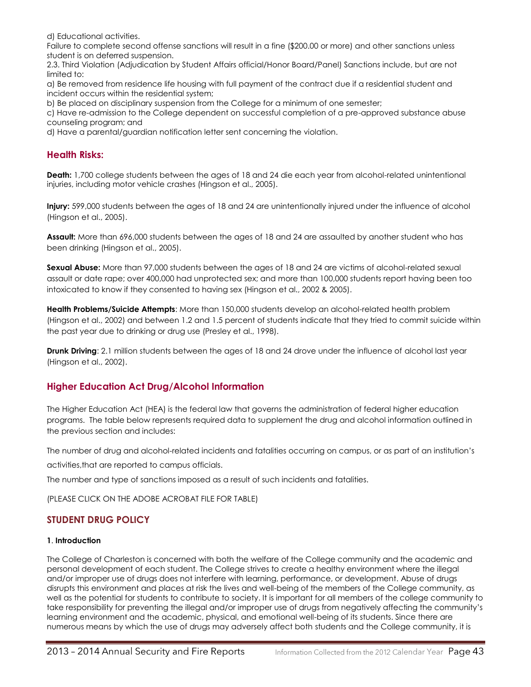d) Educational activities.

Failure to complete second offense sanctions will result in a fine (\$200.00 or more) and other sanctions unless student is on deferred suspension.

2.3. Third Violation (Adjudication by Student Affairs official/Honor Board/Panel) Sanctions include, but are not limited to:

a) Be removed from residence life housing with full payment of the contract due if a residential student and incident occurs within the residential system;

b) Be placed on disciplinary suspension from the College for a minimum of one semester;

c) Have re-admission to the College dependent on successful completion of a pre-approved substance abuse counseling program; and

d) Have a parental/guardian notification letter sent concerning the violation.

## **Health Risks:**

**Death:** 1,700 college students between the ages of 18 and 24 die each year from alcohol-related unintentional injuries, including motor vehicle crashes (Hingson et al., 2005).

**Injury:** 599,000 students between the ages of 18 and 24 are unintentionally injured under the influence of alcohol (Hingson et al., 2005).

**Assault:** More than 696,000 students between the ages of 18 and 24 are assaulted by another student who has been drinking (Hingson et al., 2005).

**Sexual Abuse:** More than 97,000 students between the ages of 18 and 24 are victims of alcohol-related sexual assault or date rape; over 400,000 had unprotected sex; and more than 100,000 students report having been too intoxicated to know if they consented to having sex (Hingson et al., 2002 & 2005).

**Health Problems/Suicide Attempts**: More than 150,000 students develop an alcohol-related health problem (Hingson et al., 2002) and between 1.2 and 1.5 percent of students indicate that they tried to commit suicide within the past year due to drinking or drug use (Presley et al., 1998).

**Drunk Driving**: 2.1 million students between the ages of 18 and 24 drove under the influence of alcohol last year (Hingson et al., 2002).

## **Higher Education Act Drug/Alcohol Information**

The Higher Education Act (HEA) is the federal law that governs the administration of federal higher education programs. The table below represents required data to supplement the drug and alcohol information outlined in the previous section and includes:

The number of drug and alcohol-related incidents and fatalities occurring on campus, or as part of an institution's activities,that are reported to campus officials.

The number and type of sanctions imposed as a result of such incidents and fatalities.

(PLEASE CLICK ON THE ADOBE ACROBAT FILE FOR TABLE)

# **STUDENT DRUG POLICY**

#### **1**. **Introduction**

The College of Charleston is concerned with both the welfare of the College community and the academic and personal development of each student. The College strives to create a healthy environment where the illegal and/or improper use of drugs does not interfere with learning, performance, or development. Abuse of drugs disrupts this environment and places at risk the lives and well-being of the members of the College community, as well as the potential for students to contribute to society. It is important for all members of the college community to take responsibility for preventing the illegal and/or improper use of drugs from negatively affecting the community's learning environment and the academic, physical, and emotional well-being of its students. Since there are numerous means by which the use of drugs may adversely affect both students and the College community, it is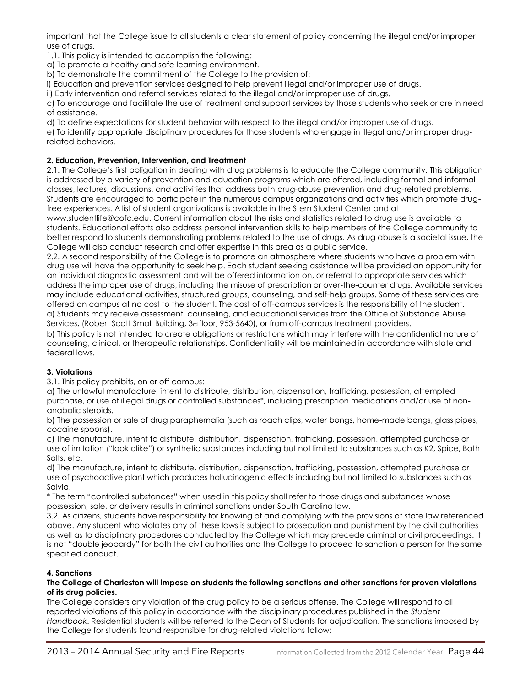important that the College issue to all students a clear statement of policy concerning the illegal and/or improper use of drugs.

1.1. This policy is intended to accomplish the following:

a) To promote a healthy and safe learning environment.

b) To demonstrate the commitment of the College to the provision of:

i) Education and prevention services designed to help prevent illegal and/or improper use of drugs.

ii) Early intervention and referral services related to the illegal and/or improper use of drugs.

c) To encourage and facilitate the use of treatment and support services by those students who seek or are in need of assistance.

d) To define expectations for student behavior with respect to the illegal and/or improper use of drugs.

e) To identify appropriate disciplinary procedures for those students who engage in illegal and/or improper drugrelated behaviors.

#### **2. Education, Prevention, Intervention, and Treatment**

2.1. The College's first obligation in dealing with drug problems is to educate the College community. This obligation is addressed by a variety of prevention and education programs which are offered, including formal and informal classes, lectures, discussions, and activities that address both drug-abuse prevention and drug-related problems. Students are encouraged to participate in the numerous campus organizations and activities which promote drugfree experiences. A list of student organizations is available in the Stern Student Center and at

www.studentlife@cofc.edu. Current information about the risks and statistics related to drug use is available to students. Educational efforts also address personal intervention skills to help members of the College community to better respond to students demonstrating problems related to the use of drugs. As drug abuse is a societal issue, the College will also conduct research and offer expertise in this area as a public service.

2.2. A second responsibility of the College is to promote an atmosphere where students who have a problem with drug use will have the opportunity to seek help. Each student seeking assistance will be provided an opportunity for an individual diagnostic assessment and will be offered information on, or referral to appropriate services which address the improper use of drugs, including the misuse of prescription or over-the-counter drugs. Available services may include educational activities, structured groups, counseling, and self-help groups. Some of these services are offered on campus at no cost to the student. The cost of off-campus services is the responsibility of the student. a) Students may receive assessment, counseling, and educational services from the Office of Substance Abuse Services, (Robert Scott Small Building, 3rd floor, 953-5640), or from off-campus treatment providers.

b) This policy is not intended to create obligations or restrictions which may interfere with the confidential nature of counseling, clinical, or therapeutic relationships. Confidentiality will be maintained in accordance with state and federal laws.

#### **3. Violations**

3.1. This policy prohibits, on or off campus:

a) The unlawful manufacture, intent to distribute, distribution, dispensation, trafficking, possession, attempted purchase, or use of illegal drugs or controlled substances\*, including prescription medications and/or use of nonanabolic steroids.

b) The possession or sale of drug paraphernalia (such as roach clips, water bongs, home-made bongs, glass pipes, cocaine spoons).

c) The manufacture, intent to distribute, distribution, dispensation, trafficking, possession, attempted purchase or use of imitation ("look alike") or synthetic substances including but not limited to substances such as K2, Spice, Bath Salts, etc.

d) The manufacture, intent to distribute, distribution, dispensation, trafficking, possession, attempted purchase or use of psychoactive plant which produces hallucinogenic effects including but not limited to substances such as Salvia.

\* The term "controlled substances" when used in this policy shall refer to those drugs and substances whose possession, sale, or delivery results in criminal sanctions under South Carolina law.

3.2. As citizens, students have responsibility for knowing of and complying with the provisions of state law referenced above. Any student who violates any of these laws is subject to prosecution and punishment by the civil authorities as well as to disciplinary procedures conducted by the College which may precede criminal or civil proceedings. It is not "double jeopardy" for both the civil authorities and the College to proceed to sanction a person for the same specified conduct.

#### **4. Sanctions**

#### **The College of Charleston will impose on students the following sanctions and other sanctions for proven violations of its drug policies.**

The College considers any violation of the drug policy to be a serious offense. The College will respond to all reported violations of this policy in accordance with the disciplinary procedures published in the *Student Handbook*. Residential students will be referred to the Dean of Students for adjudication. The sanctions imposed by the College for students found responsible for drug-related violations follow: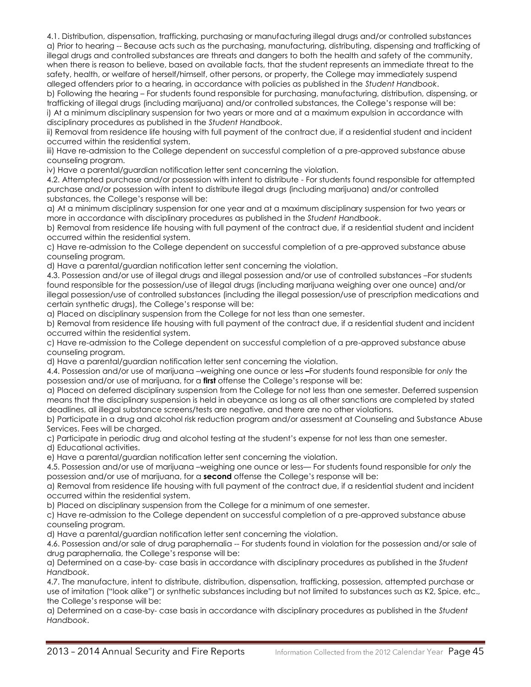4.1. Distribution, dispensation, trafficking, purchasing or manufacturing illegal drugs and/or controlled substances a) Prior to hearing -- Because acts such as the purchasing, manufacturing, distributing, dispensing and trafficking of illegal drugs and controlled substances are threats and dangers to both the health and safety of the community, when there is reason to believe, based on available facts, that the student represents an immediate threat to the safety, health, or welfare of herself/himself, other persons, or property, the College may immediately suspend alleged offenders prior to a hearing, in accordance with policies as published in the *Student Handbook*. b) Following the hearing – For students found responsible for purchasing, manufacturing, distribution, dispensing, or trafficking of illegal drugs (including marijuana) and/or controlled substances, the College's response will be: i) At a minimum disciplinary suspension for two years or more and at a maximum expulsion in accordance with disciplinary procedures as published in the *Student Handbook*.

ii) Removal from residence life housing with full payment of the contract due, if a residential student and incident occurred within the residential system.

iii) Have re-admission to the College dependent on successful completion of a pre-approved substance abuse counseling program.

iv) Have a parental/guardian notification letter sent concerning the violation.

4.2. Attempted purchase and/or possession with intent to distribute - For students found responsible for attempted purchase and/or possession with intent to distribute illegal drugs (including marijuana) and/or controlled substances, the College's response will be:

a) At a minimum disciplinary suspension for one year and at a maximum disciplinary suspension for two years or more in accordance with disciplinary procedures as published in the *Student Handbook*.

b) Removal from residence life housing with full payment of the contract due, if a residential student and incident occurred within the residential system.

c) Have re-admission to the College dependent on successful completion of a pre-approved substance abuse counseling program.

d) Have a parental/guardian notification letter sent concerning the violation.

4.3. Possession and/or use of illegal drugs and illegal possession and/or use of controlled substances –For students found responsible for the possession/use of illegal drugs (including marijuana weighing over one ounce) and/or illegal possession/use of controlled substances (including the illegal possession/use of prescription medications and certain synthetic drugs), the College's response will be:

a) Placed on disciplinary suspension from the College for not less than one semester.

b) Removal from residence life housing with full payment of the contract due, if a residential student and incident occurred within the residential system.

c) Have re-admission to the College dependent on successful completion of a pre-approved substance abuse counseling program.

d) Have a parental/guardian notification letter sent concerning the violation.

4.4. Possession and/or use of marijuana –weighing one ounce or less **–**For students found responsible for *only* the possession and/or use of marijuana, for a **first** offense the College's response will be:

a) Placed on deferred disciplinary suspension from the College for not less than one semester. Deferred suspension means that the disciplinary suspension is held in abeyance as long as all other sanctions are completed by stated deadlines, all illegal substance screens/tests are negative, and there are no other violations.

b) Participate in a drug and alcohol risk reduction program and/or assessment at Counseling and Substance Abuse Services. Fees will be charged.

c) Participate in periodic drug and alcohol testing at the student's expense for not less than one semester.

d) Educational activities.

e) Have a parental/guardian notification letter sent concerning the violation.

4.5. Possession and/or use of marijuana –weighing one ounce or less— For students found responsible for *only* the possession and/or use of marijuana, for a **second** offense the College's response will be:

a) Removal from residence life housing with full payment of the contract due, if a residential student and incident occurred within the residential system.

b) Placed on disciplinary suspension from the College for a minimum of one semester.

c) Have re-admission to the College dependent on successful completion of a pre-approved substance abuse counseling program.

d) Have a parental/guardian notification letter sent concerning the violation.

4.6. Possession and/or sale of drug paraphernalia -- For students found in violation for the possession and/or sale of drug paraphernalia, the College's response will be:

a) Determined on a case-by- case basis in accordance with disciplinary procedures as published in the *Student Handbook*.

4.7. The manufacture, intent to distribute, distribution, dispensation, trafficking, possession, attempted purchase or use of imitation ("look alike") or synthetic substances including but not limited to substances such as K2, Spice, etc., the College's response will be:

a) Determined on a case-by- case basis in accordance with disciplinary procedures as published in the *Student Handbook*.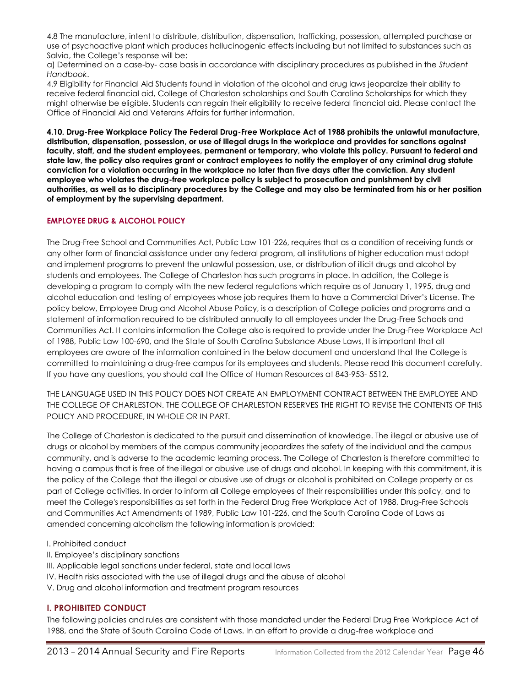4.8 The manufacture, intent to distribute, distribution, dispensation, trafficking, possession, attempted purchase or use of psychoactive plant which produces hallucinogenic effects including but not limited to substances such as Salvia, the College's response will be:

a) Determined on a case-by- case basis in accordance with disciplinary procedures as published in the *Student Handbook*.

4.9 Eligibility for Financial Aid Students found in violation of the alcohol and drug laws jeopardize their ability to receive federal financial aid, College of Charleston scholarships and South Carolina Scholarships for which they might otherwise be eligible. Students can regain their eligibility to receive federal financial aid. Please contact the Office of Financial Aid and Veterans Affairs for further information.

**4.10. Drug-Free Workplace Policy The Federal Drug-Free Workplace Act of 1988 prohibits the unlawful manufacture, distribution, dispensation, possession, or use of illegal drugs in the workplace and provides for sanctions against faculty, staff, and the student employees, permanent or temporary, who violate this policy. Pursuant to federal and state law, the policy also requires grant or contract employees to notify the employer of any criminal drug statute conviction for a violation occurring in the workplace no later than five days after the conviction. Any student employee who violates the drug-free workplace policy is subject to prosecution and punishment by civil authorities, as well as to disciplinary procedures by the College and may also be terminated from his or her position of employment by the supervising department.** 

#### **EMPLOYEE DRUG & ALCOHOL POLICY**

The Drug-Free School and Communities Act, Public Law 101-226, requires that as a condition of receiving funds or any other form of financial assistance under any federal program, all institutions of higher education must adopt and implement programs to prevent the unlawful possession, use, or distribution of illicit drugs and alcohol by students and employees. The College of Charleston has such programs in place. In addition, the College is developing a program to comply with the new federal regulations which require as of January 1, 1995, drug and alcohol education and testing of employees whose job requires them to have a Commercial Driver's License. The policy below, Employee Drug and Alcohol Abuse Policy, is a description of College policies and programs and a statement of information required to be distributed annually to all employees under the Drug-Free Schools and Communities Act. It contains information the College also is required to provide under the Drug-Free Workplace Act of 1988, Public Law 100-690, and the State of South Carolina Substance Abuse Laws, It is important that all employees are aware of the information contained in the below document and understand that the College is committed to maintaining a drug-free campus for its employees and students. Please read this document carefully. If you have any questions, you should call the Office of Human Resources at 843-953- 5512.

THE LANGUAGE USED IN THIS POLICY DOES NOT CREATE AN EMPLOYMENT CONTRACT BETWEEN THE EMPLOYEE AND THE COLLEGE OF CHARLESTON. THE COLLEGE OF CHARLESTON RESERVES THE RIGHT TO REVISE THE CONTENTS OF THIS POLICY AND PROCEDURE, IN WHOLE OR IN PART.

The College of Charleston is dedicated to the pursuit and dissemination of knowledge. The illegal or abusive use of drugs or alcohol by members of the campus community jeopardizes the safety of the individual and the campus community, and is adverse to the academic learning process. The College of Charleston is therefore committed to having a campus that is free of the illegal or abusive use of drugs and alcohol. In keeping with this commitment, it is the policy of the College that the illegal or abusive use of drugs or alcohol is prohibited on College property or as part of College activities. In order to inform all College employees of their responsibilities under this policy, and to meet the College's responsibilities as set forth in the Federal Drug Free Workplace Act of 1988, Drug-Free Schools and Communities Act Amendments of 1989, Public Law 101-226, and the South Carolina Code of Laws as amended concerning alcoholism the following information is provided:

- I. Prohibited conduct
- II. Employee's disciplinary sanctions
- III. Applicable legal sanctions under federal, state and local laws
- IV. Health risks associated with the use of illegal drugs and the abuse of alcohol
- V. Drug and alcohol information and treatment program resources

#### **I. PROHIBITED CONDUCT**

The following policies and rules are consistent with those mandated under the Federal Drug Free Workplace Act of 1988, and the State of South Carolina Code of Laws. In an effort to provide a drug-free workplace and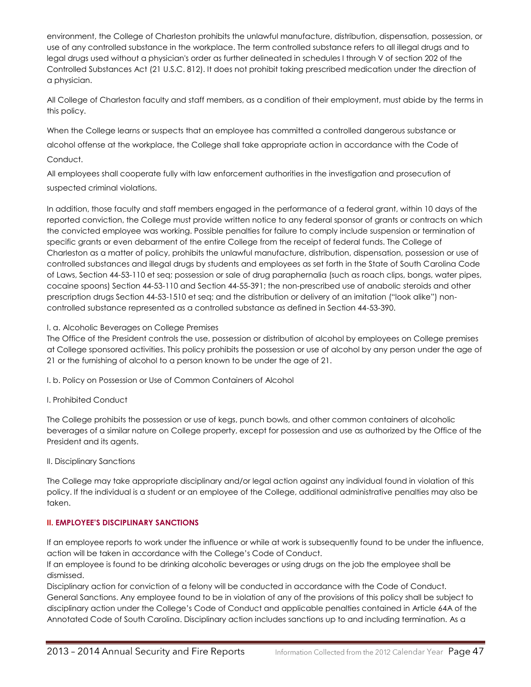environment, the College of Charleston prohibits the unlawful manufacture, distribution, dispensation, possession, or use of any controlled substance in the workplace. The term controlled substance refers to all illegal drugs and to legal drugs used without a physician's order as further delineated in schedules I through V of section 202 of the Controlled Substances Act (21 U.S.C. 812). It does not prohibit taking prescribed medication under the direction of a physician.

All College of Charleston faculty and staff members, as a condition of their employment, must abide by the terms in this policy.

When the College learns or suspects that an employee has committed a controlled dangerous substance or alcohol offense at the workplace, the College shall take appropriate action in accordance with the Code of Conduct.

All employees shall cooperate fully with law enforcement authorities in the investigation and prosecution of suspected criminal violations.

In addition, those faculty and staff members engaged in the performance of a federal grant, within 10 days of the reported conviction, the College must provide written notice to any federal sponsor of grants or contracts on which the convicted employee was working. Possible penalties for failure to comply include suspension or termination of specific grants or even debarment of the entire College from the receipt of federal funds. The College of Charleston as a matter of policy, prohibits the unlawful manufacture, distribution, dispensation, possession or use of controlled substances and illegal drugs by students and employees as set forth in the State of South Carolina Code of Laws, Section 44-53-110 et seq; possession or sale of drug paraphernalia (such as roach clips, bongs, water pipes, cocaine spoons) Section 44-53-110 and Section 44-55-391; the non-prescribed use of anabolic steroids and other prescription drugs Section 44-53-1510 et seq; and the distribution or delivery of an imitation ("look alike") noncontrolled substance represented as a controlled substance as defined in Section 44-53-390.

I. a. Alcoholic Beverages on College Premises

The Office of the President controls the use, possession or distribution of alcohol by employees on College premises at College sponsored activities. This policy prohibits the possession or use of alcohol by any person under the age of 21 or the furnishing of alcohol to a person known to be under the age of 21.

I. b. Policy on Possession or Use of Common Containers of Alcohol

I. Prohibited Conduct

The College prohibits the possession or use of kegs, punch bowls, and other common containers of alcoholic beverages of a similar nature on College property, except for possession and use as authorized by the Office of the President and its agents.

II. Disciplinary Sanctions

The College may take appropriate disciplinary and/or legal action against any individual found in violation of this policy. If the individual is a student or an employee of the College, additional administrative penalties may also be taken.

## **II. EMPLOYEE'S DISCIPLINARY SANCTIONS**

If an employee reports to work under the influence or while at work is subsequently found to be under the influence, action will be taken in accordance with the College's Code of Conduct.

If an employee is found to be drinking alcoholic beverages or using drugs on the job the employee shall be dismissed.

Disciplinary action for conviction of a felony will be conducted in accordance with the Code of Conduct. General Sanctions. Any employee found to be in violation of any of the provisions of this policy shall be subject to disciplinary action under the College's Code of Conduct and applicable penalties contained in Article 64A of the Annotated Code of South Carolina. Disciplinary action includes sanctions up to and including termination. As a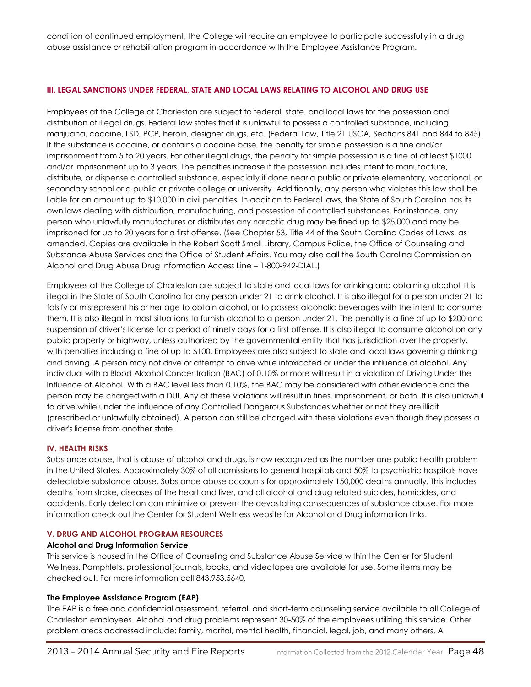condition of continued employment, the College will require an employee to participate successfully in a drug abuse assistance or rehabilitation program in accordance with the Employee Assistance Program.

#### **III. LEGAL SANCTIONS UNDER FEDERAL, STATE AND LOCAL LAWS RELATING TO ALCOHOL AND DRUG USE**

Employees at the College of Charleston are subject to federal, state, and local laws for the possession and distribution of illegal drugs. Federal law states that it is unlawful to possess a controlled substance, including marijuana, cocaine, LSD, PCP, heroin, designer drugs, etc. (Federal Law, Title 21 USCA, Sections 841 and 844 to 845). If the substance is cocaine, or contains a cocaine base, the penalty for simple possession is a fine and/or imprisonment from 5 to 20 years. For other illegal drugs, the penalty for simple possession is a fine of at least \$1000 and/or imprisonment up to 3 years. The penalties increase if the possession includes intent to manufacture, distribute, or dispense a controlled substance, especially if done near a public or private elementary, vocational, or secondary school or a public or private college or university. Additionally, any person who violates this law shall be liable for an amount up to \$10,000 in civil penalties. In addition to Federal laws, the State of South Carolina has its own laws dealing with distribution, manufacturing, and possession of controlled substances. For instance, any person who unlawfully manufactures or distributes any narcotic drug may be fined up to \$25,000 and may be imprisoned for up to 20 years for a first offense. (See Chapter 53, Title 44 of the South Carolina Codes of Laws, as amended. Copies are available in the Robert Scott Small Library, Campus Police, the Office of Counseling and Substance Abuse Services and the Office of Student Affairs. You may also call the South Carolina Commission on Alcohol and Drug Abuse Drug Information Access Line – 1-800-942-DIAL.)

Employees at the College of Charleston are subject to state and local laws for drinking and obtaining alcohol. It is illegal in the State of South Carolina for any person under 21 to drink alcohol. It is also illegal for a person under 21 to falsify or misrepresent his or her age to obtain alcohol, or to possess alcoholic beverages with the intent to consume them. It is also illegal in most situations to furnish alcohol to a person under 21. The penalty is a fine of up to \$200 and suspension of driver's license for a period of ninety days for a first offense. It is also illegal to consume alcohol on any public property or highway, unless authorized by the governmental entity that has jurisdiction over the property, with penalties including a fine of up to \$100. Employees are also subject to state and local laws governing drinking and driving. A person may not drive or attempt to drive while intoxicated or under the influence of alcohol. Any individual with a Blood Alcohol Concentration (BAC) of 0.10% or more will result in a violation of Driving Under the Influence of Alcohol. With a BAC level less than 0.10%, the BAC may be considered with other evidence and the person may be charged with a DUI. Any of these violations will result in fines, imprisonment, or both. It is also unlawful to drive while under the influence of any Controlled Dangerous Substances whether or not they are illicit (prescribed or unlawfully obtained). A person can still be charged with these violations even though they possess a driver's license from another state.

#### **IV. HEALTH RISKS**

Substance abuse, that is abuse of alcohol and drugs, is now recognized as the number one public health problem in the United States. Approximately 30% of all admissions to general hospitals and 50% to psychiatric hospitals have detectable substance abuse. Substance abuse accounts for approximately 150,000 deaths annually. This includes deaths from stroke, diseases of the heart and liver, and all alcohol and drug related suicides, homicides, and accidents. Early detection can minimize or prevent the devastating consequences of substance abuse. For more information check out the Center for Student Wellness website for Alcohol and Drug information links.

#### **V. DRUG AND ALCOHOL PROGRAM RESOURCES**

#### **Alcohol and Drug Information Service**

This service is housed in the Office of Counseling and Substance Abuse Service within the Center for Student Wellness. Pamphlets, professional journals, books, and videotapes are available for use. Some items may be checked out. For more information call 843.953.5640.

#### **The Employee Assistance Program (EAP)**

The EAP is a free and confidential assessment, referral, and short-term counseling service available to all College of Charleston employees. Alcohol and drug problems represent 30-50% of the employees utilizing this service. Other problem areas addressed include: family, marital, mental health, financial, legal, job, and many others. A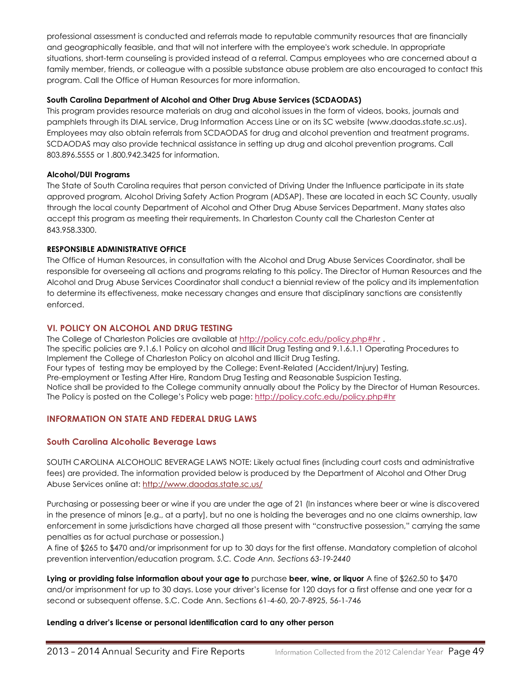professional assessment is conducted and referrals made to reputable community resources that are financially and geographically feasible, and that will not interfere with the employee's work schedule. In appropriate situations, short-term counseling is provided instead of a referral. Campus employees who are concerned about a family member, friends, or colleague with a possible substance abuse problem are also encouraged to contact this program. Call the Office of Human Resources for more information.

#### **South Carolina Department of Alcohol and Other Drug Abuse Services (SCDAODAS)**

This program provides resource materials on drug and alcohol issues in the form of videos, books, journals and pamphlets through its DIAL service, Drug Information Access Line or on its SC website (www.daodas.state.sc.us). Employees may also obtain referrals from SCDAODAS for drug and alcohol prevention and treatment programs. SCDAODAS may also provide technical assistance in setting up drug and alcohol prevention programs. Call 803.896.5555 or 1.800.942.3425 for information.

#### **Alcohol/DUI Programs**

The State of South Carolina requires that person convicted of Driving Under the Influence participate in its state approved program, Alcohol Driving Safety Action Program (ADSAP). These are located in each SC County, usually through the local county Department of Alcohol and Other Drug Abuse Services Department. Many states also accept this program as meeting their requirements. In Charleston County call the Charleston Center at 843.958.3300.

### **RESPONSIBLE ADMINISTRATIVE OFFICE**

The Office of Human Resources, in consultation with the Alcohol and Drug Abuse Services Coordinator, shall be responsible for overseeing all actions and programs relating to this policy. The Director of Human Resources and the Alcohol and Drug Abuse Services Coordinator shall conduct a biennial review of the policy and its implementation to determine its effectiveness, make necessary changes and ensure that disciplinary sanctions are consistently enforced.

## **VI. POLICY ON ALCOHOL AND DRUG TESTING**

The College of Charleston Policies are available at<http://policy.cofc.edu/policy.php#hr>. The specific policies are 9.1.6.1 Policy on alcohol and Illicit Drug Testing and 9.1.6.1.1 Operating Procedures to Implement the College of Charleston Policy on alcohol and Illicit Drug Testing. Four types of testing may be employed by the College: Event-Related (Accident/Injury) Testing, Pre-employment or Testing After Hire, Random Drug Testing and Reasonable Suspicion Testing. Notice shall be provided to the College community annually about the Policy by the Director of Human Resources. The Policy is posted on the College's Policy web page: <http://policy.cofc.edu/policy.php#hr>

## **INFORMATION ON STATE AND FEDERAL DRUG LAWS**

## **South Carolina Alcoholic Beverage Laws**

SOUTH CAROLINA ALCOHOLIC BEVERAGE LAWS NOTE: Likely actual fines (including court costs and administrative fees) are provided. The information provided below is produced by the Department of Alcohol and Other Drug Abuse Services online at:<http://www.daodas.state.sc.us/>

Purchasing or possessing beer or wine if you are under the age of 21 (In instances where beer or wine is discovered in the presence of minors [e.g., at a party], but no one is holding the beverages and no one claims ownership, law enforcement in some jurisdictions have charged all those present with "constructive possession," carrying the same penalties as for actual purchase or possession.)

A fine of \$265 to \$470 and/or imprisonment for up to 30 days for the first offense. Mandatory completion of alcohol prevention intervention/education program. *S.C. Code Ann. Sections 63-19-2440* 

**Lying or providing false information about your age to** purchase **beer, wine, or liquor** A fine of \$262.50 to \$470 and/or imprisonment for up to 30 days. Lose your driver's license for 120 days for a first offense and one year for a second or subsequent offense. S.C. Code Ann. Sections 61-4-60, 20-7-8925, 56-1-746

#### **Lending a driver's license or personal identification card to any other person**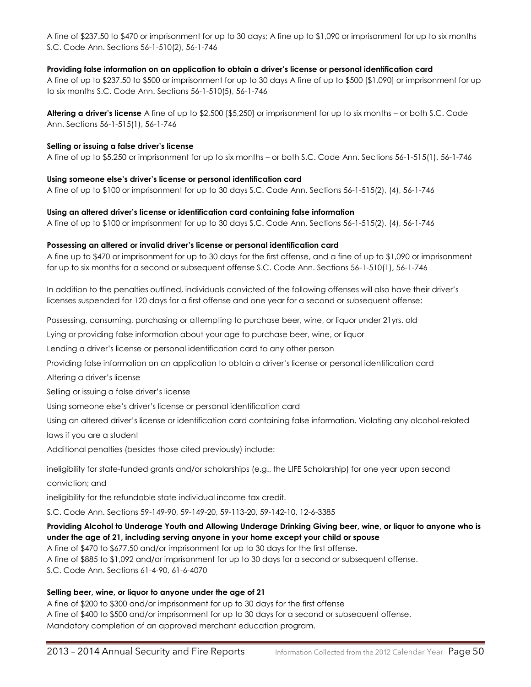A fine of \$237.50 to \$470 or imprisonment for up to 30 days; A fine up to \$1,090 or imprisonment for up to six months S.C. Code Ann. Sections 56-1-510(2), 56-1-746

#### **Providing false information on an application to obtain a driver's license or personal identification card**

A fine of up to \$237.50 to \$500 or imprisonment for up to 30 days A fine of up to \$500 [\$1,090] or imprisonment for up to six months S.C. Code Ann. Sections 56-1-510(5), 56-1-746

**Altering a driver's license** A fine of up to \$2,500 [\$5,250] or imprisonment for up to six months – or both S.C. Code Ann. Sections 56-1-515(1), 56-1-746

#### **Selling or issuing a false driver's license**

A fine of up to \$5,250 or imprisonment for up to six months – or both S.C. Code Ann. Sections 56-1-515(1), 56-1-746

#### **Using someone else's driver's license or personal identification card**

A fine of up to \$100 or imprisonment for up to 30 days S.C. Code Ann. Sections 56-1-515(2), (4), 56-1-746

#### **Using an altered driver's license or identification card containing false information**

A fine of up to \$100 or imprisonment for up to 30 days S.C. Code Ann. Sections 56-1-515(2), (4), 56-1-746

#### **Possessing an altered or invalid driver's license or personal identification card**

A fine up to \$470 or imprisonment for up to 30 days for the first offense, and a fine of up to \$1,090 or imprisonment for up to six months for a second or subsequent offense S.C. Code Ann. Sections 56-1-510(1), 56-1-746

In addition to the penalties outlined, individuals convicted of the following offenses will also have their driver's licenses suspended for 120 days for a first offense and one year for a second or subsequent offense:

Possessing, consuming, purchasing or attempting to purchase beer, wine, or liquor under 21yrs. old

Lying or providing false information about your age to purchase beer, wine, or liquor

Lending a driver's license or personal identification card to any other person

Providing false information on an application to obtain a driver's license or personal identification card

Altering a driver's license

Selling or issuing a false driver's license

Using someone else's driver's license or personal identification card

Using an altered driver's license or identification card containing false information. Violating any alcohol-related

laws if you are a student

Additional penalties (besides those cited previously) include:

ineligibility for state-funded grants and/or scholarships (e.g., the LIFE Scholarship) for one year upon second conviction; and

ineligibility for the refundable state individual income tax credit.

S.C. Code Ann. Sections 59-149-90, 59-149-20, 59-113-20, 59-142-10, 12-6-3385

#### **Providing Alcohol to Underage Youth and Allowing Underage Drinking Giving beer, wine, or liquor to anyone who is under the age of 21, including serving anyone in your home except your child or spouse**

A fine of \$470 to \$677.50 and/or imprisonment for up to 30 days for the first offense. A fine of \$885 to \$1,092 and/or imprisonment for up to 30 days for a second or subsequent offense. S.C. Code Ann. Sections 61-4-90, 61-6-4070

#### **Selling beer, wine, or liquor to anyone under the age of 21**

A fine of \$200 to \$300 and/or imprisonment for up to 30 days for the first offense A fine of \$400 to \$500 and/or imprisonment for up to 30 days for a second or subsequent offense. Mandatory completion of an approved merchant education program.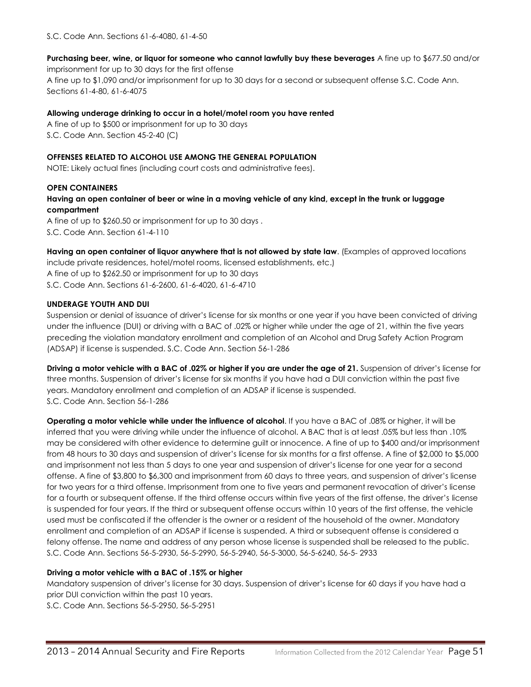**Purchasing beer, wine, or liquor for someone who cannot lawfully buy these beverages** A fine up to \$677.50 and/or imprisonment for up to 30 days for the first offense A fine up to \$1,090 and/or imprisonment for up to 30 days for a second or subsequent offense S.C. Code Ann. Sections 61-4-80, 61-6-4075

#### **Allowing underage drinking to occur in a hotel/motel room you have rented**

A fine of up to \$500 or imprisonment for up to 30 days S.C. Code Ann. Section 45-2-40 (C)

#### **OFFENSES RELATED TO ALCOHOL USE AMONG THE GENERAL POPULATION**

NOTE: Likely actual fines (including court costs and administrative fees).

#### **OPEN CONTAINERS**

#### **Having an open container of beer or wine in a moving vehicle of any kind, except in the trunk or luggage compartment**

A fine of up to \$260.50 or imprisonment for up to 30 days . S.C. Code Ann. Section 61-4-110

**Having an open container of liquor anywhere that is not allowed by state law**. (Examples of approved locations include private residences, hotel/motel rooms, licensed establishments, etc.) A fine of up to \$262.50 or imprisonment for up to 30 days S.C. Code Ann. Sections 61-6-2600, 61-6-4020, 61-6-4710

#### **UNDERAGE YOUTH AND DUI**

Suspension or denial of issuance of driver's license for six months or one year if you have been convicted of driving under the influence (DUI) or driving with a BAC of .02% or higher while under the age of 21, within the five years preceding the violation mandatory enrollment and completion of an Alcohol and Drug Safety Action Program (ADSAP) if license is suspended. S.C. Code Ann. Section 56-1-286

**Driving a motor vehicle with a BAC of .02% or higher if you are under the age of 21.** Suspension of driver's license for three months. Suspension of driver's license for six months if you have had a DUI conviction within the past five years. Mandatory enrollment and completion of an ADSAP if license is suspended. S.C. Code Ann. Section 56-1-286

**Operating a motor vehicle while under the influence of alcohol**. If you have a BAC of .08% or higher, it will be inferred that you were driving while under the influence of alcohol. A BAC that is at least .05% but less than .10% may be considered with other evidence to determine guilt or innocence. A fine of up to \$400 and/or imprisonment from 48 hours to 30 days and suspension of driver's license for six months for a first offense. A fine of \$2,000 to \$5,000 and imprisonment not less than 5 days to one year and suspension of driver's license for one year for a second offense. A fine of \$3,800 to \$6,300 and imprisonment from 60 days to three years, and suspension of driver's license for two years for a third offense. Imprisonment from one to five years and permanent revocation of driver's license for a fourth or subsequent offense. If the third offense occurs within five years of the first offense, the driver's license is suspended for four years. If the third or subsequent offense occurs within 10 years of the first offense, the vehicle used must be confiscated if the offender is the owner or a resident of the household of the owner. Mandatory enrollment and completion of an ADSAP if license is suspended. A third or subsequent offense is considered a felony offense. The name and address of any person whose license is suspended shall be released to the public. S.C. Code Ann. Sections 56-5-2930, 56-5-2990, 56-5-2940, 56-5-3000, 56-5-6240, 56-5- 2933

#### **Driving a motor vehicle with a BAC of .15% or higher**

Mandatory suspension of driver's license for 30 days. Suspension of driver's license for 60 days if you have had a prior DUI conviction within the past 10 years. S.C. Code Ann. Sections 56-5-2950, 56-5-2951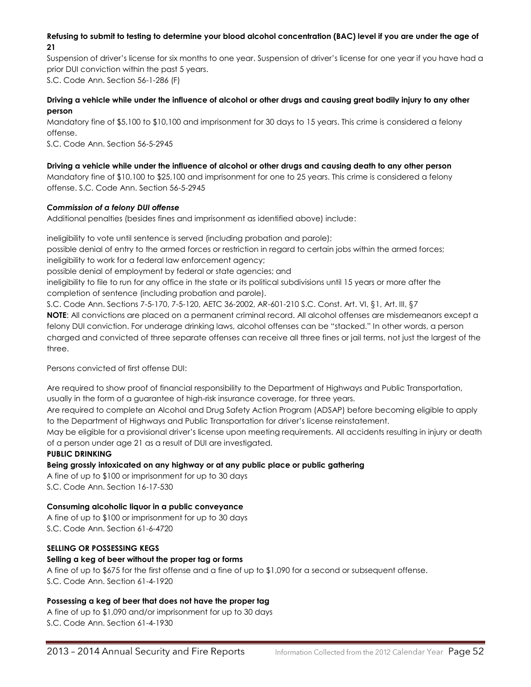#### **Refusing to submit to testing to determine your blood alcohol concentration (BAC) level if you are under the age of 21**

Suspension of driver's license for six months to one year. Suspension of driver's license for one year if you have had a prior DUI conviction within the past 5 years.

S.C. Code Ann. Section 56-1-286 (F)

#### **Driving a vehicle while under the influence of alcohol or other drugs and causing great bodily injury to any other person**

Mandatory fine of \$5,100 to \$10,100 and imprisonment for 30 days to 15 years. This crime is considered a felony offense.

S.C. Code Ann. Section 56-5-2945

#### **Driving a vehicle while under the influence of alcohol or other drugs and causing death to any other person**

Mandatory fine of \$10,100 to \$25,100 and imprisonment for one to 25 years. This crime is considered a felony offense. S.C. Code Ann. Section 56-5-2945

#### *Commission of a felony DUI offense*

Additional penalties (besides fines and imprisonment as identified above) include:

ineligibility to vote until sentence is served (including probation and parole);

possible denial of entry to the armed forces or restriction in regard to certain jobs within the armed forces; ineligibility to work for a federal law enforcement agency;

possible denial of employment by federal or state agencies; and

ineligibility to file to run for any office in the state or its political subdivisions until 15 years or more after the completion of sentence (including probation and parole).

S.C. Code Ann. Sections 7-5-170, 7-5-120, AETC 36-2002, AR-601-210 S.C. Const. Art. VI, §1, Art. III, §7

**NOTE**: All convictions are placed on a permanent criminal record. All alcohol offenses are misdemeanors except a felony DUI conviction. For underage drinking laws, alcohol offenses can be "stacked." In other words, a person charged and convicted of three separate offenses can receive all three fines or jail terms, not just the largest of the three.

Persons convicted of first offense DUI:

Are required to show proof of financial responsibility to the Department of Highways and Public Transportation, usually in the form of a guarantee of high-risk insurance coverage, for three years.

Are required to complete an Alcohol and Drug Safety Action Program (ADSAP) before becoming eligible to apply to the Department of Highways and Public Transportation for driver's license reinstatement.

May be eligible for a provisional driver's license upon meeting requirements. All accidents resulting in injury or death of a person under age 21 as a result of DUI are investigated.

#### **PUBLIC DRINKING**

#### **Being grossly intoxicated on any highway or at any public place or public gathering**

A fine of up to \$100 or imprisonment for up to 30 days S.C. Code Ann. Section 16-17-530

#### **Consuming alcoholic liquor in a public conveyance**

A fine of up to \$100 or imprisonment for up to 30 days S.C. Code Ann. Section 61-6-4720

#### **SELLING OR POSSESSING KEGS**

# **Selling a keg of beer without the proper tag or forms**

A fine of up to \$675 for the first offense and a fine of up to \$1,090 for a second or subsequent offense. S.C. Code Ann. Section 61-4-1920

# **Possessing a keg of beer that does not have the proper tag**

A fine of up to \$1,090 and/or imprisonment for up to 30 days S.C. Code Ann. Section 61-4-1930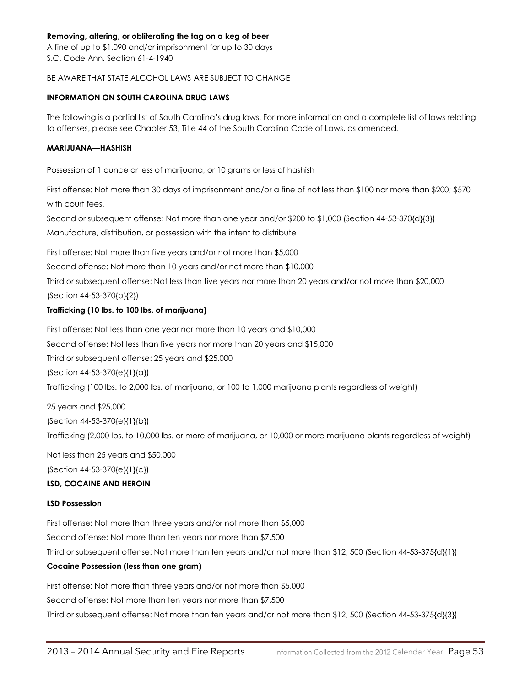#### **Removing, altering, or obliterating the tag on a keg of beer**

A fine of up to \$1,090 and/or imprisonment for up to 30 days S.C. Code Ann. Section 61-4-1940

#### BE AWARE THAT STATE ALCOHOL LAWS ARE SUBJECT TO CHANGE

#### **INFORMATION ON SOUTH CAROLINA DRUG LAWS**

The following is a partial list of South Carolina's drug laws. For more information and a complete list of laws relating to offenses, please see Chapter 53, Title 44 of the South Carolina Code of Laws, as amended.

#### **MARIJUANA—HASHISH**

Possession of 1 ounce or less of marijuana, or 10 grams or less of hashish

First offense: Not more than 30 days of imprisonment and/or a fine of not less than \$100 nor more than \$200; \$570 with court fees.

Second or subsequent offense: Not more than one year and/or \$200 to \$1,000 (Section 44-53-370{d}{3}) Manufacture, distribution, or possession with the intent to distribute

First offense: Not more than five years and/or not more than \$5,000

Second offense: Not more than 10 years and/or not more than \$10,000

Third or subsequent offense: Not less than five years nor more than 20 years and/or not more than \$20,000

(Section 44-53-370{b}{2})

#### **Trafficking (10 lbs. to 100 lbs. of marijuana)**

First offense: Not less than one year nor more than 10 years and \$10,000 Second offense: Not less than five years nor more than 20 years and \$15,000 Third or subsequent offense: 25 years and \$25,000 (Section 44-53-370{e}{1}{a}) Trafficking (100 lbs. to 2,000 lbs. of marijuana, or 100 to 1,000 marijuana plants regardless of weight)

25 years and \$25,000 (Section 44-53-370{e}{1}{b}) Trafficking (2,000 lbs. to 10,000 lbs. or more of marijuana, or 10,000 or more marijuana plants regardless of weight)

Not less than 25 years and \$50,000

(Section 44-53-370{e}{1}{c})

#### **LSD, COCAINE AND HEROIN**

#### **LSD Possession**

First offense: Not more than three years and/or not more than \$5,000 Second offense: Not more than ten years nor more than \$7,500 Third or subsequent offense: Not more than ten years and/or not more than \$12, 500 (Section 44-53-375{d}{1})

#### **Cocaine Possession (less than one gram)**

First offense: Not more than three years and/or not more than \$5,000 Second offense: Not more than ten years nor more than \$7,500 Third or subsequent offense: Not more than ten years and/or not more than \$12, 500 (Section 44-53-375{d}{3})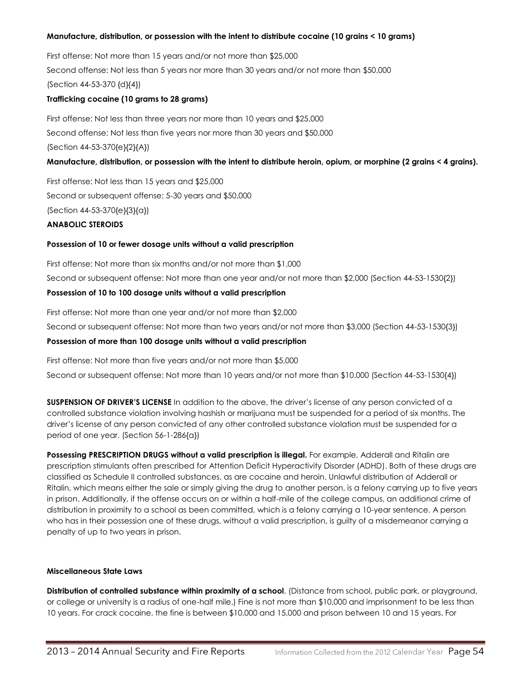#### **Manufacture, distribution, or possession with the intent to distribute cocaine (10 grains < 10 grams)**

First offense: Not more than 15 years and/or not more than \$25,000 Second offense: Not less than 5 years nor more than 30 years and/or not more than \$50,000 (Section 44-53-370 {d}{4}) **Trafficking cocaine (10 grams to 28 grams)**

First offense: Not less than three years nor more than 10 years and \$25,000 Second offense: Not less than five years nor more than 30 years and \$50,000 (Section 44-53-370{e}{2}{A})

#### **Manufacture, distribution, or possession with the intent to distribute heroin, opium, or morphine (2 grains < 4 grains).**

First offense: Not less than 15 years and \$25,000 Second or subsequent offense: 5-30 years and \$50,000 (Section 44-53-370{e}{3}{a})

#### **ANABOLIC STEROIDS**

#### **Possession of 10 or fewer dosage units without a valid prescription**

First offense: Not more than six months and/or not more than \$1,000 Second or subsequent offense: Not more than one year and/or not more than \$2,000 (Section 44-53-1530{2})

#### **Possession of 10 to 100 dosage units without a valid prescription**

First offense: Not more than one year and/or not more than \$2,000 Second or subsequent offense: Not more than two years and/or not more than \$3,000 (Section 44-53-1530{3})

#### **Possession of more than 100 dosage units without a valid prescription**

First offense: Not more than five years and/or not more than \$5,000 Second or subsequent offense: Not more than 10 years and/or not more than \$10,000 (Section 44-53-1530{4})

**SUSPENSION OF DRIVER'S LICENSE** In addition to the above, the driver's license of any person convicted of a controlled substance violation involving hashish or marijuana must be suspended for a period of six months. The driver's license of any person convicted of any other controlled substance violation must be suspended for a period of one year. (Section 56-1-286{a})

Possessing PRESCRIPTION DRUGS without a valid prescription is illegal. For example, Adderall and Ritalin are prescription stimulants often prescribed for Attention Deficit Hyperactivity Disorder (ADHD). Both of these drugs are classified as Schedule II controlled substances, as are cocaine and heroin. Unlawful distribution of Adderall or Ritalin, which means either the sale or simply giving the drug to another person, is a felony carrying up to five years in prison. Additionally, if the offense occurs on or within a half-mile of the college campus, an additional crime of distribution in proximity to a school as been committed, which is a felony carrying a 10-year sentence. A person who has in their possession one of these drugs, without a valid prescription, is guilty of a misdemeanor carrying a penalty of up to two years in prison.

#### **Miscellaneous State Laws**

**Distribution of controlled substance within proximity of a school**. (Distance from school, public park, or playground, or college or university is a radius of one-half mile.) Fine is not more than \$10,000 and imprisonment to be less than 10 years. For crack cocaine, the fine is between \$10,000 and 15,000 and prison between 10 and 15 years. For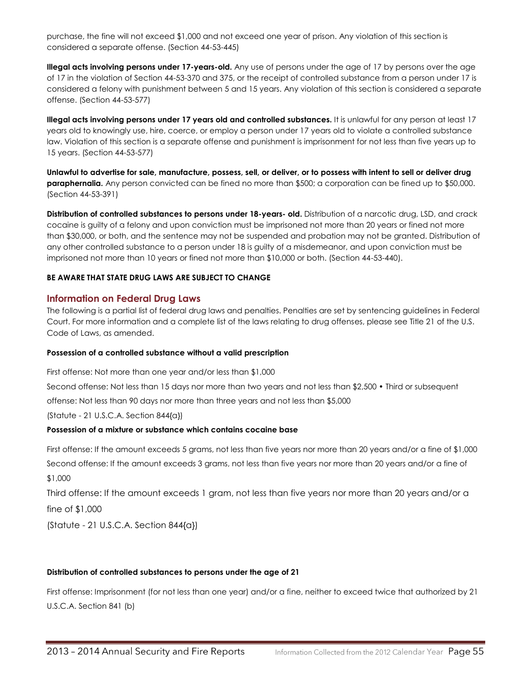purchase, the fine will not exceed \$1,000 and not exceed one year of prison. Any violation of this section is considered a separate offense. (Section 44-53-445)

**Illegal acts involving persons under 17-years-old.** Any use of persons under the age of 17 by persons over the age of 17 in the violation of Section 44-53-370 and 375, or the receipt of controlled substance from a person under 17 is considered a felony with punishment between 5 and 15 years. Any violation of this section is considered a separate offense. (Section 44-53-577)

**Illegal acts involving persons under 17 years old and controlled substances.** It is unlawful for any person at least 17 years old to knowingly use, hire, coerce, or employ a person under 17 years old to violate a controlled substance law. Violation of this section is a separate offense and punishment is imprisonment for not less than five years up to 15 years. (Section 44-53-577)

**Unlawful to advertise for sale, manufacture, possess, sell, or deliver, or to possess with intent to sell or deliver drug paraphernalia.** Any person convicted can be fined no more than \$500; a corporation can be fined up to \$50,000. (Section 44-53-391)

**Distribution of controlled substances to persons under 18-years- old.** Distribution of a narcotic drug, LSD, and crack cocaine is guilty of a felony and upon conviction must be imprisoned not more than 20 years or fined not more than \$30,000, or both, and the sentence may not be suspended and probation may not be granted. Distribution of any other controlled substance to a person under 18 is guilty of a misdemeanor, and upon conviction must be imprisoned not more than 10 years or fined not more than \$10,000 or both. (Section 44-53-440).

### **BE AWARE THAT STATE DRUG LAWS ARE SUBJECT TO CHANGE**

## **Information on Federal Drug Laws**

The following is a partial list of federal drug laws and penalties. Penalties are set by sentencing guidelines in Federal Court. For more information and a complete list of the laws relating to drug offenses, please see Title 21 of the U.S. Code of Laws, as amended.

#### **Possession of a controlled substance without a valid prescription**

First offense: Not more than one year and/or less than \$1,000 Second offense: Not less than 15 days nor more than two years and not less than \$2,500 • Third or subsequent offense: Not less than 90 days nor more than three years and not less than \$5,000 (Statute - 21 U.S.C.A. Section 844{a})

#### **Possession of a mixture or substance which contains cocaine base**

First offense: If the amount exceeds 5 grams, not less than five years nor more than 20 years and/or a fine of \$1,000 Second offense: If the amount exceeds 3 grams, not less than five years nor more than 20 years and/or a fine of \$1,000

Third offense: If the amount exceeds 1 gram, not less than five years nor more than 20 years and/or a fine of \$1,000

(Statute - 21 U.S.C.A. Section 844{a})

#### **Distribution of controlled substances to persons under the age of 21**

First offense: Imprisonment (for not less than one year) and/or a fine, neither to exceed twice that authorized by 21 U.S.C.A. Section 841 (b)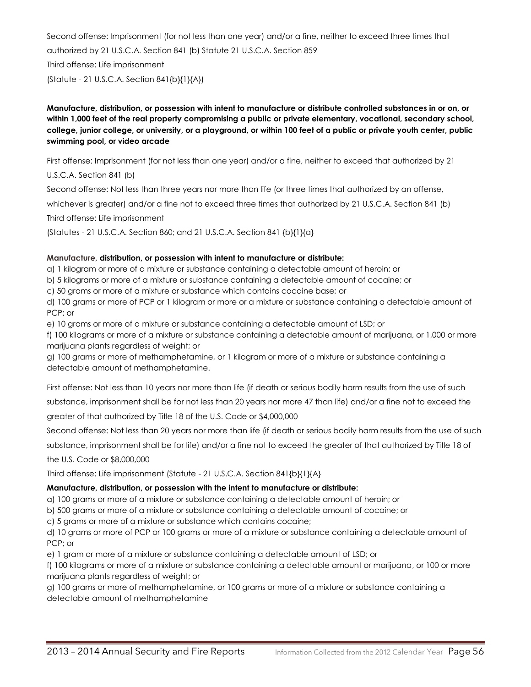Second offense: Imprisonment (for not less than one year) and/or a fine, neither to exceed three times that authorized by 21 U.S.C.A. Section 841 (b) Statute 21 U.S.C.A. Section 859 Third offense: Life imprisonment (Statute - 21 U.S.C.A. Section 841{b}{1}{A})

#### **Manufacture, distribution, or possession with intent to manufacture or distribute controlled substances in or on, or within 1,000 feet of the real property compromising a public or private elementary, vocational, secondary school, college, junior college, or university, or a playground, or within 100 feet of a public or private youth center, public swimming pool, or video arcade**

First offense: Imprisonment (for not less than one year) and/or a fine, neither to exceed that authorized by 21

U.S.C.A. Section 841 (b)

Second offense: Not less than three years nor more than life (or three times that authorized by an offense,

whichever is greater) and/or a fine not to exceed three times that authorized by 21 U.S.C.A. Section 841 (b)

Third offense: Life imprisonment

(Statutes - 21 U.S.C.A. Section 860; and 21 U.S.C.A. Section 841 {b}{1}{a}

#### **Manufacture, distribution, or possession with intent to manufacture or distribute:**

a) 1 kilogram or more of a mixture or substance containing a detectable amount of heroin; or

b) 5 kilograms or more of a mixture or substance containing a detectable amount of cocaine; or

c) 50 grams or more of a mixture or substance which contains cocaine base; or

d) 100 grams or more of PCP or 1 kilogram or more or a mixture or substance containing a detectable amount of PCP; or

e) 10 grams or more of a mixture or substance containing a detectable amount of LSD; or

f) 100 kilograms or more of a mixture or substance containing a detectable amount of marijuana, or 1,000 or more marijuana plants regardless of weight; or

g) 100 grams or more of methamphetamine, or 1 kilogram or more of a mixture or substance containing a detectable amount of methamphetamine.

First offense: Not less than 10 years nor more than life (if death or serious bodily harm results from the use of such

substance, imprisonment shall be for not less than 20 years nor more 47 than life) and/or a fine not to exceed the

greater of that authorized by Title 18 of the U.S. Code or \$4,000,000

Second offense: Not less than 20 years nor more than life (if death or serious bodily harm results from the use of such

substance, imprisonment shall be for life) and/or a fine not to exceed the greater of that authorized by Title 18 of

the U.S. Code or \$8,000,000

Third offense: Life imprisonment (Statute - 21 U.S.C.A. Section 841{b}{1}{A}

#### **Manufacture, distribution, or possession with the intent to manufacture or distribute:**

a) 100 grams or more of a mixture or substance containing a detectable amount of heroin; or

b) 500 grams or more of a mixture or substance containing a detectable amount of cocaine; or

c) 5 grams or more of a mixture or substance which contains cocaine;

d) 10 grams or more of PCP or 100 grams or more of a mixture or substance containing a detectable amount of PCP; or

e) 1 gram or more of a mixture or substance containing a detectable amount of LSD; or

f) 100 kilograms or more of a mixture or substance containing a detectable amount or marijuana, or 100 or more marijuana plants regardless of weight; or

g) 100 grams or more of methamphetamine, or 100 grams or more of a mixture or substance containing a detectable amount of methamphetamine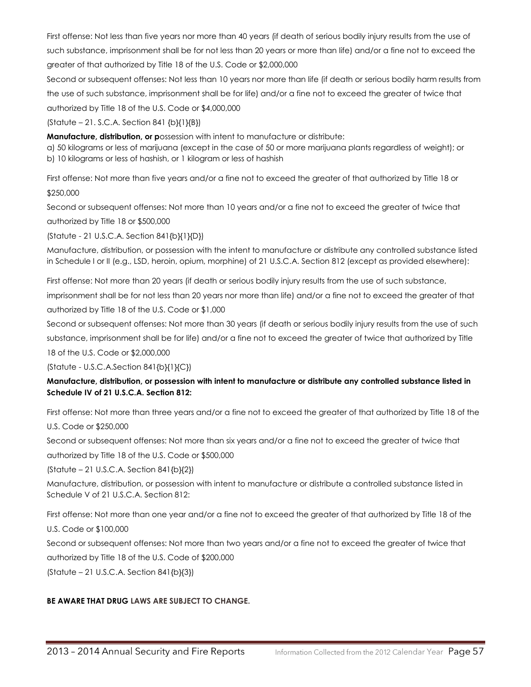First offense: Not less than five years nor more than 40 years (if death of serious bodily injury results from the use of such substance, imprisonment shall be for not less than 20 years or more than life) and/or a fine not to exceed the greater of that authorized by Title 18 of the U.S. Code or \$2,000,000

Second or subsequent offenses: Not less than 10 years nor more than life (if death or serious bodily harm results from the use of such substance, imprisonment shall be for life) and/or a fine not to exceed the greater of twice that authorized by Title 18 of the U.S. Code or \$4,000,000

(Statute – 21. S.C.A. Section 841 {b}{1}{B})

**Manufacture, distribution, or p**ossession with intent to manufacture or distribute:

a) 50 kilograms or less of marijuana (except in the case of 50 or more marijuana plants regardless of weight); or b) 10 kilograms or less of hashish, or 1 kilogram or less of hashish

First offense: Not more than five years and/or a fine not to exceed the greater of that authorized by Title 18 or \$250,000

Second or subsequent offenses: Not more than 10 years and/or a fine not to exceed the greater of twice that authorized by Title 18 or \$500,000

(Statute - 21 U.S.C.A. Section 841{b}{1}{D})

Manufacture, distribution, or possession with the intent to manufacture or distribute any controlled substance listed in Schedule I or II (e.g., LSD, heroin, opium, morphine) of 21 U.S.C.A. Section 812 (except as provided elsewhere):

First offense: Not more than 20 years (if death or serious bodily injury results from the use of such substance,

imprisonment shall be for not less than 20 years nor more than life) and/or a fine not to exceed the greater of that authorized by Title 18 of the U.S. Code or \$1,000

Second or subsequent offenses: Not more than 30 years (if death or serious bodily injury results from the use of such

substance, imprisonment shall be for life) and/or a fine not to exceed the greater of twice that authorized by Title 18 of the U.S. Code or \$2,000,000

 $(Static < -U.S.C.A.Section 841{b}{1}{C})$ 

## **Manufacture, distribution, or possession with intent to manufacture or distribute any controlled substance listed in Schedule IV of 21 U.S.C.A. Section 812:**

First offense: Not more than three years and/or a fine not to exceed the greater of that authorized by Title 18 of the U.S. Code or \$250,000

Second or subsequent offenses: Not more than six years and/or a fine not to exceed the greater of twice that authorized by Title 18 of the U.S. Code or \$500,000

 $[Static – 21 U.S.C.A. Section 841{b}2]$ 

Manufacture, distribution, or possession with intent to manufacture or distribute a controlled substance listed in Schedule V of 21 U.S.C.A. Section 812:

First offense: Not more than one year and/or a fine not to exceed the greater of that authorized by Title 18 of the U.S. Code or \$100,000

Second or subsequent offenses: Not more than two years and/or a fine not to exceed the greater of twice that

authorized by Title 18 of the U.S. Code of \$200,000

 $[Statute - 21 U.S.C.A. Section 841{b}{3}]$ 

## **BE AWARE THAT DRUG LAWS ARE SUBJECT TO CHANGE.**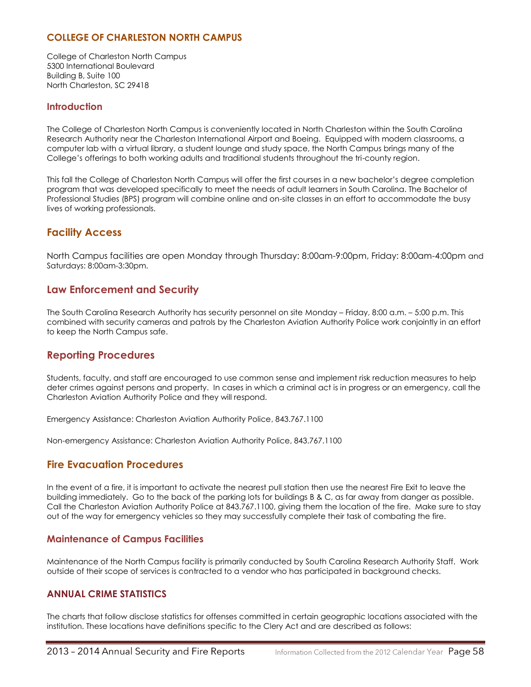# **COLLEGE OF CHARLESTON NORTH CAMPUS**

College of Charleston North Campus 5300 International Boulevard Building B, Suite 100 North Charleston, SC 29418

### **Introduction**

The College of Charleston North Campus is conveniently located in North Charleston within the South Carolina Research Authority near the Charleston International Airport and Boeing. Equipped with modern classrooms, a computer lab with a [virtual library,](http://blogs.cofc.edu/lgclibrary/) a student lounge and study space, the North Campus brings many of the College's offerings to both working adults and traditional students throughout the tri-county region.

This fall the College of Charleston North Campus will offer the first courses in a new bachelor's degree completion program that was developed specifically to meet the needs of adult learners in South Carolina. The Bachelor of Professional Studies (BPS) program will combine online and on-site classes in an effort to accommodate the busy lives of working professionals.

# **Facility Access**

North Campus facilities are open Monday through Thursday: 8:00am-9:00pm, Friday: 8:00am-4:00pm and Saturdays: 8:00am-3:30pm.

# **Law Enforcement and Security**

The South Carolina Research Authority has security personnel on site Monday – Friday, 8:00 a.m. – 5:00 p.m. This combined with security cameras and patrols by the Charleston Aviation Authority Police work conjointly in an effort to keep the North Campus safe.

# **Reporting Procedures**

Students, faculty, and staff are encouraged to use common sense and implement risk reduction measures to help deter crimes against persons and property. In cases in which a criminal act is in progress or an emergency, call the Charleston Aviation Authority Police and they will respond.

Emergency Assistance: Charleston Aviation Authority Police, 843.767.1100

Non-emergency Assistance: Charleston Aviation Authority Police, 843.767.1100

# **Fire Evacuation Procedures**

In the event of a fire, it is important to activate the nearest pull station then use the nearest Fire Exit to leave the building immediately. Go to the back of the parking lots for buildings B & C, as far away from danger as possible. Call the Charleston Aviation Authority Police at 843.767.1100, giving them the location of the fire. Make sure to stay out of the way for emergency vehicles so they may successfully complete their task of combating the fire.

## **Maintenance of Campus Facilities**

Maintenance of the North Campus facility is primarily conducted by South Carolina Research Authority Staff. Work outside of their scope of services is contracted to a vendor who has participated in background checks.

## **ANNUAL CRIME STATISTICS**

The charts that follow disclose statistics for offenses committed in certain geographic locations associated with the institution. These locations have definitions specific to the Clery Act and are described as follows: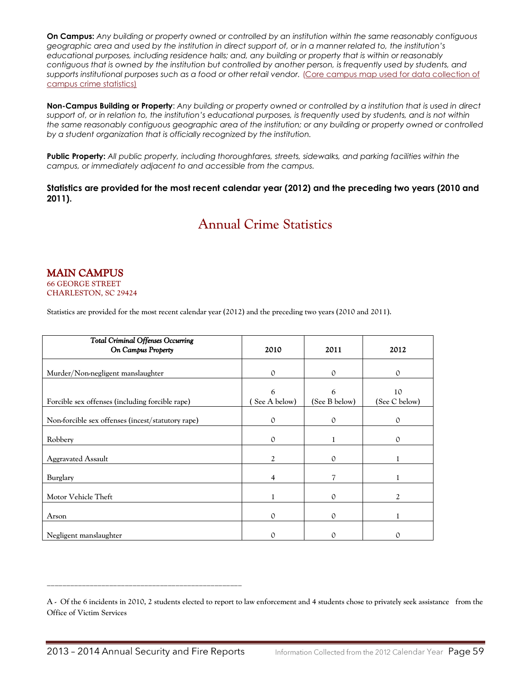**On Campus:** *Any building or property owned or controlled by an institution within the same reasonably contiguous geographic area and used by the institution in direct support of, or in a manner related to, the institution's educational purposes, including residence halls; and, any building or property that is within or reasonably contiguous that is owned by the institution but controlled by another person, is frequently used by students, and supports institutional purposes such as a food or other retail vendor.* [\(Core campus map used for data collection of](http://studentaffairs.cofc.edu/general_info/annual_security/Map-Annual_Security_Report_2009-10.pdf)  [campus crime statistics\)](http://studentaffairs.cofc.edu/general_info/annual_security/Map-Annual_Security_Report_2009-10.pdf)

**Non-Campus Building or Property**: *Any building or property owned or controlled by a institution that is used in direct support of, or in relation to, the institution's educational purposes, is frequently used by students, and is not within the same reasonably contiguous geographic area of the institution; or any building or property owned or controlled by a student organization that is officially recognized by the institution.*

**Public Property:** *All public property, including thoroughfares, streets, sidewalks, and parking facilities within the campus, or immediately adjacent to and accessible from the campus.*

**Statistics are provided for the most recent calendar year (2012) and the preceding two years (2010 and 2011).**

# Annual Crime Statistics

MAIN CAMPUS 66 GEORGE STREET CHARLESTON, SC 29424

Statistics are provided for the most recent calendar year (2012) and the preceding two years (2010 and 2011).

| <b>Total Criminal Offenses Occurring</b><br>On Campus Property | 2010           | 2011          | 2012           |
|----------------------------------------------------------------|----------------|---------------|----------------|
| Murder/Non-negligent manslaughter                              | $\mathcal{O}$  | $\mathcal{O}$ | $\mathcal{O}$  |
|                                                                | 6              | 6             | 10             |
| Forcible sex offenses (including forcible rape)                | See A below)   | (See B below) | (See C below)  |
| Non-forcible sex offenses (incest/statutory rape)              | $\mathcal{O}$  | $\mathcal{O}$ | $\mathcal{O}$  |
| Robbery                                                        | $\mathcal{O}$  |               | $\Omega$       |
| <b>Aggravated Assault</b>                                      | $\overline{2}$ | $\Omega$      |                |
| Burglary                                                       | 4              | 7             |                |
| Motor Vehicle Theft                                            |                | $\Omega$      | $\mathfrak{D}$ |
| Arson                                                          | $\mathcal{O}$  | $\mathcal{O}$ |                |
| Negligent manslaughter                                         | $\Omega$       | $\Omega$      | $\Omega$       |

\_\_\_\_\_\_\_\_\_\_\_\_\_\_\_\_\_\_\_\_\_\_\_\_\_\_\_\_\_\_\_\_\_\_\_\_\_\_\_\_\_\_\_\_\_\_\_\_\_\_

A - Of the 6 incidents in 2010, 2 students elected to report to law enforcement and 4 students chose to privately seek assistance from the Office of Victim Services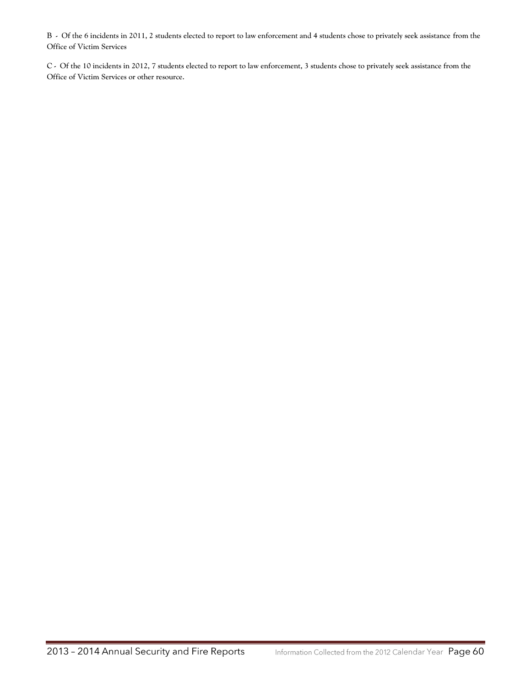B - Of the 6 incidents in 2011, 2 students elected to report to law enforcement and 4 students chose to privately seek assistance from the Office of Victim Services

C - Of the 10 incidents in 2012, 7 students elected to report to law enforcement, 3 students chose to privately seek assistance from the Office of Victim Services or other resource.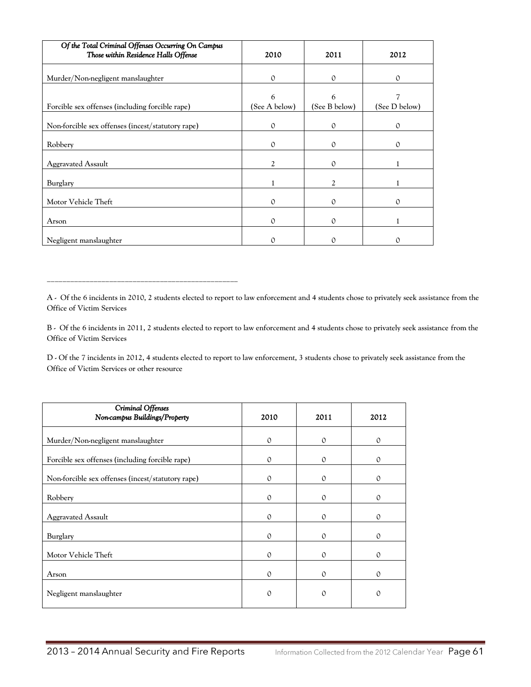| Of the Total Criminal Offenses Occurring On Campus<br>Those within Residence Halls Offense | 2010           | 2011                     | 2012          |
|--------------------------------------------------------------------------------------------|----------------|--------------------------|---------------|
| Murder/Non-negligent manslaughter                                                          | $\mathcal{O}$  | $\Omega$                 | $\Omega$      |
|                                                                                            | 6              | 6                        |               |
| Forcible sex offenses (including forcible rape)                                            | (See A below)  | (See B below)            | (See D below) |
| Non-forcible sex offenses (incest/statutory rape)                                          | $\Omega$       | $\Omega$                 | $\mathcal{O}$ |
| Robbery                                                                                    | $\Omega$       | $\Omega$                 | $\Omega$      |
| <b>Aggravated Assault</b>                                                                  | $\mathfrak{D}$ | $\Omega$                 |               |
| Burglary                                                                                   |                | $\overline{\mathcal{L}}$ |               |
| Motor Vehicle Theft                                                                        | $\Omega$       | $\Omega$                 | 0             |
| Arson                                                                                      | $\mathcal{O}$  | $\Omega$                 |               |
| Negligent manslaughter                                                                     | $\Omega$       |                          | 0             |

A - Of the 6 incidents in 2010, 2 students elected to report to law enforcement and 4 students chose to privately seek assistance from the Office of Victim Services

B - Of the 6 incidents in 2011, 2 students elected to report to law enforcement and 4 students chose to privately seek assistance from the Office of Victim Services

D - Of the 7 incidents in 2012, 4 students elected to report to law enforcement, 3 students chose to privately seek assistance from the Office of Victim Services or other resource

| Criminal Offenses<br>Non-campus Buildings/Property | 2010          | 2011          | 2012     |
|----------------------------------------------------|---------------|---------------|----------|
| Murder/Non-negligent manslaughter                  | $\Omega$      | $\mathcal{O}$ | $\Omega$ |
| Forcible sex offenses (including forcible rape)    | $\Omega$      | $\Omega$      | $\Omega$ |
| Non-forcible sex offenses (incest/statutory rape)  | $\Omega$      | $\Omega$      | $\Omega$ |
| Robbery                                            | $\Omega$      | $\Omega$      | $\Omega$ |
| <b>Aggravated Assault</b>                          | $\Omega$      | $\Omega$      | $\Omega$ |
| Burglary                                           | $\Omega$      | $\Omega$      | $\Omega$ |
| Motor Vehicle Theft                                | $\mathcal{O}$ | $\Omega$      | $\Omega$ |
| Arson                                              | $\Omega$      | $\Omega$      | $\Omega$ |
| Negligent manslaughter                             | $\Omega$      | $\mathcal{O}$ | $\Omega$ |
|                                                    |               |               |          |

\_\_\_\_\_\_\_\_\_\_\_\_\_\_\_\_\_\_\_\_\_\_\_\_\_\_\_\_\_\_\_\_\_\_\_\_\_\_\_\_\_\_\_\_\_\_\_\_\_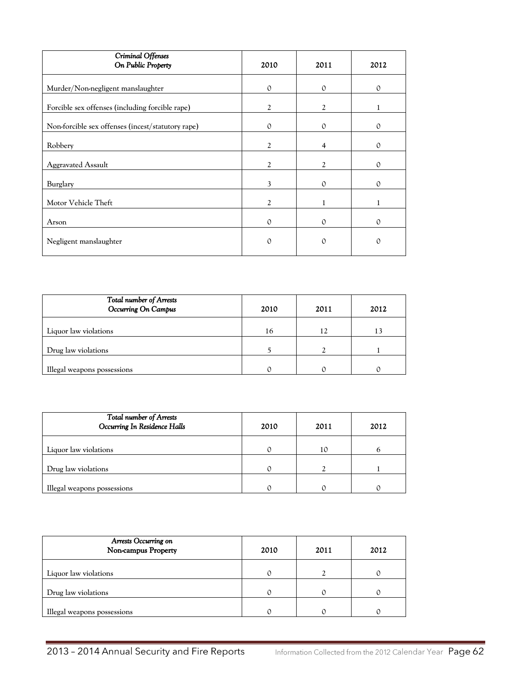| Criminal Offenses<br>On Public Property           | 2010           | 2011           | 2012          |
|---------------------------------------------------|----------------|----------------|---------------|
| Murder/Non-negligent manslaughter                 | $\mathcal{O}$  | $\Omega$       | $\mathcal{O}$ |
| Forcible sex offenses (including forcible rape)   | $\overline{2}$ | $\mathfrak{D}$ |               |
| Non-forcible sex offenses (incest/statutory rape) | $\mathcal{O}$  | $\Omega$       | $\Omega$      |
| Robbery                                           | $\overline{2}$ | 4              | $\Omega$      |
| <b>Aggravated Assault</b>                         | 2              | $\overline{c}$ | $\Omega$      |
| Burglary                                          | 3              | $\Omega$       | $\Omega$      |
| Motor Vehicle Theft                               | 2              |                |               |
| Arson                                             | $\mathcal{O}$  | $\Omega$       | $\Omega$      |
| Negligent manslaughter                            | $\mathcal{O}$  | $\mathcal{O}$  | 0             |

| <b>Total number of Arrests</b><br>Occurring On Campus | 2010 | 2011 | 2012 |
|-------------------------------------------------------|------|------|------|
| Liquor law violations                                 | 16   | 12   | 13   |
| Drug law violations                                   |      |      |      |
| Illegal weapons possessions                           |      |      |      |

| <b>Total number of Arrests</b><br>Occurring In Residence Halls | 2010 | 2011 | 2012 |
|----------------------------------------------------------------|------|------|------|
| Liquor law violations                                          |      | 10   |      |
| Drug law violations                                            |      |      |      |
| Illegal weapons possessions                                    |      |      |      |

| Arrests Occurring on<br>Non-campus Property | 2010 | 2011 | 2012 |
|---------------------------------------------|------|------|------|
| Liquor law violations                       |      |      |      |
| Drug law violations                         |      |      |      |
| Illegal weapons possessions                 |      |      |      |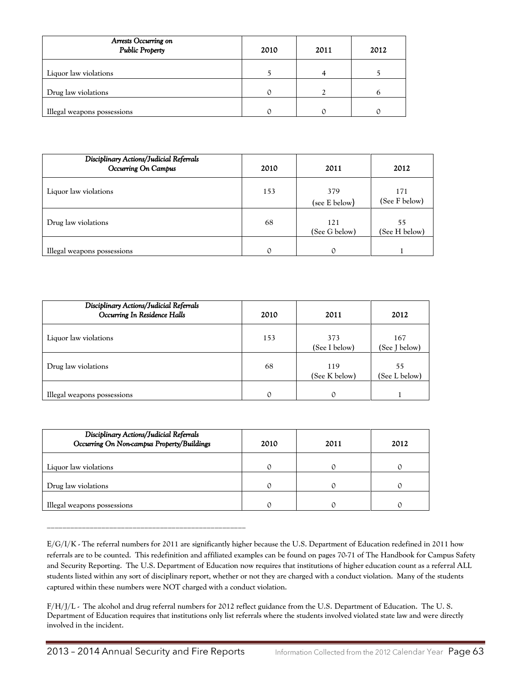| Arrests Occurring on<br><b>Public Property</b> | 2010 | 2011 | 2012 |
|------------------------------------------------|------|------|------|
| Liquor law violations                          |      |      |      |
| Drug law violations                            | 0    |      | O    |
| Illegal weapons possessions                    |      |      |      |

| Disciplinary Actions/Judicial Referrals<br>Occurring On Campus | 2010 | 2011                 | 2012                 |
|----------------------------------------------------------------|------|----------------------|----------------------|
| Liquor law violations                                          | 153  | 379<br>(see E below) | 171<br>(See F below) |
| Drug law violations                                            | 68   | 121<br>(See G below) | 55<br>(See H below)  |
| Illegal weapons possessions                                    |      | $\Omega$             |                      |

| Disciplinary Actions/Judicial Referrals<br>Occurring In Residence Halls | 2010 | 2011                 | 2012                 |
|-------------------------------------------------------------------------|------|----------------------|----------------------|
| Liquor law violations                                                   | 153  | 373<br>(See I below) | 167<br>(See J below) |
| Drug law violations                                                     | 68   | 119<br>(See K below) | 55<br>(See L below)  |
| Illegal weapons possessions                                             | 0    |                      |                      |

| Disciplinary Actions/Judicial Referrals<br>Occurring On Non-campus Property/Buildings | 2010 | 2011 | 2012 |
|---------------------------------------------------------------------------------------|------|------|------|
| Liquor law violations                                                                 |      |      |      |
| Drug law violations                                                                   |      |      |      |
| Illegal weapons possessions                                                           |      |      |      |

E/G/I/K - The referral numbers for 2011 are significantly higher because the U.S. Department of Education redefined in 2011 how referrals are to be counted. This redefinition and affiliated examples can be found on pages 70-71 of The Handbook for Campus Safety and Security Reporting. The U.S. Department of Education now requires that institutions of higher education count as a referral ALL students listed within any sort of disciplinary report, whether or not they are charged with a conduct violation. Many of the students captured within these numbers were NOT charged with a conduct violation.

\_\_\_\_\_\_\_\_\_\_\_\_\_\_\_\_\_\_\_\_\_\_\_\_\_\_\_\_\_\_\_\_\_\_\_\_\_\_\_\_\_\_\_\_\_\_\_\_\_\_\_

F/H/J/L - The alcohol and drug referral numbers for 2012 reflect guidance from the U.S. Department of Education. The U. S. Department of Education requires that institutions only list referrals where the students involved violated state law and were directly involved in the incident.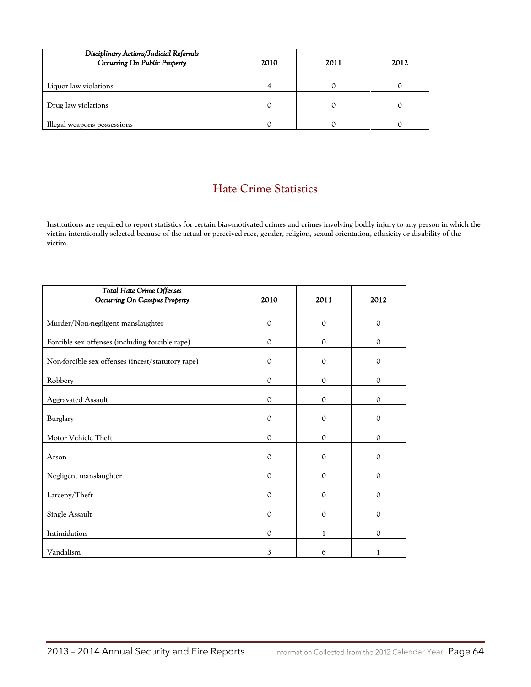| Disciplinary Actions/Judicial Referrals<br>Occurring On Public Property | 2010 | 2011 | 2012 |
|-------------------------------------------------------------------------|------|------|------|
| Liquor law violations                                                   |      |      |      |
| Drug law violations                                                     |      |      |      |
| Illegal weapons possessions                                             |      |      |      |

# Hate Crime Statistics

Institutions are required to report statistics for certain bias-motivated crimes and crimes involving bodily injury to any person in which the victim intentionally selected because of the actual or perceived race, gender, religion, sexual orientation, ethnicity or disability of the victim.

| <b>Total Hate Crime Offenses</b><br>Occurring On Campus Property | 2010          | 2011          | 2012          |
|------------------------------------------------------------------|---------------|---------------|---------------|
| Murder/Non-negligent manslaughter                                | $\mathcal{O}$ | $\mathcal{O}$ | $\mathcal{O}$ |
| Forcible sex offenses (including forcible rape)                  | $\mathcal{O}$ | $\mathcal{O}$ | $\mathcal{O}$ |
| Non-forcible sex offenses (incest/statutory rape)                | $\mathcal{O}$ | $\Omega$      | $\Omega$      |
| Robbery                                                          | $\mathcal{O}$ | $\mathcal{O}$ | $\mathcal{O}$ |
| <b>Aggravated Assault</b>                                        | $\mathcal{O}$ | $\mathcal{O}$ | $\mathcal{O}$ |
| Burglary                                                         | $\mathcal{O}$ | $\mathcal{O}$ | $\mathcal{O}$ |
| Motor Vehicle Theft                                              | $\mathbf{0}$  | $\mathcal{O}$ | $\mathcal{O}$ |
| Arson                                                            | $\mathbf{0}$  | $\mathcal{O}$ | $\mathcal{O}$ |
| Negligent manslaughter                                           | $\mathcal{O}$ | $\mathcal{O}$ | $\mathcal{O}$ |
| Larceny/Theft                                                    | $\mathcal{O}$ | $\mathcal{O}$ | $\mathcal{O}$ |
| Single Assault                                                   | $\mathcal{O}$ | $\Omega$      | $\Omega$      |
| Intimidation                                                     | $\mathcal{O}$ | $\mathbf{1}$  | $\mathcal{O}$ |
| Vandalism                                                        | 3             | 6             | 1             |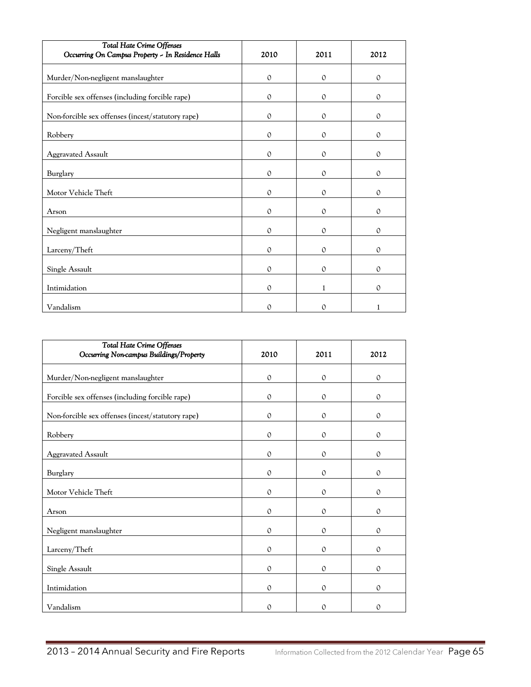| <b>Total Hate Crime Offenses</b><br>Occurring On Campus Property - In Residence Halls | 2010          | 2011          | 2012          |
|---------------------------------------------------------------------------------------|---------------|---------------|---------------|
| Murder/Non-negligent manslaughter                                                     | $\mathcal{O}$ | $\mathcal{O}$ | $\mathcal{O}$ |
| Forcible sex offenses (including forcible rape)                                       | $\mathcal{O}$ | $\mathcal{O}$ | $\mathcal{O}$ |
| Non-forcible sex offenses (incest/statutory rape)                                     | $\mathcal{O}$ | $\mathcal{O}$ | $\Omega$      |
| Robbery                                                                               | $\mathcal{O}$ | $\Omega$      | $\mathcal{O}$ |
| <b>Aggravated Assault</b>                                                             | $\mathcal{O}$ | $\mathcal{O}$ | $\Omega$      |
| Burglary                                                                              | $\mathcal{O}$ | $\Omega$      | $\mathcal{O}$ |
| Motor Vehicle Theft                                                                   | $\mathcal{O}$ | $\mathcal{O}$ | $\mathcal{O}$ |
| Arson                                                                                 | $\mathcal{O}$ | $\mathcal{O}$ | $\Omega$      |
| Negligent manslaughter                                                                | $\mathcal{O}$ | $\mathcal{O}$ | 0             |
| Larceny/Theft                                                                         | $\Omega$      | $\Omega$      | $\Omega$      |
| Single Assault                                                                        | $\mathcal{O}$ | $\mathcal{O}$ | $\mathcal{O}$ |
| Intimidation                                                                          | $\mathcal{O}$ | 1             | $\mathcal{O}$ |
| Vandalism                                                                             | $\mathcal{O}$ | $\Omega$      | 1             |

| <b>Total Hate Crime Offenses</b><br>Occurring Non-campus Buildings/Property | 2010          | 2011          | 2012          |
|-----------------------------------------------------------------------------|---------------|---------------|---------------|
| Murder/Non-negligent manslaughter                                           | $\mathcal{O}$ | $\Omega$      | $\Omega$      |
| Forcible sex offenses (including forcible rape)                             | $\mathcal{O}$ | $\mathcal{O}$ | $\mathcal{O}$ |
| Non-forcible sex offenses (incest/statutory rape)                           | $\mathcal{O}$ | $\mathcal{O}$ | $\Omega$      |
| Robbery                                                                     | $\mathcal{O}$ | $\mathcal{O}$ | $\mathcal{O}$ |
| <b>Aggravated Assault</b>                                                   | 0             | $\mathcal{O}$ | $\mathcal{O}$ |
| Burglary                                                                    | $\mathcal{O}$ | $\mathcal{O}$ | $\Omega$      |
| Motor Vehicle Theft                                                         | 0             | $\mathcal{O}$ | $\mathcal{O}$ |
| Arson                                                                       | $\mathcal{O}$ | $\Omega$      | $\Omega$      |
| Negligent manslaughter                                                      | $\mathcal{O}$ | $\mathcal{O}$ | $\mathcal{O}$ |
| Larceny/Theft                                                               | $\mathcal{O}$ | $\mathcal{O}$ | $\mathcal{O}$ |
| Single Assault                                                              | $\mathcal{O}$ | $\mathcal{O}$ | $\Omega$      |
| Intimidation                                                                | $\mathcal{O}$ | $\mathcal{O}$ | $\mathcal{O}$ |
| Vandalism                                                                   | 0             | $\mathcal{O}$ | $\mathcal{O}$ |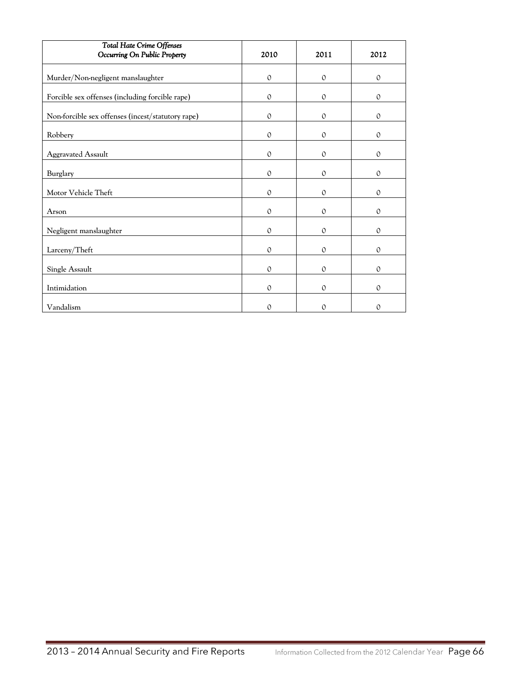| <b>Total Hate Crime Offenses</b><br>Occurring On Public Property | 2010          | 2011          | 2012          |
|------------------------------------------------------------------|---------------|---------------|---------------|
| Murder/Non-negligent manslaughter                                | $\mathcal{O}$ | $\mathcal{O}$ | $\mathcal{O}$ |
| Forcible sex offenses (including forcible rape)                  | $\mathcal{O}$ | $\mathcal{O}$ | $\mathcal{O}$ |
| Non-forcible sex offenses (incest/statutory rape)                | $\mathcal{O}$ | $\mathcal{O}$ | $\mathcal{O}$ |
| Robbery                                                          | $\mathbf{O}$  | $\mathcal{O}$ | $\mathcal{O}$ |
| <b>Aggravated Assault</b>                                        | $\Omega$      | $\Omega$      | $\Omega$      |
| Burglary                                                         | $\mathbf{O}$  | $\mathcal{O}$ | $\mathcal{O}$ |
| Motor Vehicle Theft                                              | $\mathcal{O}$ | $\mathcal{O}$ | $\mathcal{O}$ |
| Arson                                                            | $\mathcal{O}$ | $\mathcal{O}$ | $\mathcal{O}$ |
| Negligent manslaughter                                           | $\mathcal{O}$ | $\mathcal{O}$ | $\mathcal{O}$ |
| Larceny/Theft                                                    | $\mathcal{O}$ | $\Omega$      | $\Omega$      |
| Single Assault                                                   | 0             | $\mathcal{O}$ | $\mathcal{O}$ |
| Intimidation                                                     | $\mathcal{O}$ | $\mathcal{O}$ | $\mathcal{O}$ |
| Vandalism                                                        | 0             | $\mathcal{O}$ | $\Omega$      |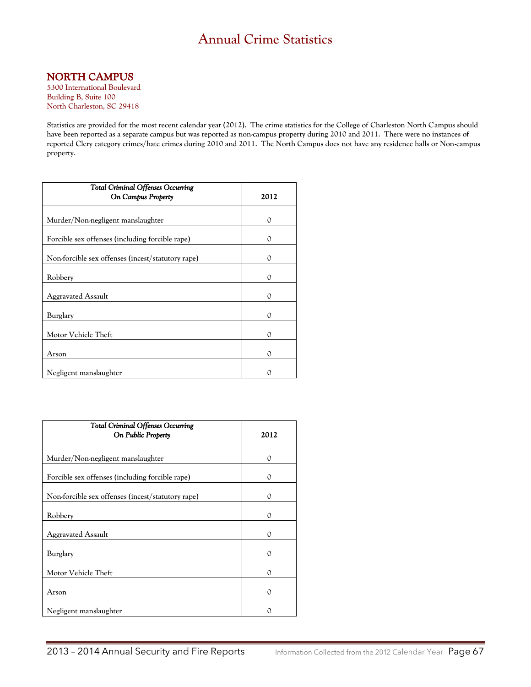# Annual Crime Statistics

# NORTH CAMPUS

5300 International Boulevard Building B, Suite 100 North Charleston, SC 29418

Statistics are provided for the most recent calendar year (2012). The crime statistics for the College of Charleston North Campus should have been reported as a separate campus but was reported as non-campus property during 2010 and 2011. There were no instances of reported Clery category crimes/hate crimes during 2010 and 2011. The North Campus does not have any residence halls or Non-campus property.

| <b>Total Criminal Offenses Occurring</b>          |          |
|---------------------------------------------------|----------|
| On Campus Property                                | 2012     |
|                                                   |          |
| Murder/Non-negligent manslaughter                 | $\Omega$ |
| Forcible sex offenses (including forcible rape)   | $\Omega$ |
| Non-forcible sex offenses (incest/statutory rape) | $\Omega$ |
| Robbery                                           | $\Omega$ |
| <b>Aggravated Assault</b>                         | $\Omega$ |
| Burglary                                          | $\Omega$ |
| Motor Vehicle Theft                               | $\Omega$ |
| Arson                                             | $\Omega$ |
| Negligent manslaughter                            | $\Omega$ |

| <b>Total Criminal Offenses Occurring</b><br>On Public Property | 2012     |
|----------------------------------------------------------------|----------|
| Murder/Non-negligent manslaughter                              | $\Omega$ |
| Forcible sex offenses (including forcible rape)                | $\Omega$ |
| Non-forcible sex offenses (incest/statutory rape)              | $\Omega$ |
| Robbery                                                        | $\Omega$ |
| <b>Aggravated Assault</b>                                      | $\Omega$ |
| Burglary                                                       | $\Omega$ |
| Motor Vehicle Theft                                            | $\Omega$ |
| Arson                                                          | $\Omega$ |
| Negligent manslaughter                                         | 0        |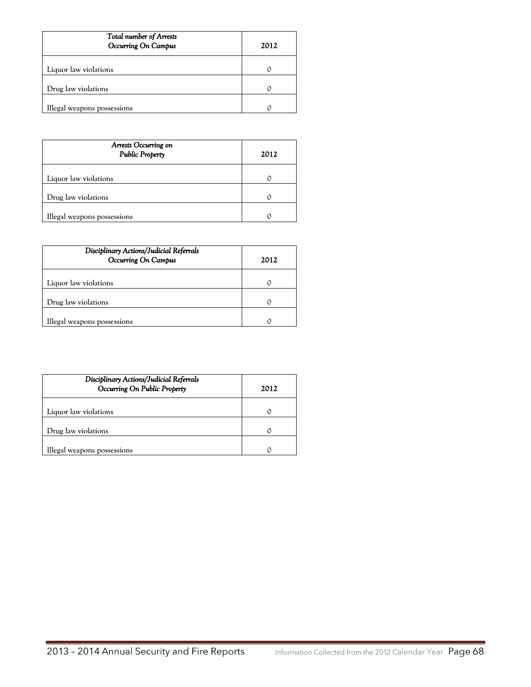| <b>Total number of Arrests</b><br>Occurring On Campus | 2012 |
|-------------------------------------------------------|------|
| Liquor law violations                                 |      |
| Drug law violations                                   |      |
| Illegal weapons possessions                           |      |

| Arrests Occurring on<br><b>Public Property</b> | 2012             |
|------------------------------------------------|------------------|
| Liquor law violations                          | $\left( \right)$ |
| Drug law violations                            |                  |
| Illegal weapons possessions                    |                  |

| Disciplinary Actions/Judicial Referrals<br>Occurring On Campus | 2012 |
|----------------------------------------------------------------|------|
| Liquor law violations                                          |      |
| Drug law violations                                            |      |
| Illegal weapons possessions                                    |      |

| Disciplinary Actions/Judicial Referrals<br>Occurring On Public Property | 2012 |
|-------------------------------------------------------------------------|------|
| Liquor law violations                                                   |      |
| Drug law violations                                                     |      |
| Illegal weapons possessions                                             |      |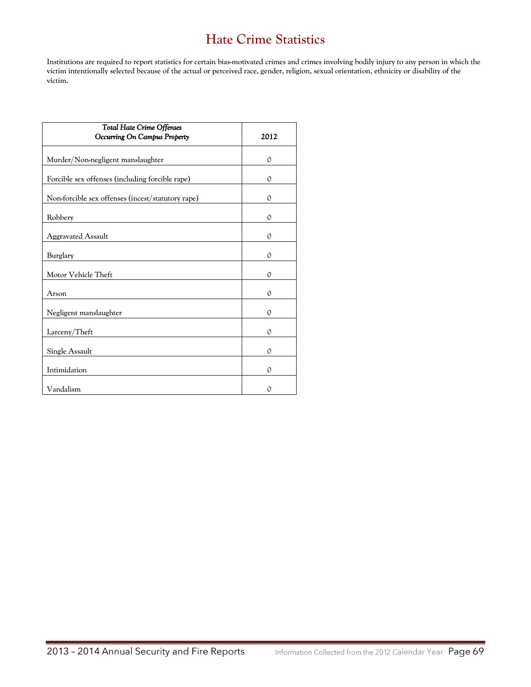# Hate Crime Statistics

Institutions are required to report statistics for certain bias-motivated crimes and crimes involving bodily injury to any person in which the victim intentionally selected because of the actual or perceived race, gender, religion, sexual orientation, ethnicity or disability of the victim.

| <b>Total Hate Crime Offenses</b><br>Occurring On Campus Property | 2012          |
|------------------------------------------------------------------|---------------|
| Murder/Non-negligent manslaughter                                | $\mathcal{O}$ |
| Forcible sex offenses (including forcible rape)                  | $\mathcal{O}$ |
| Non-forcible sex offenses (incest/statutory rape)                | $\Omega$      |
| Robbery                                                          | $\Omega$      |
| <b>Aggravated Assault</b>                                        | $\Omega$      |
| Burglary                                                         | $\Omega$      |
| Motor Vehicle Theft                                              | $\mathcal{O}$ |
| Arson                                                            | $\Omega$      |
| Negligent manslaughter                                           | $\mathcal{O}$ |
| Larceny/Theft                                                    | $\Omega$      |
| Single Assault                                                   | $\mathcal{O}$ |
| Intimidation                                                     | $\mathcal{O}$ |
| Vandalism                                                        | 0             |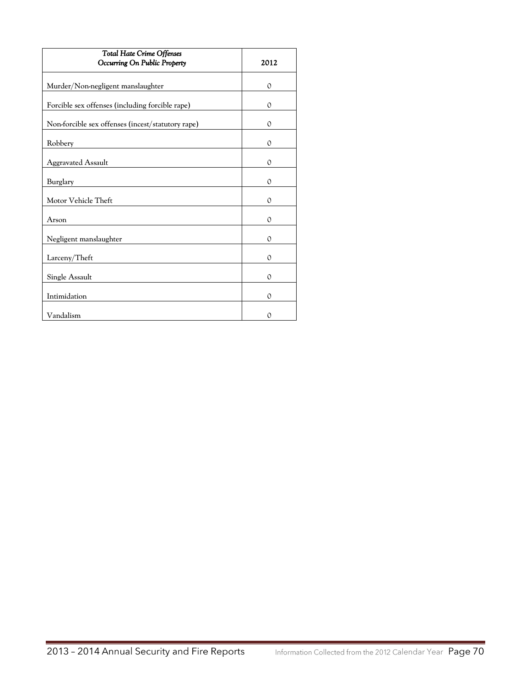| <b>Total Hate Crime Offenses</b><br>Occurring On Public Property | 2012     |
|------------------------------------------------------------------|----------|
| Murder/Non-negligent manslaughter                                | $\Omega$ |
| Forcible sex offenses (including forcible rape)                  | $\Omega$ |
| Non-forcible sex offenses (incest/statutory rape)                | $\Omega$ |
| Robbery                                                          | $\Omega$ |
| <b>Aggravated Assault</b>                                        | $\Omega$ |
| Burglary                                                         | $\Omega$ |
| Motor Vehicle Theft                                              | $\Omega$ |
| Arson                                                            | $\Omega$ |
| Negligent manslaughter                                           | $\Omega$ |
| Larceny/Theft                                                    | $\Omega$ |
| Single Assault                                                   | $\Omega$ |
| Intimidation                                                     | $\Omega$ |
| Vandalism                                                        | $\Omega$ |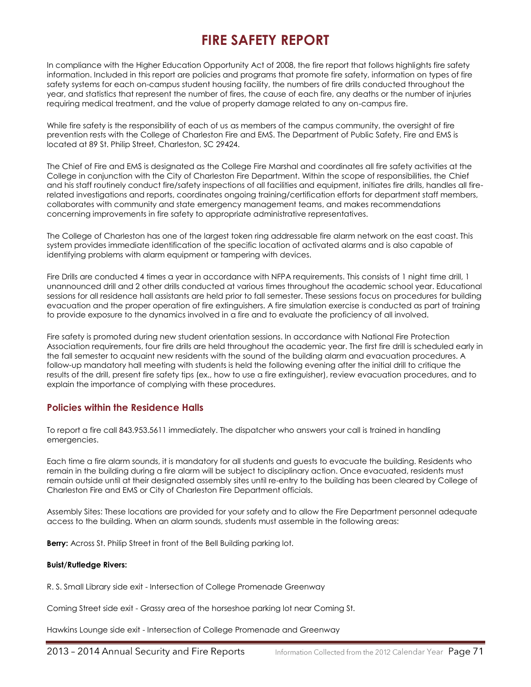# **FIRE SAFETY REPORT**

In compliance with the Higher Education Opportunity Act of 2008, the fire report that follows highlights fire safety information. Included in this report are policies and programs that promote fire safety, information on types of fire safety systems for each on-campus student housing facility, the numbers of fire drills conducted throughout the year, and statistics that represent the number of fires, the cause of each fire, any deaths or the number of injuries requiring medical treatment, and the value of property damage related to any on-campus fire.

While fire safety is the responsibility of each of us as members of the campus community, the oversight of fire prevention rests with the College of Charleston Fire and EMS. The Department of Public Safety, Fire and EMS is located at 89 St. Philip Street, Charleston, SC 29424.

The Chief of Fire and EMS is designated as the College Fire Marshal and coordinates all fire safety activities at the College in conjunction with the City of Charleston Fire Department. Within the scope of responsibilities, the Chief and his staff routinely conduct fire/safety inspections of all facilities and equipment, initiates fire drills, handles all firerelated investigations and reports, coordinates ongoing training/certification efforts for department staff members, collaborates with community and state emergency management teams, and makes recommendations concerning improvements in fire safety to appropriate administrative representatives.

The College of Charleston has one of the largest token ring addressable fire alarm network on the east coast. This system provides immediate identification of the specific location of activated alarms and is also capable of identifying problems with alarm equipment or tampering with devices.

Fire Drills are conducted 4 times a year in accordance with NFPA requirements. This consists of 1 night time drill, 1 unannounced drill and 2 other drills conducted at various times throughout the academic school year. Educational sessions for all residence hall assistants are held prior to fall semester. These sessions focus on procedures for building evacuation and the proper operation of fire extinguishers. A fire simulation exercise is conducted as part of training to provide exposure to the dynamics involved in a fire and to evaluate the proficiency of all involved.

Fire safety is promoted during new student orientation sessions. In accordance with National Fire Protection Association requirements, four fire drills are held throughout the academic year. The first fire drill is scheduled early in the fall semester to acquaint new residents with the sound of the building alarm and evacuation procedures. A follow-up mandatory hall meeting with students is held the following evening after the initial drill to critique the results of the drill, present fire safety tips (ex., how to use a fire extinguisher), review evacuation procedures, and to explain the importance of complying with these procedures.

## **Policies within the Residence Halls**

To report a fire call 843.953.5611 immediately. The dispatcher who answers your call is trained in handling emergencies.

Each time a fire alarm sounds, it is mandatory for all students and guests to evacuate the building. Residents who remain in the building during a fire alarm will be subject to disciplinary action. Once evacuated, residents must remain outside until at their designated assembly sites until re-entry to the building has been cleared by College of Charleston Fire and EMS or City of Charleston Fire Department officials.

Assembly Sites: These locations are provided for your safety and to allow the Fire Department personnel adequate access to the building. When an alarm sounds, students must assemble in the following areas:

**Berry:** Across St. Philip Street in front of the Bell Building parking lot.

#### **Buist/Rutledge Rivers:**

R. S. Small Library side exit - Intersection of College Promenade Greenway

Coming Street side exit - Grassy area of the horseshoe parking lot near Coming St.

Hawkins Lounge side exit - Intersection of College Promenade and Greenway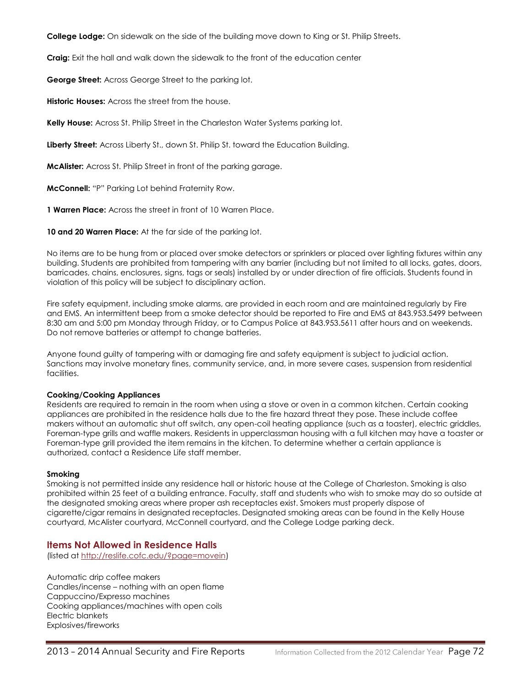**College Lodge:** On sidewalk on the side of the building move down to King or St. Philip Streets.

**Craig:** Exit the hall and walk down the sidewalk to the front of the education center

**George Street:** Across George Street to the parking lot.

**Historic Houses:** Across the street from the house.

**Kelly House:** Across St. Philip Street in the Charleston Water Systems parking lot.

**Liberty Street:** Across Liberty St., down St. Philip St. toward the Education Building.

**McAlister:** Across St. Philip Street in front of the parking garage.

**McConnell:** "P" Parking Lot behind Fraternity Row.

**1 Warren Place:** Across the street in front of 10 Warren Place.

**10 and 20 Warren Place:** At the far side of the parking lot.

No items are to be hung from or placed over smoke detectors or sprinklers or placed over lighting fixtures within any building. Students are prohibited from tampering with any barrier (including but not limited to all locks, gates, doors, barricades, chains, enclosures, signs, tags or seals) installed by or under direction of fire officials. Students found in violation of this policy will be subject to disciplinary action.

Fire safety equipment, including smoke alarms, are provided in each room and are maintained regularly by Fire and EMS. An intermittent beep from a smoke detector should be reported to Fire and EMS at 843.953.5499 between 8:30 am and 5:00 pm Monday through Friday, or to Campus Police at 843.953.5611 after hours and on weekends. Do not remove batteries or attempt to change batteries.

Anyone found guilty of tampering with or damaging fire and safety equipment is subject to judicial action. Sanctions may involve monetary fines, community service, and, in more severe cases, suspension from residential facilities.

#### **Cooking/Cooking Appliances**

Residents are required to remain in the room when using a stove or oven in a common kitchen. Certain cooking appliances are prohibited in the residence halls due to the fire hazard threat they pose. These include coffee makers without an automatic shut off switch, any open-coil heating appliance (such as a toaster), electric griddles, Foreman-type grills and waffle makers. Residents in upperclassman housing with a full kitchen may have a toaster or Foreman-type grill provided the item remains in the kitchen. To determine whether a certain appliance is authorized, contact a Residence Life staff member.

#### **Smoking**

Smoking is not permitted inside any residence hall or historic house at the College of Charleston. Smoking is also prohibited within 25 feet of a building entrance. Faculty, staff and students who wish to smoke may do so outside at the designated smoking areas where proper ash receptacles exist. Smokers must properly dispose of cigarette/cigar remains in designated receptacles. Designated smoking areas can be found in the Kelly House courtyard, McAlister courtyard, McConnell courtyard, and the College Lodge parking deck.

#### **Items Not Allowed in Residence Halls**

(listed at [http://reslife.cofc.edu/?page=movein\)](http://reslife.cofc.edu/?page=movein)

Automatic drip coffee makers Candles/incense – nothing with an open flame Cappuccino/Expresso machines Cooking appliances/machines with open coils Electric blankets Explosives/fireworks